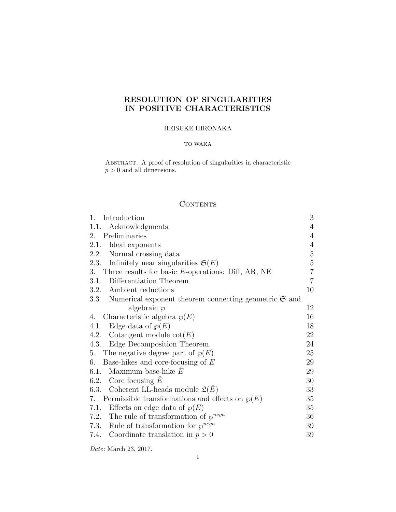# RESOLUTION OF SINGULARITIES IN POSITIVE CHARACTERISTICS

## HEISUKE HIRONAKA

### TO WAKA

Abstract. A proof of resolution of singularities in characteristic  $p > 0$  and all dimensions.

# **CONTENTS**

| Introduction<br>$\mathbf{1}_{\cdot}$                                    | $\mathfrak{Z}$ |
|-------------------------------------------------------------------------|----------------|
| 1.1.<br>Acknowledgments.                                                | $\overline{4}$ |
| Preliminaries<br>2.                                                     | $\sqrt{4}$     |
| 2.1.<br>Ideal exponents                                                 | $\overline{4}$ |
| 2.2. Normal crossing data                                               | $\bf 5$        |
| 2.3. Infinitely near singularities $\mathfrak{S}(E)$                    | $\bf 5$        |
| 3. Three results for basic E-operations: Diff, AR, NE                   | $\overline{7}$ |
| 3.1. Differentiation Theorem                                            | $\overline{7}$ |
| 3.2. Ambient reductions                                                 | 10             |
| 3.3. Numerical exponent theorem connecting geometric $\mathfrak{S}$ and |                |
| algebraic $\wp$                                                         | 12             |
| Characteristic algebra $\wp(E)$<br>4.                                   | 16             |
| 4.1. Edge data of $\wp(E)$                                              | 18             |
| 4.2. Cotangent module $\cot(E)$                                         | 22             |
| 4.3. Edge Decomposition Theorem.                                        | 24             |
| The negative degree part of $\wp(E)$ .<br>5.                            | 25             |
| Base-hikes and core-focusing of $E$<br>6.                               | 29             |
| Maximum base-hike $E$<br>6.1.                                           | 29             |
| 6.2. Core focusing $\overline{E}$                                       | 30             |
| 6.3. Coherent LL-heads module $\mathfrak{L}(E)$                         | 33             |
| 7. Permissible transformations and effects on $\wp(E)$                  | 35             |
| 7.1. Effects on edge data of $\wp(E)$                                   | 35             |
| 7.2. The rule of transformation of $\varphi^{nega}$                     | 36             |
| 7.3. Rule of transformation for $\varphi^{nega}$                        | 39             |
| 7.4. Coordinate translation in $p > 0$                                  | 39             |

Date: March 23, 2017.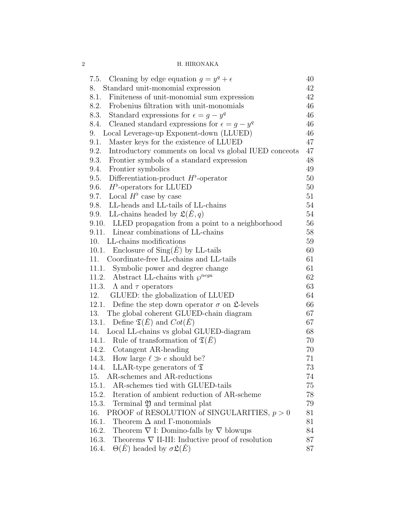| 7.5. Cleaning by edge equation $g = y^q + \epsilon$                    | 40 |
|------------------------------------------------------------------------|----|
| Standard unit-monomial expression<br>8.                                | 42 |
| 8.1.<br>Finiteness of unit-monomial sum expression                     | 42 |
| 8.2. Frobenius filtration with unit-monomials                          | 46 |
| 8.3. Standard expressions for $\epsilon = g - y^q$                     | 46 |
| 8.4. Cleaned standard expressions for $\epsilon = q - y^q$             | 46 |
| Local Leverage-up Exponent-down (LLUED)<br>9.                          | 46 |
| Master keys for the existence of LLUED<br>9.1.                         | 47 |
| 9.2.<br>Introductory comments on local vs global IUED concepts         | 47 |
| 9.3. Frontier symbols of a standard expression                         | 48 |
| 9.4.<br>Frontier symbolics                                             | 49 |
| Differentiation-product $H^{\flat}$ -operator<br>9.5.                  | 50 |
| 9.6. $H^{\flat}$ -operators for LLUED                                  | 50 |
| 9.7. Local $H^{\flat}$ case by case                                    | 51 |
| 9.8. LL-heads and LL-tails of LL-chains                                | 54 |
| 9.9. LL-chains headed by $\mathfrak{L}(\check{E},q)$                   | 54 |
| 9.10. LLED propagation from a point to a neighborhood                  | 56 |
| 9.11. Linear combinations of LL-chains                                 | 58 |
| 10. LL-chains modifications                                            | 59 |
| 10.1. Enclosure of $\text{Sing}(E)$ by LL-tails                        | 60 |
| 11. Coordinate-free LL-chains and LL-tails                             | 61 |
| 11.1. Symbolic power and degree change                                 | 61 |
| 11.2. Abstract LL-chains with $\varphi^{nega}$                         | 62 |
| 11.3. $\Lambda$ and $\tau$ operators                                   | 63 |
| GLUED: the globalization of LLUED<br>12.                               | 64 |
| 12.1. Define the step down operator $\sigma$ on $\mathfrak{L}$ -levels | 66 |
| 13. The global coherent GLUED-chain diagram                            | 67 |
| 13.1. Define $\mathfrak{T}(\check{E})$ and $Cot(\check{E})$            | 67 |
| 14. Local LL-chains vs global GLUED-diagram                            | 68 |
| 14.1. Rule of transformation of $\mathfrak{T}(\tilde{E})$              | 70 |
| 14.2. Cotangent AR-heading                                             | 70 |
| How large $\ell \gg e$ should be?<br>14.3.                             | 71 |
| LLAR-type generators of $\mathfrak T$<br>14.4.                         | 73 |
| AR-schemes and AR-reductions<br>15.                                    | 74 |
| AR-schemes tied with GLUED-tails<br>15.1.                              | 75 |
| Iteration of ambient reduction of AR-scheme<br>15.2.                   | 78 |
| Terminal $\mathfrak Y$ and terminal plat<br>15.3.                      | 79 |
| PROOF of RESOLUTION of SINGULARITIES, $p > 0$<br>16.                   | 81 |
| Theorem $\Delta$ and $\Gamma$ -monomials<br>16.1.                      | 81 |
| 16.2.<br>Theorem $\nabla$ I: Domino-falls by $\nabla$ blowups          | 84 |
| 16.3.<br>Theorems $\nabla$ II-III: Inductive proof of resolution       | 87 |
| $\Theta(E)$ headed by $\sigma \mathfrak{L}(E)$<br>16.4.                | 87 |
|                                                                        |    |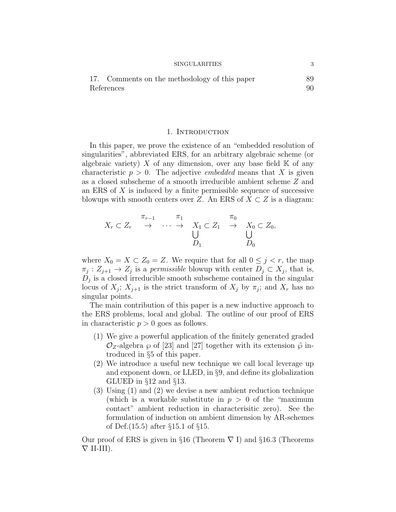| 17. Comments on the methodology of this paper | 89 |
|-----------------------------------------------|----|
| References                                    |    |

#### 1. INTRODUCTION

In this paper, we prove the existence of an "embedded resolution of singularities", abbreviated ERS, for an arbitrary algebraic scheme (or algebraic variety) X of any dimension, over any base field  $\mathbb K$  of any characteristic  $p > 0$ . The adjective *embedded* means that X is given as a closed subscheme of a smooth irreducible ambient scheme Z and an ERS of  $X$  is induced by a finite permissible sequence of successive blowups with smooth centers over Z. An ERS of  $X \subset Z$  is a diagram:

$$
X_r \subset Z_r \quad \stackrel{\pi_{r-1}}{\rightarrow} \quad \cdots \quad \stackrel{\pi_1}{\rightarrow} \quad X_1 \subset Z_1 \quad \stackrel{\pi_0}{\rightarrow} \quad X_0 \subset Z_0,
$$
  

$$
\bigcup_{D_1} \qquad \qquad \bigcup_{D_0} \qquad \qquad
$$

where  $X_0 = X \subset Z_0 = Z$ . We require that for all  $0 \leq j \leq r$ , the map  $\pi_j: Z_{j+1} \to Z_j$  is a permissible blowup with center  $D_j \subset X_j$ , that is,  $D_j$  is a closed irreducible smooth subscheme contained in the singular locus of  $X_j$ ;  $X_{j+1}$  is the strict transform of  $X_j$  by  $\pi_j$ ; and  $X_r$  has no singular points.

The main contribution of this paper is a new inductive approach to the ERS problems, local and global. The outline of our proof of ERS in characteristic  $p > 0$  goes as follows.

- (1) We give a powerful application of the finitely generated graded  $\mathcal{O}_Z$ -algebra  $\wp$  of [23] and [27] together with its extension  $\tilde{\wp}$  introduced in §5 of this paper.
- (2) We introduce a useful new technique we call local leverage up and exponent down, or LLED, in §9, and define its globalization GLUED in §12 and §13.
- (3) Using (1) and (2) we devise a new ambient reduction technique (which is a workable substitute in  $p > 0$  of the "maximum") contact" ambient reduction in characterisitic zero). See the formulation of induction on ambient dimension by AR-schemes of Def.(15.5) after §15.1 of §15.

Our proof of ERS is given in §16 (Theorem  $\nabla I$ ) and §16.3 (Theorems  $\nabla$  II-III).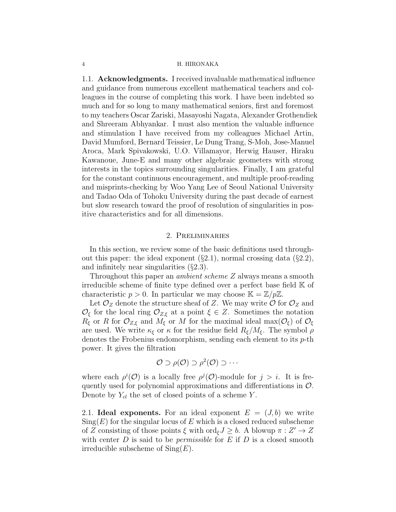1.1. Acknowledgments. I received invaluable mathematical influence and guidance from numerous excellent mathematical teachers and colleagues in the course of completing this work. I have been indebted so much and for so long to many mathematical seniors, first and foremost to my teachers Oscar Zariski, Masayoshi Nagata, Alexander Grothendiek and Shreeram Abhyankar. I must also mention the valuable influence and stimulation I have received from my colleagues Michael Artin, David Mumford, Bernard Teissier, Le Dung Trang, S-Moh, Jose-Manuel Aroca, Mark Spivakowski, U.O. Villamayor, Herwig Hauser, Hiraku Kawanoue, June-E and many other algebraic geometers with strong interests in the topics surrounding singularities. Finally, I am grateful for the constant continuous encouragement, and multiple proof-reading and misprints-checking by Woo Yang Lee of Seoul National University and Tadao Oda of Tohoku University during the past decade of earnest but slow research toward the proof of resolution of singularities in positive characteristics and for all dimensions.

#### 2. Preliminaries

In this section, we review some of the basic definitions used throughout this paper: the ideal exponent  $(\S 2.1)$ , normal crossing data  $(\S 2.2)$ , and infinitely near singularities (§2.3).

Throughout this paper an *ambient scheme Z* always means a smooth irreducible scheme of finite type defined over a perfect base field K of characteristic  $p > 0$ . In particular we may choose  $\mathbb{K} = \mathbb{Z}/p\mathbb{Z}$ .

Let  $\mathcal{O}_Z$  denote the structure sheaf of Z. We may write  $\mathcal{O}$  for  $\mathcal{O}_Z$  and  $\mathcal{O}_{\xi}$  for the local ring  $\mathcal{O}_{Z,\xi}$  at a point  $\xi \in Z$ . Sometimes the notation  $R_{\xi}$  or R for  $\mathcal{O}_{Z,\xi}$  and  $M_{\xi}$  or M for the maximal ideal max $(\mathcal{O}_{\xi})$  of  $\mathcal{O}_{\xi}$ are used. We write  $\kappa_{\xi}$  or  $\kappa$  for the residue field  $R_{\xi}/M_{\xi}$ . The symbol  $\rho$ denotes the Frobenius endomorphism, sending each element to its  $p$ -th power. It gives the filtration

$$
\mathcal{O} \supset \rho(\mathcal{O}) \supset \rho^2(\mathcal{O}) \supset \cdots
$$

where each  $\rho^{i}(\mathcal{O})$  is a locally free  $\rho^{j}(\mathcal{O})$ -module for  $j > i$ . It is frequently used for polynomial approximations and differentiations in  $\mathcal{O}$ . Denote by  $Y_{cl}$  the set of closed points of a scheme Y.

2.1. Ideal exponents. For an ideal exponent  $E = (J, b)$  we write  $\text{Sing}(E)$  for the singular locus of E which is a closed reduced subscheme of Z consisting of those points  $\xi$  with ord $\xi J \geq b$ . A blowup  $\pi : Z' \to Z$ with center  $D$  is said to be *permissible* for  $E$  if  $D$  is a closed smooth irreducible subscheme of  $\text{Sing}(E)$ .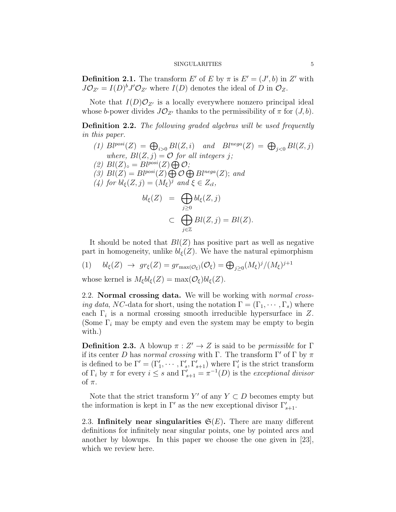**Definition 2.1.** The transform E' of E by  $\pi$  is  $E' = (J', b)$  in Z' with  $J\mathcal{O}_{Z'} = I(D)^b J' \mathcal{O}_{Z'}$  where  $I(D)$  denotes the ideal of D in  $\mathcal{O}_Z$ .

Note that  $I(D)O_{Z'}$  is a locally everywhere nonzero principal ideal whose b-power divides  $J\mathcal{O}_{Z'}$  thanks to the permissibility of  $\pi$  for  $(J, b)$ .

Definition 2.2. The following graded algebras will be used frequently in this paper.

(1)  $Bl^{posi}(Z) = \bigoplus_{i>0} Bl(Z, i)$  and  $Bl^{nega}(Z) = \bigoplus_{j<0} Bl(Z, j)$ where,  $Bl(Z, j) = \mathcal{O}$  for all integers j; (2)  $Bl(Z)_{\circ} = Bl^{posi}(Z) \bigoplus \mathcal{O};$ (3)  $Bl(Z) = Bl^{posi}(Z) \bigoplus \mathcal{O} \bigoplus Bl^{nega}(Z)$ ; and (4) for  $bl_{\xi}(Z, j) = (M_{\xi})^j$  and  $\xi \in Z_{cl}$ ,

$$
bl_{\xi}(Z) = \bigoplus_{j\geq 0} bl_{\xi}(Z, j)
$$
  

$$
\subset \bigoplus_{j\in \mathbb{Z}} Bl(Z, j) = Bl(Z).
$$

It should be noted that  $Bl(Z)$  has positive part as well as negative part in homogeneity, unlike  $bl_{\xi}(Z)$ . We have the natural epimorphism

$$
(1) \quad bl_{\xi}(Z) \rightarrow gr_{\xi}(Z) = gr_{\max(\mathcal{O}_{\xi})}(\mathcal{O}_{\xi}) = \bigoplus_{j \geq 0} (M_{\xi})^{j} / (M_{\xi})^{j+1}
$$

whose kernel is  $M_{\xi}bl_{\xi}(Z) = \max(\mathcal{O}_{\xi})bl_{\xi}(Z)$ .

2.2. Normal crossing data. We will be working with *normal crossing data, NC*-data for short, using the notation  $\Gamma = (\Gamma_1, \cdots, \Gamma_s)$  where each  $\Gamma_i$  is a normal crossing smooth irreducible hypersurface in Z. (Some  $\Gamma_i$  may be empty and even the system may be empty to begin with.)

**Definition 2.3.** A blowup  $\pi : Z' \to Z$  is said to be *permissible* for  $\Gamma$ if its center D has normal crossing with Γ. The transform  $\Gamma'$  of  $\Gamma$  by  $\pi$ is defined to be  $\Gamma' = (\Gamma'_1, \cdots, \Gamma'_s, \Gamma'_{s+1})$  where  $\Gamma'_i$  is the strict transform of  $\Gamma_i$  by  $\pi$  for every  $i \leq s$  and  $\Gamma'_{s+1} = \pi^{-1}(D)$  is the exceptional divisor of  $\pi$ .

Note that the strict transform  $Y'$  of any  $Y \subset D$  becomes empty but the information is kept in  $\Gamma'$  as the new exceptional divisor  $\Gamma'_{s+1}$ .

2.3. Infinitely near singularities  $\mathfrak{S}(E)$ . There are many different definitions for infinitely near singular points, one by pointed arcs and another by blowups. In this paper we choose the one given in [23], which we review here.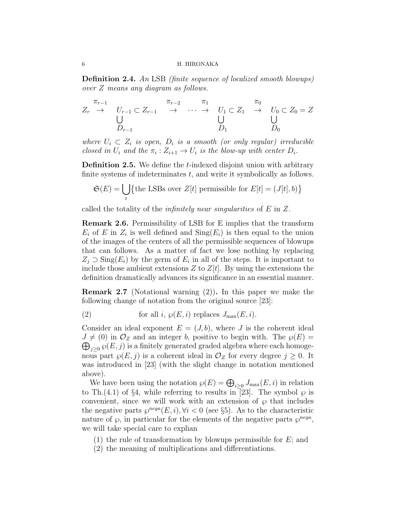Definition 2.4. An LSB (finite sequence of localized smooth blowups) over Z means any diagram as follows.

$$
Z_r \rightarrow U_{r-1} \subset Z_{r-1} \rightarrow \cdots \rightarrow U_1 \subset Z_1 \rightarrow U_0 \subset Z_0 = Z
$$
  

$$
\bigcup_{D_{r-1}}^{T_{r-1}} \longrightarrow \cdots \longrightarrow U_1 \subset Z_1 \rightarrow U_0 \subset Z_0 = Z
$$

where  $U_i \subset Z_i$  is open,  $D_i$  is a smooth (or only regular) irreducible closed in  $U_i$  and the  $\pi_i : Z_{i+1} \to U_i$  is the blow-up with center  $D_i$ .

**Definition 2.5.** We define the *t*-indexed disjoint union with arbitrary finite systems of indeterminates  $t$ , and write it symbolically as follows.

$$
\mathfrak{S}(E) = \bigcup_{t} \{ \text{the LSBs over } Z[t] \text{ permissible for } E[t] = (J[t], b) \}
$$

called the totality of the *infinitely near singularities* of  $E$  in  $Z$ .

Remark 2.6. Permissibility of LSB for E implies that the transform  $E_i$  of E in  $Z_i$  is well defined and  $\text{Sing}(E_i)$  is then equal to the union of the images of the centers of all the permissible sequences of blowups that can follows. As a matter of fact we lose nothing by replacing  $Z_j \supset \text{Sing}(E_i)$  by the germ of  $E_i$  in all of the steps. It is important to include those ambient extensions  $Z$  to  $Z[t]$ . By using the extensions the definition dramatically advances its significance in an essential manner.

**Remark 2.7** (Notational warning  $(2)$ ). In this paper we make the following change of notation from the original source [23]:

(2) for all 
$$
i
$$
,  $\wp(E, i)$  replaces  $J_{\text{max}}(E, i)$ .

Consider an ideal exponent  $E = (J, b)$ , where J is the coherent ideal  $J \neq (0)$  in  $\mathcal{O}_Z$  and an integer b, positive to begin with. The  $\wp(E) =$  $\bigoplus_{j\geq 0} \wp(E,j)$  is a finitely generated graded algebra where each homogenous part  $\wp(E, j)$  is a coherent ideal in  $\mathcal{O}_Z$  for every degree  $j \geq 0$ . It was introduced in [23] (with the slight change in notation mentioned above).

We have been using the notation  $\wp(E) = \bigoplus_{i \geq 0} J_{\max}(E, i)$  in relation to Th.(4.1) of §4, while referring to results in [23]. The symbol  $\wp$  is convenient, since we will work with an extension of  $\wp$  that includes the negative parts  $\wp^{neg}(E, i), \forall i < 0$  (see §5). As to the characteristic nature of  $\wp$ , in particular for the elements of the negative parts  $\wp^{nega}$ , we will take special care to explian

(1) the rule of transformation by blowups permissible for  $E$ ; and

(2) the meaning of multiplications and differentiations.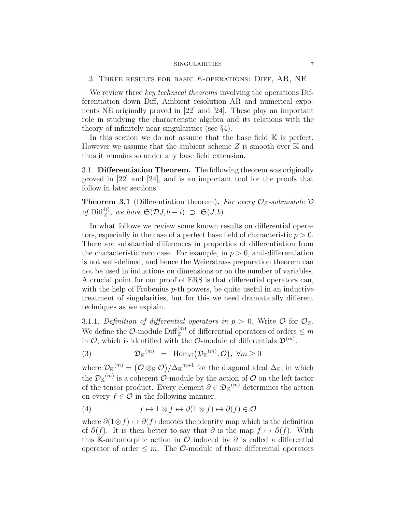#### 3. Three results for basic E-operations: Diff, AR, NE

We review three key technical theorems involving the operations Differentiation down Diff, Ambient resolution AR and numerical exponents NE originally proved in [22] and [24]. These play an important role in studying the characteristic algebra and its relations with the theory of infinitely near singularities (see §4).

In this section we do not assume that the base field  $K$  is perfect. However we assume that the ambient scheme  $Z$  is smooth over  $\mathbb K$  and thus it remains so under any base field extension.

3.1. Differentiation Theorem. The following theorem was originally proved in [22] and [24], and is an important tool for the proofs that follow in later sections.

**Theorem 3.1** (Differentiation theorem). For every  $\mathcal{O}_Z$ -submodule  $\mathcal D$ of  $\text{Diff}_Z^{(i)}$ , we have  $\mathfrak{S}(\mathcal{D}J, b - i) \supset \mathfrak{S}(J, b)$ .

In what follows we review some known results on differential operators, especially in the case of a perfect base field of characteristic  $p > 0$ . There are substantial differences in properties of differentiation from the characteristic zero case. For example, in  $p > 0$ , anti-differentiation is not well-defined, and hence the Weierstrass preparation theorem can not be used in inductions on dimensions or on the number of variables. A crucial point for our proof of ERS is that differential operators can, with the help of Frobenius  $p$ -th powers, be quite useful in an inductive treatment of singularities, but for this we need dramatically different techniques as we explain.

3.1.1. Definition of differential operators in  $p > 0$ . Write  $\mathcal{O}$  for  $\mathcal{O}_Z$ . We define the  $\mathcal{O}$ -module  $\text{Diff}_{Z}^{(m)}$  of differential operators of orders  $\leq m$ in  $\mathcal{O}$ , which is identified with the  $\mathcal{O}\text{-module}$  of differentials  $\mathfrak{D}^{(m)}$ .

(3) 
$$
\mathfrak{D}_{\mathbb{K}}^{(m)} = \text{Hom}_{\mathcal{O}}(\mathcal{D}_{\mathbb{K}}^{(m)}, \mathcal{O}), \ \forall m \ge 0
$$

where  $\mathcal{D}_{\mathbb{K}}^{(m)} = (\mathcal{O} \otimes_{\mathbb{K}} \mathcal{O})/\Delta_{\mathbb{K}}^{m+1}$  for the diagonal ideal  $\Delta_{\mathbb{K}}$ , in which the  $\mathcal{D}_{\mathbb{K}}^{(m)}$  is a coherent  $\mathcal{O}\text{-module}$  by the action of  $\mathcal{O}$  on the left factor of the tensor product. Every element  $\partial \in \mathfrak{D}_{K}^{(m)}$  determines the action on every  $f \in \mathcal{O}$  in the following manner.

(4) 
$$
f \mapsto 1 \otimes f \mapsto \partial(1 \otimes f) \mapsto \partial(f) \in \mathcal{O}
$$

where  $\partial(1\otimes f)\mapsto \partial(f)$  denotes the identity map which is the definition of  $\partial(f)$ . It is then better to say that  $\partial$  is the map  $f \mapsto \partial(f)$ . With this K-automorphic action in  $\mathcal O$  induced by  $\partial$  is called a differential operator of order  $\leq m$ . The *O*-module of those differential operators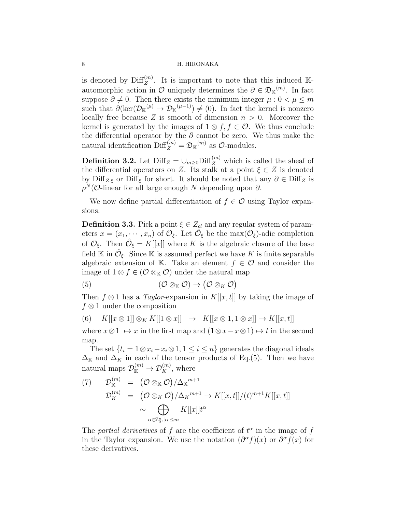is denoted by  $\text{Diff}_{Z}^{(m)}$ . It is important to note that this induced Kautomorphic action in  $\mathcal O$  uniquely determines the  $\partial \in \mathfrak{D}_\mathbb{K}^{(m)}$ . In fact suppose  $\partial \neq 0$ . Then there exists the minimum integer  $\mu : 0 < \mu \leq m$ such that  $\partial(\ker(\mathcal{D}_{\mathbb{K}}^{(\mu)} \to \mathcal{D}_{\mathbb{K}}^{(\mu-1)}) \neq (0)$ . In fact the kernel is nonzero locally free because Z is smooth of dimension  $n > 0$ . Moreover the kernel is generated by the images of  $1 \otimes f, f \in \mathcal{O}$ . We thus conclude the differential operator by the  $\partial$  cannot be zero. We thus make the natural identification  $\text{Diff}_Z^{(m)} = \mathfrak{D}_{\mathbb{K}}^{(m)}$  as  $\mathcal{O}\text{-modules.}$ 

**Definition 3.2.** Let  $\text{Diff}_Z = \cup_{m\geq 0} \text{Diff}_Z^{(m)}$  which is called the sheaf of the differential operators on Z. Its stalk at a point  $\xi \in Z$  is denoted by Diff<sub>Z,ξ</sub> or Diff<sub>ξ</sub> for short. It should be noted that any  $\partial \in \text{Diff}_Z$  is  $\rho^{N}$ (*O*-linear for all large enough N depending upon  $\partial$ .

We now define partial differentiation of  $f \in \mathcal{O}$  using Taylor expansions.

**Definition 3.3.** Pick a point  $\xi \in Z_{cl}$  and any regular system of parameters  $x = (x_1, \dots, x_n)$  of  $\mathcal{O}_{\xi}$ . Let  $\hat{\mathcal{O}}_{\xi}$  be the max $(\mathcal{O}_{\xi})$ -adic completion of  $\mathcal{O}_{\xi}$ . Then  $\hat{\mathcal{O}}_{\xi} = K[[x]]$  where K is the algebraic closure of the base field K in  $\hat{\mathcal{O}}_{\xi}$ . Since K is assumed perfect we have K is finite separable algebraic extension of K. Take an element  $f \in \mathcal{O}$  and consider the image of  $1 \otimes f \in (\mathcal{O} \otimes_{\mathbb{K}} \mathcal{O})$  under the natural map

$$
(5) \qquad \qquad (\mathcal{O}\otimes_{\mathbb{K}}\mathcal{O})\to (\mathcal{O}\otimes_{K}\mathcal{O})
$$

Then  $f \otimes 1$  has a Taylor-expansion in  $K[[x, t]]$  by taking the image of  $f \otimes 1$  under the composition

(6) 
$$
K[[x \otimes 1]] \otimes_K K[[1 \otimes x]] \rightarrow K[[x \otimes 1, 1 \otimes x]] \rightarrow K[[x, t]]
$$

where  $x \otimes 1 \mapsto x$  in the first map and  $(1 \otimes x - x \otimes 1) \mapsto t$  in the second map.

The set  $\{t_i = 1 \otimes x_i - x_i \otimes 1, 1 \leq i \leq n\}$  generates the diagonal ideals  $\Delta_K$  and  $\Delta_K$  in each of the tensor products of Eq.(5). Then we have natural maps  $\mathcal{D}_{\mathbb{K}}^{(m)} \to \mathcal{D}_{K}^{(m)}$ , where

(7) 
$$
\mathcal{D}_{\mathbb{K}}^{(m)} = (\mathcal{O} \otimes_{\mathbb{K}} \mathcal{O})/\Delta_{\mathbb{K}}^{m+1}
$$

$$
\mathcal{D}_{K}^{(m)} = (\mathcal{O} \otimes_{K} \mathcal{O})/\Delta_{K}^{m+1} \to K[[x,t]]/(t)^{m+1}K[[x,t]]
$$

$$
\sim \bigoplus_{\alpha \in \mathbb{Z}_{0}^{n}, |\alpha| \leq m} K[[x]]t^{\alpha}
$$

The partial derivatives of f are the coefficient of  $t^{\alpha}$  in the image of f in the Taylor expansion. We use the notation  $(\partial^{\alpha} f)(x)$  or  $\partial^{\alpha} f(x)$  for these derivatives.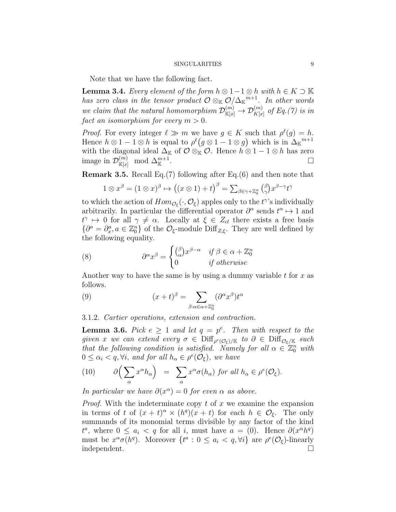Note that we have the following fact.

**Lemma 3.4.** Every element of the form  $h \otimes 1-1 \otimes h$  with  $h \in K \supset \mathbb{K}$ has zero class in the tensor product  $\mathcal{O}\otimes_{\mathbb{K}}\mathcal{O}/\Delta_{\mathbb{K}}{}^{m+1}$ . In other words we claim that the natural homomorphism  $\mathcal{D}_{\mathbb{K}[x]}^{(m)} \to \mathcal{D}_{K[x]}^{(m)}$  of Eq.(7) is in fact an isomorphism for every  $m > 0$ .

*Proof.* For every integer  $\ell \gg m$  we have  $g \in K$  such that  $\rho^{\ell}(g) = h$ . Hence  $h \otimes 1 - 1 \otimes h$  is equal to  $\rho^{\ell}(g \otimes 1 - 1 \otimes g)$  which is in  $\Delta_{\mathbb{K}}^{\mathfrak{m}+1}$ with the diagonal ideal  $\Delta_{\mathbb{K}}$  of  $\mathcal{O} \otimes_{\mathbb{K}} \mathcal{O}$ . Hence  $h \otimes 1 - 1 \otimes h$  has zero image in  $\mathcal{D}_{\mathbb{K}[x]}^{(m)} \mod \Delta_{\mathbb{K}}^{m+1}$ .

Remark 3.5. Recall Eq.(7) following after Eq.(6) and then note that

$$
1 \otimes x^{\beta} = (1 \otimes x)^{\beta} \mapsto ((x \otimes 1) + t)^{\beta} = \sum_{\beta \in \gamma + \mathbb{Z}_0^n} {(\beta \choose \gamma} x^{\beta - \gamma} t^{\gamma}
$$

to which the action of  $Hom_{\mathcal{O}_{\xi}}(\cdot,\mathcal{O}_{\xi})$  apples only to the  $t^{\gamma}$ 's individually arbitrarily. In particular the differential operator  $\partial^{\alpha}$  sends  $t^{\alpha} \mapsto 1$  and  $t^{\gamma} \mapsto 0$  for all  $\gamma \neq \alpha$ . Locally at  $\xi \in Z_{cl}$  there exists a free basis  $\{\partial^a = \partial_x^a, a \in \mathbb{Z}_0^n\}$  of the  $\mathcal{O}_{\xi}$ -module Diff<sub>Z, $\xi$ </sub>. They are well defined by the following equality.

(8) 
$$
\partial^{\alpha} x^{\beta} = \begin{cases} {(\beta \atop \alpha} x^{\beta - \alpha} & \text{if } \beta \in \alpha + \mathbb{Z}_0^n \\ 0 & \text{if otherwise} \end{cases}
$$

Another way to have the same is by using a dummy variable t for  $x$  as follows.

(9) 
$$
(x+t)^{\beta} = \sum_{\beta:\alpha \in \alpha + \mathbb{Z}_0^n} (\partial^{\alpha} x^{\beta}) t^{\alpha}
$$

3.1.2. Cartier operations, extension and contraction.

**Lemma 3.6.** Pick  $e \geq 1$  and let  $q = p^e$ . Then with respect to the given x we can extend every  $\sigma \in \mathrm{Diff}_{\rho^e(\mathcal{O}_\xi)/\mathbb{K}}$  to  $\partial \in \mathrm{Diff}_{\mathcal{O}_\xi/\mathbb{K}}$  such that the following condition is satisfied. Namely for all  $\alpha \in \mathbb{Z}_0^n$  with  $0 \leq \alpha_i < q, \forall i$ , and for all  $h_\alpha \in \rho^e(\mathcal{O}_\xi)$ , we have

(10) 
$$
\partial \left( \sum_{\alpha} x^{\alpha} h_{\alpha} \right) = \sum_{\alpha} x^{\alpha} \sigma(h_{\alpha}) \text{ for all } h_{\alpha} \in \rho^{e}(\mathcal{O}_{\xi}).
$$

In particular we have  $\partial(x^{\alpha}) = 0$  for even  $\alpha$  as above.

*Proof.* With the indeterminate copy  $t$  of  $x$  we examine the expansion in terms of t of  $(x + t)^{\alpha} \times (h^q)(x + t)$  for each  $h \in \mathcal{O}_{\xi}$ . The only summands of its monomial terms divisible by any factor of the kind  $t^a$ , where  $0 \le a_i < q$  for all i, must have  $a = (0)$ . Hence  $\partial(x^{\alpha}h^q)$ must be  $x^{\alpha}\sigma(h^q)$ . Moreover  $\{t^a: 0 \leq a_i < q, \forall i\}$  are  $\rho^e(\mathcal{O}_\xi)$ -linearly independent.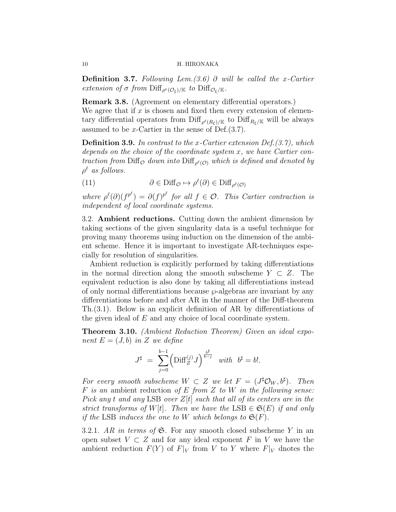Definition 3.7. Following Lem.(3.6) ∂ will be called the x-Cartier extension of  $\sigma$  from  $\text{Diff}_{\rho^e(\mathcal{O}_\xi)/\mathbb{K}}$  to  $\text{Diff}_{\mathcal{O}_\xi/\mathbb{K}}$ .

Remark 3.8. (Agreement on elementary differential operators.) We agree that if  $x$  is chosen and fixed then every extension of elementary differential operators from  $\text{Diff}_{\rho^{\ell}(R_{\xi})/\mathbb{K}}$  to  $\text{Diff}_{R_{\xi}/\mathbb{K}}$  will be always assumed to be x-Cartier in the sense of Def. $(3.7)$ .

**Definition 3.9.** In contrast to the x-Cartier extension Def. $(3.7)$ , which depends on the choice of the coordinate system  $x$ , we have Cartier contraction from  $\text{Diff}_{\mathcal{O}}$  down into  $\text{Diff}_{\rho^{\ell}(\mathcal{O})}$  which is defined and denoted by  $\rho^{\ell}$  as follows.

(11) 
$$
\partial \in \text{Diff}_{\mathcal{O}} \mapsto \rho^{\ell}(\partial) \in \text{Diff}_{\rho^{\ell}(\mathcal{O})}
$$

where  $\rho^{\ell}(\partial)(f^{p^{\ell}}) = \partial(f)^{p^{\ell}}$  for all  $f \in \mathcal{O}$ . This Cartier contraction is independent of local coordinate systems.

3.2. Ambient reductions. Cutting down the ambient dimension by taking sections of the given singularity data is a useful technique for proving many theorems using induction on the dimension of the ambient scheme. Hence it is important to investigate AR-techniques especially for resolution of singularities.

Ambient reduction is explicitly performed by taking differentiations in the normal direction along the smooth subscheme  $Y \subset Z$ . The equivalent reduction is also done by taking all differentiations instead of only normal differentiations because  $\wp$ -algebras are invariant by any differentiations before and after AR in the manner of the Diff-theorem Th.(3.1). Below is an explicit definition of AR by differentiations of the given ideal of E and any choice of local coordinate system.

Theorem 3.10. (Ambient Reduction Theorem) Given an ideal exponent  $E = (J, b)$  in Z we define

$$
J^\sharp \ = \ \sum_{j=0}^{b-1} \Bigl({\rm Diff}_Z^{(j)} J\Bigr)^{\frac{b^\sharp}{b-j}} \quad with \ \ b^\sharp = b!.
$$

For every smooth subscheme  $W \subset Z$  we let  $F = (J^{\sharp} \mathcal{O}_W, b^{\sharp})$ . Then F is an ambient reduction of E from Z to W in the following sense: Pick any t and any LSB over  $Z[t]$  such that all of its centers are in the strict transforms of W[t]. Then we have the LSB  $\in \mathfrak{S}(E)$  if and only if the LSB induces the one to W which belongs to  $\mathfrak{S}(F)$ .

3.2.1. AR in terms of  $\mathfrak{S}$ . For any smooth closed subscheme Y in an open subset  $V \subset Z$  and for any ideal exponent F in V we have the ambient reduction  $F(Y)$  of  $F|_V$  from V to Y where  $F|_V$  dnotes the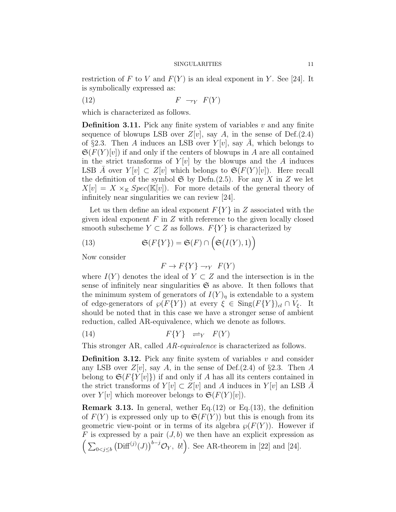restriction of F to V and  $F(Y)$  is an ideal exponent in Y. See [24]. It is symbolically expressed as:

$$
(12) \t\t\t F \to_Y F(Y)
$$

which is characterized as follows.

**Definition 3.11.** Pick any finite system of variables  $v$  and any finite sequence of blowups LSB over  $Z[v]$ , say A, in the sense of Def.(2.4) of §2.3. Then A induces an LSB over  $Y[v]$ , say A, which belongs to  $\mathfrak{S}(F(Y)[v])$  if and only if the centers of blowups in A are all contained in the strict transforms of  $Y[v]$  by the blowups and the A induces LSB A over  $Y[v] \subset Z[v]$  which belongs to  $\mathfrak{S}(F(Y)[v])$ . Here recall the definition of the symbol  $\mathfrak{S}$  by Defn.(2.5). For any X in Z we let  $X[v] = X \times_{\mathbb{K}} Spec(\mathbb{K}[v])$ . For more details of the general theory of infinitely near singularities we can review [24].

Let us then define an ideal exponent  $F{Y}$  in Z associated with the given ideal exponent  $F$  in  $Z$  with reference to the given locally closed smooth subscheme  $Y \subset Z$  as follows.  $F\{Y\}$  is characterized by

(13) 
$$
\mathfrak{S}(F\{Y\}) = \mathfrak{S}(F) \cap \Big(\mathfrak{S}(I(Y),1)\Big)
$$

Now consider

$$
F \to F\{Y\} \to_Y F(Y)
$$

where  $I(Y)$  denotes the ideal of  $Y \subset Z$  and the intersection is in the sense of infinitely near singularities  $\mathfrak S$  as above. It then follows that the minimum system of generators of  $I(Y)_\eta$  is extendable to a system of edge-generators of  $\wp(F\{Y\})$  at every  $\xi \in \text{Sing}(F\{Y\})_{cl} \cap V_{\xi}$ . It should be noted that in this case we have a stronger sense of ambient reduction, called AR-equivalence, which we denote as follows.

$$
(14) \tF{Y} \Rightarrow_{Y} F(Y)
$$

This stronger AR, called AR-equivalence is characterized as follows.

**Definition 3.12.** Pick any finite system of variables  $v$  and consider any LSB over  $Z[v]$ , say A, in the sense of Def.(2.4) of §2.3. Then A belong to  $\mathfrak{S}(F\{Y[v]\})$  if and only if A has all its centers contained in the strict transforms of  $Y[v] \subset Z[v]$  and A induces in  $Y[v]$  an LSB A over  $Y[v]$  which moreover belongs to  $\mathfrak{S}(F(Y)[v])$ .

**Remark 3.13.** In general, wether Eq.  $(12)$  or Eq.  $(13)$ , the definition of  $F(Y)$  is expressed only up to  $\mathfrak{S}(F(Y))$  but this is enough from its geometric view-point or in terms of its algebra  $\wp(F(Y))$ . However if F is expressed by a pair  $(J, b)$  we then have an explicit expression as  $\left(\sum_{0 < j \leq b} \left(\text{Diff}^{(j)}(J)\right)^{b-j} \mathcal{O}_Y, b!\right)$ . See AR-theorem in [22] and [24].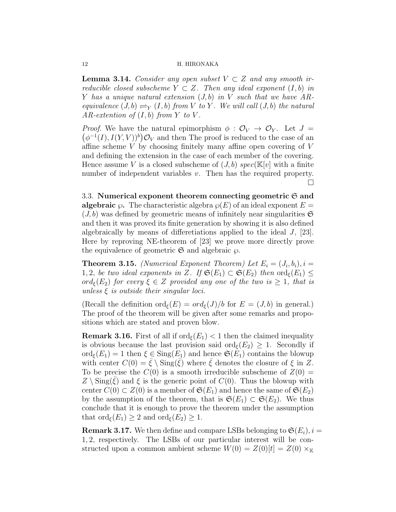**Lemma 3.14.** Consider any open subset  $V \subset Z$  and any smooth irreducible closed subscheme  $Y \subset Z$ . Then any ideal exponent  $(I, b)$  in Y has a unique natural extension  $(J, b)$  in V such that we have ARequivalence  $(J, b) \rightleftharpoons_Y (I, b)$  from V to Y. We will call  $(J, b)$  the natural AR-extention of  $(I, b)$  from Y to V.

 $(\phi^{-1}(I), I(Y, V))^b$   $\mathcal{O}_V$  and then The proof is reduced to the case of an *Proof.* We have the natural epimorphism  $\phi : \mathcal{O}_V \to \mathcal{O}_Y$ . Let  $J =$ affine scheme V by choosing finitely many affine open covering of V and defining the extension in the case of each member of the covering. Hence assume V is a closed subscheme of  $(J, b)$  spec( $\mathbb{K}[v]$  with a finite number of independent variables v. Then has the required property. П

3.3. Numerical exponent theorem connecting geometric  $\mathfrak S$  and **algebraic**  $\wp$ . The characteristic algebra  $\wp(E)$  of an ideal exponent  $E =$  $(J, b)$  was defined by geometric means of infinitely near singularities  $\mathfrak{S}$ and then it was proved its finite generation by showing it is also defined algebraically by means of differetiations applied to the ideal J, [23]. Here by reproving NE-theorem of [23] we prove more directly prove the equivalence of geometric  $\mathfrak{S}$  and algebraic  $\varphi$ .

**Theorem 3.15.** (Numerical Exponent Theorem) Let  $E_i = (J_i, b_i), i =$ 1, 2, be two ideal exponents in Z. If  $\mathfrak{S}(E_1) \subset \mathfrak{S}(E_2)$  then  $\text{ord}_{\xi}(E_1) \leq$  $ord_{\xi}(E_2)$  for every  $\xi \in Z$  provided any one of the two is  $\geq 1$ , that is unless  $\xi$  is outside their singular loci.

(Recall the definition ord $_{\xi}(E) = ord_{\xi}(J)/b$  for  $E = (J, b)$  in general.) The proof of the theorem will be given after some remarks and propositions which are stated and proven blow.

**Remark 3.16.** First of all if  $\text{ord}_{\epsilon}(E_1) < 1$  then the claimed inequality is obvious because the last provision said ord $\epsilon(E_2) > 1$ . Secondly if  $\text{ord}_{\epsilon}(E_1) = 1$  then  $\xi \in \text{Sing}(E_1)$  and hence  $\mathfrak{S}(E_1)$  contains the blowup with center  $C(0) = \xi \setminus \text{Sing}(\xi)$  where  $\xi$  denotes the closure of  $\xi$  in Z. To be precise the  $C(0)$  is a smooth irreducible subscheme of  $Z(0) =$  $Z \setminus Sing(\xi)$  and  $\xi$  is the generic point of  $C(0)$ . Thus the blowup with center  $C(0) \subset Z(0)$  is a member of  $\mathfrak{S}(E_1)$  and hence the same of  $\mathfrak{S}(E_2)$ by the assumption of the theorem, that is  $\mathfrak{S}(E_1) \subset \mathfrak{S}(E_2)$ . We thus conclude that it is enough to prove the theorem under the assumption that  $\text{ord}_{\epsilon}(E_1) \geq 2$  and  $\text{ord}_{\epsilon}(E_2) \geq 1$ .

**Remark 3.17.** We then define and compare LSBs belonging to  $\mathfrak{S}(E_i)$ ,  $i =$ 1, 2, respectively. The LSBs of our particular interest will be constructed upon a common ambient scheme  $W(0) = Z(0)[t] = Z(0) \times_{\mathbb{K}}$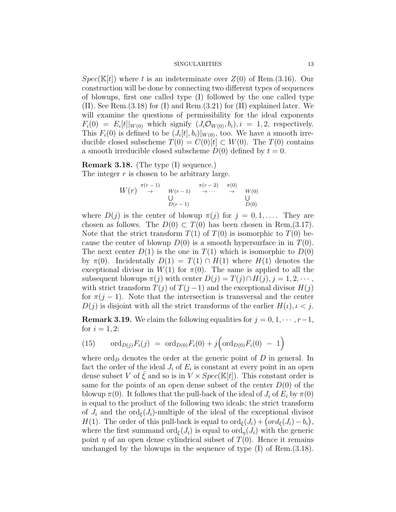$Spec(K[t])$  where t is an indeterminate over  $Z(0)$  of Rem.(3.16). Our construction will be done by connecting two different types of sequences of blowups, first one called type (I) followed by the one called type (II). See Rem.(3.18) for (I) and Rem.(3.21) for (II) explained later. We will examine the questions of permissibility for the ideal exponents  $F_i(0) = E_i[t]|_{W(0)}$  which signify  $(J_i\mathcal{O}_{W(0)}, b_i), i = 1, 2$ , respectively. This  $F_i(0)$  is defined to be  $(J_i[t], b_i)|_{W(0)}$ , too. We have a smooth irreducible closed subscheme  $T(0) = C(0)[t] \subset W(0)$ . The  $T(0)$  contains a smooth irreducible closed subscheme  $D(0)$  defined by  $t = 0$ .

# Remark 3.18. (The type (I) sequence.)

The integer  $r$  is chosen to be arbitrary large.

$$
W(r) \stackrel{\pi(r-1)}{\rightarrow} W(r-1) \stackrel{\pi(r-2)}{\rightarrow} \cdots \stackrel{\pi(0)}{\rightarrow} W(0)
$$
  
 
$$
U
$$
  

$$
D(r-1)
$$

where  $D(j)$  is the center of blowup  $\pi(j)$  for  $j = 0, 1, \ldots$ . They are chosen as follows. The  $D(0) \subset T(0)$  has been chosen in Rem,(3.17). Note that the strict transform  $T(1)$  of  $T(0)$  is isomorphic to  $T(0)$  because the center of blowup  $D(0)$  is a smooth hypersurface in in  $T(0)$ . The next center  $D(1)$  is the one in  $T(1)$  which is isomorphic to  $D(0)$ by  $\pi(0)$ . Incidentally  $D(1) = T(1) \cap H(1)$  where  $H(1)$  denotes the exceptional divisor in  $W(1)$  for  $\pi(0)$ . The same is applied to all the subsequent blowups  $\pi(j)$  with center  $D(j) = T(j) \cap H(j), j = 1, 2, \cdots$ , with strict transform  $T(j)$  of  $T(j-1)$  and the exceptional divisor  $H(j)$ for  $\pi(j-1)$ . Note that the intersection is transversal and the center  $D(j)$  is disjoint with all the strict transforms of the earlier  $H(\iota), \iota < j$ .

**Remark 3.19.** We claim the following equalities for  $j = 0, 1, \dots, r-1$ , for  $i = 1, 2$ :

(15) 
$$
\text{ord}_{D(j)}F_i(j) = \text{ord}_{D(0)}F_i(0) + j\left(\text{ord}_{D(0)}F_i(0) - 1\right)
$$

where  $\text{ord}_D$  denotes the order at the generic point of D in general. In fact the order of the ideal  $J_i$  of  $E_i$  is constant at every point in an open dense subset V of  $\xi$  and so is in  $V \times Spec(K[t])$ . This constant order is same for the points of an open dense subset of the center  $D(0)$  of the blowup  $\pi(0)$ . It follows that the pull-back of the ideal of  $J_i$  of  $E_i$  by  $\pi(0)$ is equal to the product of the following two ideals; the strict transform of  $J_i$  and the ord<sub> $\xi$ </sub> $(J_i)$ -multiple of the ideal of the exceptional divisor H(1). The order of this pull-back is equal to  $\text{ord}_{\xi}(J_i) + (\text{ord}_{\xi}(J_i) - b_i),$ where the first summand  $\text{ord}_{\epsilon}(J_i)$  is equal to  $\text{ord}_{n}(J_i)$  with the generic point  $\eta$  of an open dense cylindrical subset of  $T(0)$ . Hence it remains unchanged by the blowups in the sequence of type  $(I)$  of Rem. $(3.18)$ .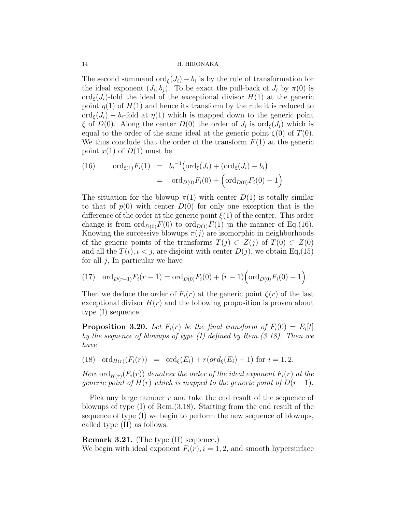The second summand  $\text{ord}_{\xi}(J_i) - b_i$  is by the rule of transformation for the ideal exponent  $(J_i, b_j)$ . To be exact the pull-back of  $J_i$  by  $\pi(0)$  is  $\text{ord}_{\xi}(J_i)$ -fold the ideal of the exceptional divisor  $H(1)$  at the generic point  $\eta(1)$  of  $H(1)$  and hence its transform by the rule it is reduced to  $\text{ord}_{\epsilon}(J_i) - b_i$ -fold at  $\eta(1)$  which is mapped down to the generic point  $\xi$  of  $D(0)$ . Along the center  $D(0)$  the order of  $J_i$  is  $\text{ord}_{\xi}(J_i)$  which is equal to the order of the same ideal at the generic point  $\zeta(0)$  of  $T(0)$ . We thus conclude that the order of the transform  $F(1)$  at the generic point  $x(1)$  of  $D(1)$  must be

(16) 
$$
\operatorname{ord}_{\xi(1)} F_i(1) = b_i^{-1} (\operatorname{ord}_{\xi}(J_i) + (\operatorname{ord}_{\xi}(J_i) - b_i))
$$

$$
= \operatorname{ord}_{D(0)} F_i(0) + (\operatorname{ord}_{D(0)} F_i(0) - 1)
$$

The situation for the blowup  $\pi(1)$  with center  $D(1)$  is totally similar to that of  $p(0)$  with center  $D(0)$  for only one exception that is the difference of the order at the generic point  $\xi(1)$  of the center. This order change is from  $\text{ord}_{D(0)}F(0)$  to  $\text{ord}_{D(1)}F(1)$  jn the manner of Eq.(16). Knowing the successive blowups  $\pi(j)$  are isomorphic in neighborhoods of the generic points of the transforms  $T(j) \subset Z(j)$  of  $T(0) \subset Z(0)$ and all the  $T(\iota), \iota < j$ , are disjoint with center  $D(j)$ , we obtain Eq.(15) for all  $j$ , In particular we have

(17) 
$$
\operatorname{ord}_{D(r-1)} F_i(r-1) = \operatorname{ord}_{D(0)} F_i(0) + (r-1) \left( \operatorname{ord}_{D(0)} F_i(0) - 1 \right)
$$

Then we deduce the order of  $F_i(r)$  at the generic point  $\zeta(r)$  of the last exceptional divisor  $H(r)$  and the following proposition is proven about type (I) sequence.

**Proposition 3.20.** Let  $F_i(r)$  be the final transform of  $F_i(0) = E_i[t]$ by the sequence of blowups of type (I) defined by Rem.(3.18). Then we have

(18) ord $_{H(r)}(F_i(r)) = \text{ord}_{\xi}(E_i) + r(\text{ord}_{\xi}(E_i) - 1)$  for  $i = 1, 2$ .

Here  $\text{ord}_{H(r)}(F_i(r))$  denotesx the order of the ideal exponent  $F_i(r)$  at the generic point of  $H(r)$  which is mapped to the generic point of  $D(r-1)$ .

Pick any large number  $r$  and take the end result of the sequence of blowups of type (I) of Rem.(3.18). Starting from the end result of the sequence of type (I) we begin to perform the new sequence of blowups, called type (II) as follows.

Remark 3.21. (The type (II) sequence.) We begin with ideal exponent  $F_i(r)$ ,  $i = 1, 2$ , and smooth hypersurface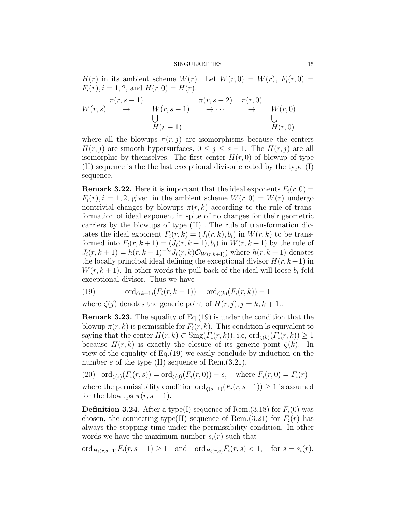$H(r)$  in its ambient scheme  $W(r)$ . Let  $W(r, 0) = W(r)$ ,  $F_i(r, 0) =$  $F_i(r), i = 1, 2, \text{ and } H(r, 0) = H(r).$ 

$$
W(r,s) \xrightarrow{\pi(r,s-1)} W(r,s-1) \xrightarrow{\pi(r,s-2)} \pi(r,0)
$$
  
\n
$$
\bigcup_{H(r-1)}^{H(r,s-1)} W(r,0)
$$

where all the blowups  $\pi(r, j)$  are isomorphisms because the centers  $H(r, j)$  are smooth hypersurfaces,  $0 \leq j \leq s - 1$ . The  $H(r, j)$  are all isomorphic by themselves. The first center  $H(r, 0)$  of blowup of type (II) sequence is the the last exceptional divisor created by the type (I) sequence.

**Remark 3.22.** Here it is important that the ideal exponents  $F_i(r, 0) =$  $F_i(r)$ ,  $i = 1, 2$ , given in the ambient scheme  $W(r, 0) = W(r)$  undergo nontrivial changes by blowups  $\pi(r, k)$  according to the rule of transformation of ideal exponent in spite of no changes for their geometric carriers by the blowups of type (II) . The rule of transformation dictates the ideal exponent  $F_i(r, k) = (J_i(r, k), b_i)$  in  $W(r, k)$  to be transformed into  $F_i(r, k+1) = (J_i(r, k+1), b_i)$  in  $W(r, k+1)$  by the rule of  $J_i(r, k+1) = h(r, k+1)^{-b_j} J_i(r, k) \mathcal{O}_{W(r, k+1)}$  where  $h(r, k+1)$  denotes the locally principal ideal defining the exceptional divisor  $H(r, k+1)$  in  $W(r, k+1)$ . In other words the pull-back of the ideal will loose  $b_i$ -fold exceptional divisor. Thus we have

(19) 
$$
\text{ord}_{\zeta(k+1)}(F_i(r, k+1)) = \text{ord}_{\zeta(k)}(F_i(r, k)) - 1
$$

where  $\zeta(j)$  denotes the generic point of  $H(r, j), j = k, k + 1$ .

Remark 3.23. The equality of Eq.(19) is under the condition that the blowup  $\pi(r, k)$  is permissible for  $F_i(r, k)$ . This condition ls equivalent to saying that the center  $H(r, k) \subset \text{Sing}(F_i(r, k))$ , i.e,  $\text{ord}_{\mathcal{C}(k)}(F_i(r, k)) \geq 1$ because  $H(r, k)$  is exactly the closure of its generic point  $\zeta(k)$ . In view of the equality of Eq.(19) we easily conclude by induction on the number e of the type (II) sequence of Rem.  $(3.21)$ .

(20) ord<sub> $\zeta(s)(F_i(r, s)) = \text{ord}_{\zeta(0)}(F_i(r, 0)) - s$ , where  $F_i(r, 0) = F_i(r)$ </sub>

where the permissibility condition ord<sub> $\zeta(s-1)(F_i(r, s-1)) \geq 1$  is assumed</sub> for the blowups  $\pi(r, s-1)$ .

**Definition 3.24.** After a type(I) sequence of Rem.(3.18) for  $F_i(0)$  was chosen, the connecting type(II) sequence of Rem.(3.21) for  $F_i(r)$  has always the stopping time under the permissibility condition. In other words we have the maximum number  $s_i(r)$  such that

ord<sub>H<sub>i</sub>(r,s−1)</sub>F<sub>i</sub>(r,s−1) ≥ 1 and ord<sub>H<sub>i</sub>(r,s)F<sub>i</sub>(r,s) < 1, for  $s = s_i(r)$ .</sub>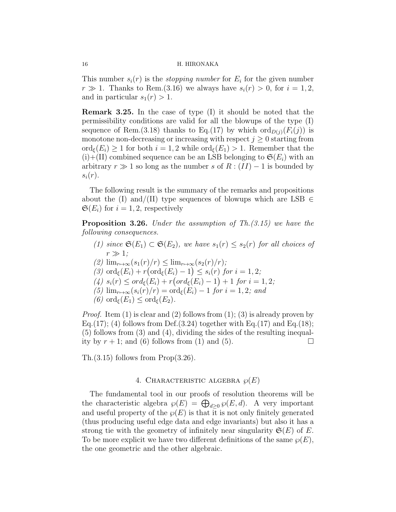This number  $s_i(r)$  is the *stopping number* for  $E_i$  for the given number  $r \gg 1$ . Thanks to Rem.(3.16) we always have  $s_i(r) > 0$ , for  $i = 1, 2$ , and in particular  $s_1(r) > 1$ .

Remark 3.25. In the case of type (I) it should be noted that the permissibility conditions are valid for all the blowups of the type (I) sequence of Rem.(3.18) thanks to Eq.(17) by which  $\text{ord}_{D(i)}(F_i(j))$  is monotone non-decreasing or increasing with respect  $j \geq 0$  starting from  $\text{ord}_{\epsilon}(E_i) \geq 1$  for both  $i = 1, 2$  while  $\text{ord}_{\epsilon}(E_1) > 1$ . Remember that the  $(i)+(II)$  combined sequence can be an LSB belonging to  $\mathfrak{S}(E_i)$  with an arbitrary  $r \gg 1$  so long as the number s of  $R : (II) - 1$  is bounded by  $s_i(r)$ .

The following result is the summary of the remarks and propositions about the (I) and/(II) type sequences of blowups which are LSB  $\in$  $\mathfrak{S}(E_i)$  for  $i = 1, 2$ , respectively

**Proposition 3.26.** Under the assumption of  $Th.(3.15)$  we have the following consequences.

- (1) since  $\mathfrak{S}(E_1) \subset \mathfrak{S}(E_2)$ , we have  $s_1(r) \leq s_2(r)$  for all choices of  $r \gg 1$ :
- $(2)$   $\lim_{r\to\infty}$  $(s_1(r)/r) \leq \lim_{r\to\infty}$  $(s_2(r)/r);$
- (3)  $\operatorname{ord}_{\xi}(E_i) + r(\operatorname{ord}_{\xi}(E_i) 1) \leq s_i(r)$  for  $i = 1, 2;$
- $(4)$   $s_i(r) \leq \text{ord}_{\xi}(E_i) + r(\text{ord}_{\xi}(E_i) 1) + 1$  for  $i = 1, 2;$
- $(5)$  lim<sub>r→∞</sub> $(s_i(r)/r) = \text{ord}_{\xi}(E_i) 1$  for  $i = 1, 2$ ; and
- (6) ord<sub> $\xi(E_1) \leq \text{ord}_{\xi}(E_2)$ .</sub>

*Proof.* Item (1) is clear and (2) follows from (1); (3) is already proven by Eq.(17); (4) follows from Def.(3.24) together with Eq.(17) and Eq.(18); (5) follows from (3) and (4), dividing the sides of the resulting inequality by  $r + 1$ ; and (6) follows from (1) and (5).

Th.(3.15) follows from Prop(3.26).

#### 4. CHARACTERISTIC ALGEBRA  $\wp(E)$

The fundamental tool in our proofs of resolution theorems will be the characteristic algebra  $\wp(E) = \bigoplus_{d \geq 0} \wp(E, d)$ . A very important and useful property of the  $\wp(E)$  is that it is not only finitely generated (thus producing useful edge data and edge invariants) but also it has a strong tie with the geometry of infinitely near singularity  $\mathfrak{S}(E)$  of E. To be more explicit we have two different definitions of the same  $\varphi(E)$ , the one geometric and the other algebraic.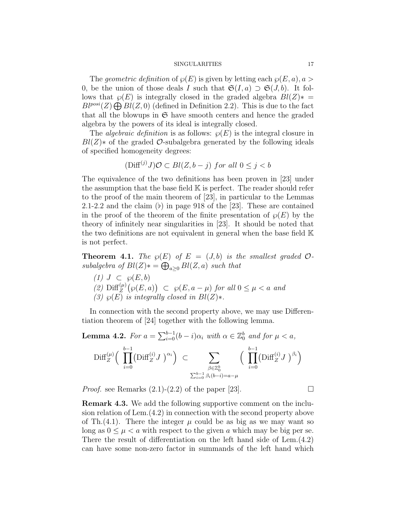The geometric definition of  $\varphi(E)$  is given by letting each  $\varphi(E, a), a >$ 0, be the union of those deals I such that  $\mathfrak{S}(I, a) \supset \mathfrak{S}(J, b)$ . It follows that  $\varphi(E)$  is integrally closed in the graded algebra  $Bl(Z)*=$  $Bl^{posi}(Z) \bigoplus Bl(Z, 0)$  (defined in Definition 2.2). This is due to the fact that all the blowups in  $\mathfrak S$  have smooth centers and hence the graded algebra by the powers of its ideal is integrally closed.

The *algebraic definition* is as follows:  $\wp(E)$  is the integral closure in  $Bl(Z)$ <sup>\*</sup> of the graded  $\mathcal{O}$ -subalgebra generated by the following ideals of specified homogeneity degrees:

$$
(\text{Diff}^{(j)} J)\mathcal{O} \subset Bl(Z, b - j) \text{ for all } 0 \le j < b
$$

The equivalence of the two definitions has been proven in [23] under the assumption that the base field  $K$  is perfect. The reader should refer to the proof of the main theorem of [23], in particular to the Lemmas 2.1-2.2 and the claim  $(b)$  in page 918 of the [23]. These are contained in the proof of the theorem of the finite presentation of  $\wp(E)$  by the theory of infinitely near singularities in [23]. It should be noted that the two definitions are not equivalent in general when the base field K is not perfect.

**Theorem 4.1.** The  $\varphi(E)$  of  $E = (J, b)$  is the smallest graded  $\mathcal{O}$ subalgebra of  $Bl(Z)$ \* =  $\bigoplus_{a\geq 0} Bl(Z, a)$  such that

(1)  $J \subset \wp(E, b)$ (2)  $\text{Diff}_{Z}^{(\mu)}(\wp(E,a)) \subset \wp(E,a-\mu)$  for all  $0 \leq \mu < a$  and (3)  $\wp(E)$  is integrally closed in  $Bl(Z)*$ .

In connection with the second property above, we may use Differentiation theorem of [24] together with the following lemma.

**Lemma 4.2.** For  $a = \sum_{i=0}^{b-1} (b-i)\alpha_i$  with  $\alpha \in \mathbb{Z}_0^b$  and for  $\mu < a$ , Diff $\binom{\mu}{Z}$   $\left( \prod_{i=1}^{b-1} \right)$  $i=0$  $\left(\text{Diff}_{Z}^{(i)}J\ \right)^{\alpha_{i}}\Big)\subset\qquad\sum$  $β∈\mathbb{Z}_0^b$ <br>  $\sum_{i=0}^{b-1} β_i(b-i)=a-\mu$  $\int \prod^{b-1}$  $i=0$  $\left(\text{Diff}_Z^{(i)} J\ \right)^{\beta_i}$ 

*Proof.* see Remarks  $(2.1)-(2.2)$  of the paper [23].

Remark 4.3. We add the following supportive comment on the inclusion relation of Lem.(4.2) in connection with the second property above of Th.(4.1). There the integer  $\mu$  could be as big as we may want so long as  $0 \leq \mu \leq a$  with respect to the given a which may be big per se. There the result of differentiation on the left hand side of Lem.(4.2) can have some non-zero factor in summands of the left hand which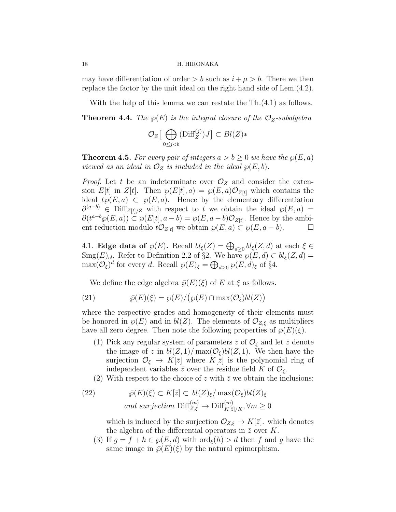may have differentiation of order  $> b$  such as  $i + \mu > b$ . There we then replace the factor by the unit ideal on the right hand side of Lem.(4.2).

With the help of this lemma we can restate the Th.(4.1) as follows. **Theorem 4.4.** The  $\wp(E)$  is the integral closure of the  $\mathcal{O}_Z$ -subalgebra

$$
\mathcal{O}_Z\big[\bigoplus_{0\leq j
$$

**Theorem 4.5.** For every pair of integers  $a > b \geq 0$  we have the  $\wp(E, a)$ viewed as an ideal in  $\mathcal{O}_Z$  is included in the ideal  $\wp(E, b)$ .

*Proof.* Let t be an indeterminate over  $\mathcal{O}_Z$  and consider the extension E[t] in Z[t]. Then  $\wp(E[t], a) = \wp(E, a)\mathcal{O}_{Z[t]}$  which contains the ideal  $t\wp(E, a) \subset \wp(E, a)$ . Hence by the elementary differentiation  $\partial^{(a-b)} \in \text{Diff}_{Z[t]/Z}$  with respect to t we obtain the ideal  $\wp(E, a)$  $\partial(t^{a-b}\wp(E,a)) \subset \wp(E[t],a-b) = \wp(E,a-b)\mathcal{O}_{Z[t]}$ . Hence by the ambient reduction modulo  $t\mathcal{O}_{Z[t]}$  we obtain  $\wp(E, a) \subset \wp(E, a - b)$ .  $\Box$ 

4.1. **Edge data of**  $\wp(E)$ . Recall  $bl_{\xi}(Z) = \bigoplus_{d \geq 0} bl_{\xi}(Z, d)$  at each  $\xi \in \mathbb{C}$  $\text{Sing}(E)_{cl}$ . Refer to Definition 2.2 of §2. We have  $\wp(E,d) \subset bl_{\xi}(Z,d) =$  $\max(\mathcal{O}_{\xi})^d$  for every d. Recall  $\wp(E)_{\xi} = \bigoplus_{d \geq 0} \wp(E, d)_{\xi}$  of §4.

We define the edge algebra  $\bar{\wp}(E)(\xi)$  of E at  $\xi$  as follows.

(21) 
$$
\bar{\wp}(E)(\xi) = \wp(E)/(\wp(E) \cap \max(\mathcal{O}_{\xi})bl(Z))
$$

where the respective grades and homogeneity of their elements must be honored in  $\varphi(E)$  and in  $bl(Z)$ . The elements of  $\mathcal{O}_{Z,\xi}$  as multipliers have all zero degree. Then note the following properties of  $\bar{\wp}(E)(\xi)$ .

- (1) Pick any regular system of parameters z of  $\mathcal{O}_{\xi}$  and let  $\bar{z}$  denote the image of z in  $bl(Z, 1)/\max(\mathcal{O}_\xi)bl(Z, 1)$ . We then have the surjection  $\mathcal{O}_{\xi} \to K[\bar{z}]$  where  $K[\bar{z}]$  is the polynomial ring of independent variables  $\bar{z}$  over the residue field K of  $\mathcal{O}_{\xi}$ .
- (2) With respect to the choice of z with  $\bar{z}$  we obtain the inclusions:

(22) 
$$
\bar{\wp}(E)(\xi) \subset K[\bar{z}] \subset bl(Z)_{\xi}/\max(\mathcal{O}_{\xi})bl(Z)_{\xi}
$$
  
and surjection  $\text{Diff}^{(m)}_{Z,\xi} \to \text{Diff}^{(m)}_{K[\bar{z}]/K}, \forall m \ge 0$ 

which is induced by the surjection  $\mathcal{O}_{Z,\xi} \to K[\bar{z}]$ . which denotes the algebra of the differential operators in  $\bar{z}$  over K.

(3) If  $g = f + h \in \mathcal{P}(E, d)$  with  $\text{ord}_{\xi}(h) > d$  then f and g have the same image in  $\bar{\wp}(E)(\xi)$  by the natural epimorphism.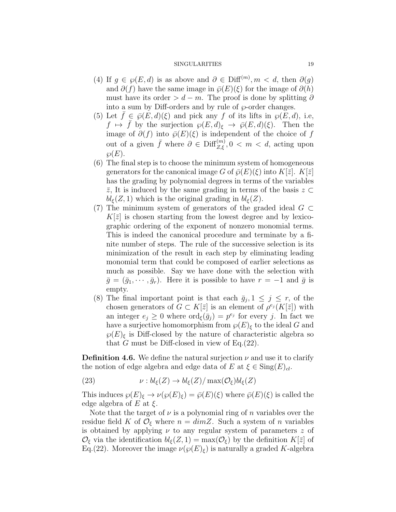- (4) If  $g \in \wp(E, d)$  is as above and  $\partial \in \text{Diff}^{(m)}$ ,  $m < d$ , then  $\partial(g)$ and  $\partial(f)$  have the same image in  $\bar{\wp}(E)(\xi)$  for the image of  $\partial(h)$ must have its order >  $d - m$ . The proof is done by splitting  $\partial$ into a sum by Diff-orders and by rule of  $\wp$ -order changes.
- (5) Let  $f \in \overline{\wp}(E, d)(\xi)$  and pick any f of its lifts in  $\wp(E, d)$ , i.e,  $f \mapsto \bar{f}$  by the surjection  $\wp(E, d)_{\xi} \to \bar{\wp}(E, d)(\xi)$ . Then the image of  $\partial(f)$  into  $\bar{\varphi}(E)(\xi)$  is independent of the choice of f out of a given  $\bar{f}$  where  $\partial \in \text{Diff}_{Z,\xi}^{(m)}$ ,  $0 < m < d$ , acting upon  $\wp(E).$
- (6) The final step is to choose the minimum system of homogeneous generators for the canonical image G of  $\bar{\varphi}(E)(\xi)$  into  $K[\bar{z}]$ .  $K[\bar{z}]$ has the grading by polynomial degrees in terms of the variables  $\bar{z}$ , It is induced by the same grading in terms of the basis  $z \subset$  $bl_{\xi}(Z, 1)$  which is the original grading in  $bl_{\xi}(Z)$ .
- (7) The minimum system of generators of the graded ideal  $G \subset$  $K[\bar{z}]$  is chosen starting from the lowest degree and by lexicographic ordering of the exponent of nonzero monomial terms. This is indeed the canonical procedure and terminate by a finite number of steps. The rule of the successive selection is its minimization of the result in each step by eliminating leading monomial term that could be composed of earlier selections as much as possible. Say we have done with the selection with  $\bar{g} = (\bar{g}_1, \dots, \bar{g}_r)$ . Here it is possible to have  $r = -1$  and  $\bar{g}$  is empty.
- (8) The final important point is that each  $\bar{g}_j$ ,  $1 \leq j \leq r$ , of the chosen generators of  $G \subset K[\bar{z}]$  is an element of  $\rho^{e_j}(K[\bar{z}])$  with an integer  $e_j \geq 0$  where  $\text{ord}_{\xi}(\bar{g}_j) = p^{e_j}$  for every j. In fact we have a surjective homomorphism from  $\wp(E)_{\xi}$  to the ideal G and  $\wp(E)$ <sub>ξ</sub> is Diff-closed by the nature of characteristic algebra so that G must be Diff-closed in view of Eq. $(22)$ .

**Definition 4.6.** We define the natural surjection  $\nu$  and use it to clarify the notion of edge algebra and edge data of E at  $\xi \in \text{Sing}(E)_{cl}$ .

(23) 
$$
\nu: bl_{\xi}(Z) \to bl_{\xi}(Z)/\max(\mathcal{O}_{\xi})bl_{\xi}(Z)
$$

This induces  $\wp(E)_{\xi} \to \nu(\wp(E)_{\xi}) = \bar{\wp}(E)(\xi)$  where  $\bar{\wp}(E)(\xi)$  is called the edge algebra of E at  $\xi$ .

Note that the target of  $\nu$  is a polynomial ring of n variables over the residue field K of  $\mathcal{O}_{\xi}$  where  $n = dimZ$ . Such a system of n variables is obtained by applying  $\nu$  to any regular system of parameters z of  $\mathcal{O}_{\xi}$  via the identification  $bl_{\xi}(Z, 1) = \max(\mathcal{O}_{\xi})$  by the definition  $K[\bar{z}]$  of Eq.(22). Moreover the image  $\nu(\wp(E)_{\xi})$  is naturally a graded K-algebra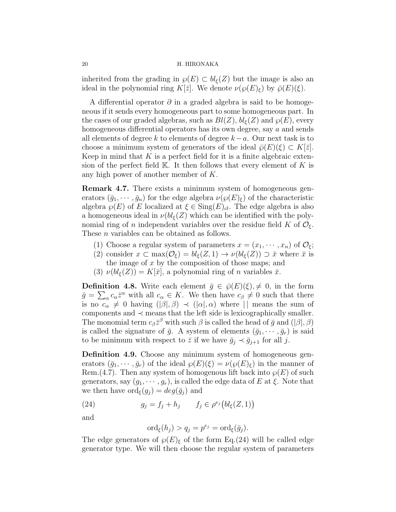inherited from the grading in  $\wp(E) \subset bl_{\epsilon}(Z)$  but the image is also an ideal in the polynomial ring K[ $\bar{z}$ ]. We denote  $\nu(\wp(E)_{\varepsilon})$  by  $\bar{\wp}(E)(\xi)$ .

A differential operator  $\partial$  in a graded algebra is said to be homogeneous if it sends every homogeneous part to some homogeneous part. In the cases of our graded algebras, such as  $Bl(Z)$ ,  $bl_{\xi}(Z)$  and  $\wp(E)$ , every homogeneous differential operators has its own degree, say a and sends all elements of degree k to elements of degree  $k-a$ . Our next task is to choose a minimum system of generators of the ideal  $\bar{\varphi}(E)(\xi) \subset K[\bar{z}]$ . Keep in mind that  $K$  is a perfect field for it is a finite algebraic extension of the perfect field  $\mathbb K$ . It then follows that every element of K is any high power of another member of K.

Remark 4.7. There exists a minimum system of homogeneous generators  $(\bar{g}_1, \dots, \bar{g}_n)$  for the edge algebra  $\nu(\wp(E)_{\xi})$  of the characteristic algebra  $\wp(E)$  of E localized at  $\xi \in \text{Sing}(E)_{cl}$ . The edge algebra is also a homogeneous ideal in  $\nu(bl_{\xi}(Z)$  which can be identified with the polynomial ring of n independent variables over the residue field K of  $\mathcal{O}_{\epsilon}$ . These *n* variables can be obtained as follows.

- (1) Choose a regular system of parameters  $x = (x_1, \dots, x_n)$  of  $\mathcal{O}_{\xi}$ ;
- (2) consider  $x \text{ }\subset \max(\mathcal{O}_{\xi}) = bl_{\xi}(Z,1) \to \nu(bl_{\xi}(Z)) \supset \bar{x}$  where  $\bar{x}$  is the image of  $x$  by the composition of those maps; and
- (3)  $\nu(bl_{\xi}(Z)) = K[\bar{x}]$ , a polynomial ring of *n* variables  $\bar{x}$ .

**Definition 4.8.** Write each element  $\bar{g} \in \bar{\wp}(E)(\xi), \neq 0$ , in the form  $\bar{g} = \sum_{\alpha} c_{\alpha} \bar{z}^{\alpha}$  with all  $c_{\alpha} \in K$ . We then have  $c_{\beta} \neq 0$  such that there is no  $c_{\alpha}$   $\neq$  0 having  $(|\beta|, \beta)$   $\prec$   $(|\alpha|, \alpha)$  where  $| \cdot |$  means the sum of components and  $\prec$  means that the left side is lexicographically smaller. The monomial term  $c_{\beta} \bar{z}^{\beta}$  with such  $\beta$  is called the head of  $\bar{g}$  and  $(|\beta|, \beta)$ is called the signature of  $\bar{g}$ . A system of elements  $(\bar{g}_1, \dots, \bar{g}_r)$  is said to be minimum with respect to  $\bar{z}$  if we have  $\bar{g}_j \prec \bar{g}_{j+1}$  for all j.

Definition 4.9. Choose any minimum system of homogeneous generators  $(\bar{g}_1, \dots, \bar{g}_r)$  of the ideal  $\wp(E)(\xi) = \nu(\wp(E)_{\xi})$  in the manner of Rem.(4.7). Then any system of homogenous lift back into  $\wp(E)$  of such generators, say  $(g_1, \dots, g_r)$ , is called the edge data of E at  $\xi$ . Note that we then have  $\text{ord}_{\xi}(g_i) = deg(\bar{g}_i)$  and

(24) 
$$
g_j = f_j + h_j \qquad f_j \in \rho^{e_j} (bl_{\xi}(Z, 1))
$$

and

$$
\mathrm{ord}_{\xi}(h_j) > q_j = p^{e_j} = \mathrm{ord}_{\xi}(\bar{g}_j).
$$

The edge generators of  $\wp(E)_{\xi}$  of the form Eq.(24) will be called edge generator type. We will then choose the regular system of parameters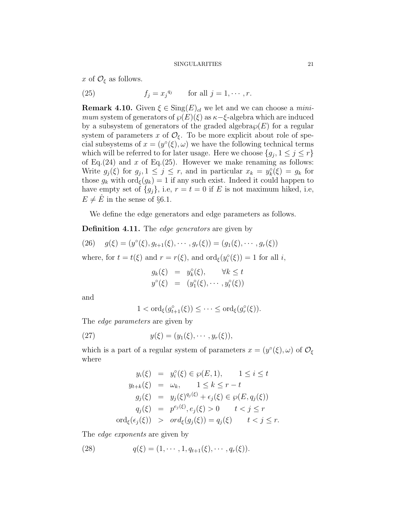x of  $\mathcal{O}_{\xi}$  as follows.

(25)  $f_j = x_j^{q_j}$  for all  $j = 1, \dots, r$ .

**Remark 4.10.** Given  $\xi \in \text{Sing}(E)_{cl}$  we let and we can choose a *mini*mum system of generators of  $\wp(E)(\xi)$  as  $\kappa-\xi$ -algebra which are induced by a subsystem of generators of the graded algebra  $\wp(E)$  for a regular system of parameters x of  $\mathcal{O}_{\xi}$ . To be more explicit about role of special subsystems of  $x = (y^{\circ}(\xi), \omega)$  we have the following technical terms which will be referred to for later usage. Here we choose  $\{g_j, 1 \leq j \leq r\}$ of Eq.(24) and x of Eq.(25). However we make renaming as follows: Write  $g_j(\xi)$  for  $g_j, 1 \leq j \leq r$ , and in particular  $x_k = y_k^{\circ}(\xi) = g_k$  for those  $g_k$  with  $\text{ord}_{\xi}(g_k) = 1$  if any such exist. Indeed it could happen to have empty set of  ${g_j}$ , i.e,  $r = t = 0$  if E is not maximum hiked, i.e,  $E \neq \hat{E}$  in the sense of §6.1.

We define the edge generators and edge parameters as follows.

**Definition 4.11.** The *edge generators* are given by

(26) 
$$
g(\xi) = (y^{\circ}(\xi), g_{t+1}(\xi), \cdots, g_r(\xi)) = (g_1(\xi), \cdots, g_r(\xi))
$$

where, for  $t = t(\xi)$  and  $r = r(\xi)$ , and  $\text{ord}_{\xi}(y_i^{\circ}(\xi)) = 1$  for all i,

$$
g_k(\xi) = y_k^{\circ}(\xi), \quad \forall k \leq t
$$
  

$$
y^{\circ}(\xi) = (y_1^{\circ}(\xi), \cdots, y_t^{\circ}(\xi))
$$

and

$$
1 < \text{ord}_{\xi}(g_{t+1}^{\circ}(\xi)) \leq \cdots \leq \text{ord}_{\xi}(g_r^{\circ}(\xi)).
$$

The *edge parameters* are given by

(27) 
$$
y(\xi) = (y_1(\xi), \cdots, y_r(\xi)),
$$

which is a part of a regular system of parameters  $x = (y^{\circ}(\xi), \omega)$  of  $\mathcal{O}_{\xi}$ where

$$
y_i(\xi) = y_i^{\circ}(\xi) \in \wp(E, 1), \quad 1 \le i \le t
$$
  
\n
$$
y_{t+k}(\xi) = \omega_k, \quad 1 \le k \le r - t
$$
  
\n
$$
g_j(\xi) = y_j(\xi)^{q_j(\xi)} + \epsilon_j(\xi) \in \wp(E, q_j(\xi))
$$
  
\n
$$
q_j(\xi) = p^{e_j(\xi)}, e_j(\xi) > 0 \quad t < j \le r
$$
  
\n
$$
\text{ord}_{\xi}(\epsilon_j(\xi)) > \text{ord}_{\xi}(g_j(\xi)) = q_j(\xi) \quad t < j \le r.
$$

The *edge exponents* are given by

(28) 
$$
q(\xi) = (1, \cdots, 1, q_{t+1}(\xi), \cdots, q_r(\xi)).
$$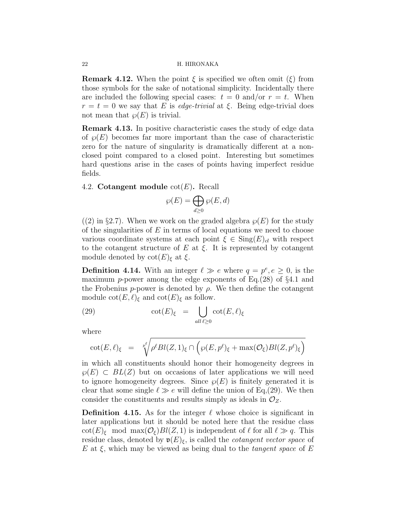**Remark 4.12.** When the point  $\xi$  is specified we often omit  $(\xi)$  from those symbols for the sake of notational simplicity. Incidentally there are included the following special cases:  $t = 0$  and/or  $r = t$ . When  $r = t = 0$  we say that E is *edge-trivial* at  $\xi$ . Being edge-trivial does not mean that  $\varphi(E)$  is trivial.

Remark 4.13. In positive characteristic cases the study of edge data of  $\wp(E)$  becomes far more important than the case of characteristic zero for the nature of singularity is dramatically different at a nonclosed point compared to a closed point. Interesting but sometimes hard questions arise in the cases of points having imperfect residue fields.

#### 4.2. Cotangent module  $\cot(E)$ . Recall

$$
\wp(E) = \bigoplus_{d \ge 0} \wp(E, d)
$$

 $(2)$  in §2.7). When we work on the graded algebra  $\wp(E)$  for the study of the singularities of  $E$  in terms of local equations we need to choose various coordinate systems at each point  $\xi \in Sing(E)_{cl}$  with respect to the cotangent structure of E at  $\xi$ . It is represented by cotangent module denoted by  $\cot(E)_{\xi}$  at  $\xi$ .

**Definition 4.14.** With an integer  $\ell \gg e$  where  $q = p^e, e \geq 0$ , is the maximum p-power among the edge exponents of Eq.(28) of  $\S 4.1$  and the Frobenius p-power is denoted by  $\rho$ . We then define the cotangent module  $\cot(E, \ell)_{\xi}$  and  $\cot(E)_{\xi}$  as follow.

(29) 
$$
\cot(E)_{\xi} = \bigcup_{all \ell \geq 0} \cot(E, \ell)_{\xi}
$$

where

$$
\cot(E,\ell)_{\xi} = \sqrt[p_{\ell}^{\ell} \rho^{\ell} Bl(Z,1)_{\xi} \cap \left( \wp(E,p^{\ell})_{\xi} + \max(\mathcal{O}_{\xi}) Bl(Z,p^{\ell})_{\xi} \right)}
$$

in which all constituents should honor their homogeneity degrees in  $\varphi(E) \subset BL(Z)$  but on occasions of later applications we will need to ignore homogeneity degrees. Since  $\wp(E)$  is finitely generated it is clear that some single  $\ell \gg e$  will define the union of Eq.(29). We then consider the constituents and results simply as ideals in  $\mathcal{O}_Z$ .

**Definition 4.15.** As for the integer  $\ell$  whose choice is significant in later applications but it should be noted here that the residue class  $\cot(E)_{\xi}$  mod max $(\mathcal{O}_{\xi})Bl(Z, 1)$  is independent of  $\ell$  for all  $\ell \gg q$ . This residue class, denoted by  $\mathfrak{v}(E)_{\xi}$ , is called the *cotangent vector space* of E at  $\xi$ , which may be viewed as being dual to the *tangent space* of E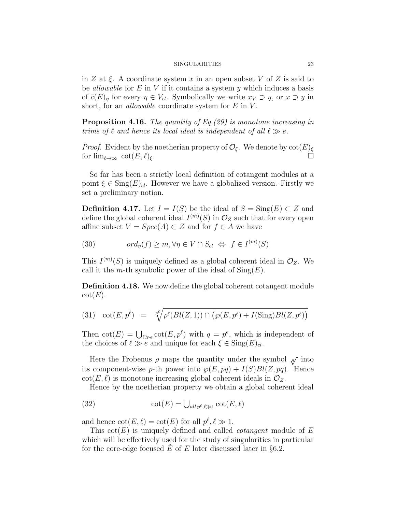in Z at  $\xi$ . A coordinate system x in an open subset V of Z is said to be *allowable* for  $E$  in  $V$  if it contains a system  $y$  which induces a basis of  $\bar{c}(E)_{\eta}$  for every  $\eta \in V_{cl}$ . Symbolically we write  $x_V \supset y$ , or  $x \supset y$  in short, for an *allowable* coordinate system for  $E$  in  $V$ .

**Proposition 4.16.** The quantity of Eq.  $(29)$  is monotone increasing in trims of  $\ell$  and hence its local ideal is independent of all  $\ell \gg e$ .

*Proof.* Evident by the noetherian property of  $\mathcal{O}_{\xi}$ . We denote by  $\cot(E)_{\xi}$ for  $\lim_{\ell\to\infty} \cot(E, \ell)_{\xi}$ .

So far has been a strictly local definition of cotangent modules at a point  $\xi \in \text{Sing}(E)_{cl}$ . However we have a globalized version. Firstly we set a preliminary notion.

**Definition 4.17.** Let  $I = I(S)$  be the ideal of  $S = Sing(E) \subset Z$  and define the global coherent ideal  $I^{(m)}(S)$  in  $\mathcal{O}_Z$  such that for every open affine subset  $V = Spec(A) \subset Z$  and for  $f \in A$  we have

(30) 
$$
ord_{\eta}(f) \geq m, \forall \eta \in V \cap S_{cl} \Leftrightarrow f \in I^{(m)}(S)
$$

This  $I^{(m)}(S)$  is uniquely defined as a global coherent ideal in  $\mathcal{O}_Z$ . We call it the *m*-th symbolic power of the ideal of  $\text{Sing}(E)$ .

Definition 4.18. We now define the global coherent cotangent module  $\cot(E).$ 

(31) 
$$
\cot(E, p^{\ell}) = \sqrt[p^{\ell}]{\rho^{\ell}(Bl(Z, 1)) \cap (\wp(E, p^{\ell}) + I(\text{Sing})Bl(Z, p^{\ell}))}
$$

Then  $\cot(E) = \bigcup_{\ell \gg e} \cot(E, p^{\ell})$  with  $q = p^e$ , which is independent of the choices of  $\ell \gg e$  and unique for each  $\xi \in \text{Sing}(E)_{cl}$ .

Here the Frobenus  $\rho$  maps the quantity under the symbol  $\sqrt{ }$  into its component-wise p-th power into  $\wp(E, pq) + I(S)Bl(Z, pq)$ . Hence  $\cot(E, \ell)$  is monotone increasing global coherent ideals in  $\mathcal{O}_Z$ .

Hence by the noetherian property we obtain a global coherent ideal

(32) 
$$
\cot(E) = \bigcup_{all \, p^{\ell}, \ell \gg 1} \cot(E, \ell)
$$

and hence  $\cot(E, \ell) = \cot(E)$  for all  $p^{\ell}, \ell \gg 1$ .

This  $\cot(E)$  is uniquely defined and called *cotangent* module of E which will be effectively used for the study of singularities in particular for the core-edge focused  $\overline{E}$  of  $E$  later discussed later in §6.2.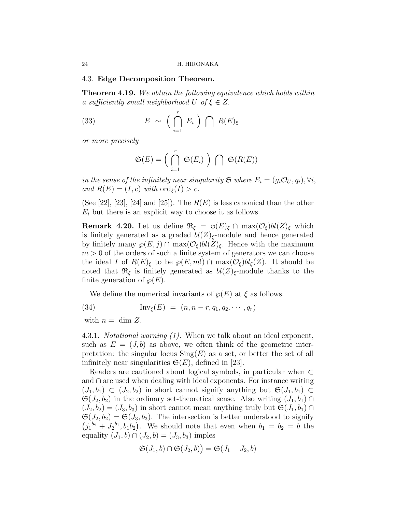#### 4.3. Edge Decomposition Theorem.

**Theorem 4.19.** We obtain the following equivalence which holds within a sufficiently small neighborhood U of  $\xi \in Z$ .

(33) 
$$
E \sim \left(\bigcap_{i=1}^{r} E_i\right) \bigcap R(E)_{\xi}
$$

or more precisely

$$
\mathfrak{S}(E) = \Big(\bigcap_{i=1}^r \mathfrak{S}(E_i)\Big) \bigcap \mathfrak{S}(R(E))
$$

in the sense of the infinitely near singularity  $\mathfrak{S}$  where  $E_i = (g_i \mathcal{O}_U, q_i), \forall i$ , and  $R(E) = (I, c)$  with  $\text{ord}_{\xi}(I) > c$ .

(See [22], [23], [24] and [25]). The  $R(E)$  is less canonical than the other  $E_i$  but there is an explicit way to choose it as follows.

**Remark 4.20.** Let us define  $\mathfrak{R}_{\xi} = \wp(E)_{\xi} \cap \max(\mathcal{O}_{\xi})bl(Z)_{\xi}$  which is finitely generated as a graded  $bl(Z)_{\xi}$ -module and hence generated by finitely many  $\wp(E, j) \cap \max(\mathcal{O}_{\xi})bl(Z)_{\xi}$ . Hence with the maximum  $m > 0$  of the orders of such a finite system of generators we can choose the ideal I of  $R(E)_{\xi}$  to be  $\wp(E, m!) \cap \max(\mathcal{O}_{\xi})bl_{\xi}(Z)$ . It should be noted that  $\mathfrak{R}_{\xi}$  is finitely generated as  $bl(Z)_{\xi}$ -module thanks to the finite generation of  $\wp(E)$ .

We define the numerical invariants of  $\varphi(E)$  at  $\xi$  as follows.

(34) 
$$
\text{Inv}_{\xi}(E) = (n, n-r, q_1, q_2, \cdots, q_r)
$$

with  $n = \dim Z$ .

4.3.1. Notational warning (1). When we talk about an ideal exponent, such as  $E = (J, b)$  as above, we often think of the geometric interpretation: the singular locus  $\text{Sing}(E)$  as a set, or better the set of all infinitely near singularities  $\mathfrak{S}(E)$ , defined in [23].

Readers are cautioned about logical symbols, in particular when ⊂ and ∩ are used when dealing with ideal exponents. For instance writing  $(J_1, b_1) \subset (J_2, b_2)$  in short cannot signify anything but  $\mathfrak{S}(J_1, b_1) \subset$  $\mathfrak{S}(J_2, b_2)$  in the ordinary set-theoretical sense. Also writing  $(J_1, b_1) \cap$  $(J_2, b_2) = (J_3, b_3)$  in short cannot mean anything truly but  $\mathfrak{S}(J_1, b_1) \cap$  $\mathfrak{S}(J_2, b_2) = \mathfrak{S}(J_3, b_3)$ . The intersection is better understood to signify  $(j_1^{b_2}+J_2^{b_1},b_1b_2)$ . We should note that even when  $b_1=b_2=b$  the equality  $(J_1, b) \cap (J_2, b) = (J_3, b_3)$  imples

$$
\mathfrak{S}(J_1,b)\cap\mathfrak{S}(J_2,b)\big)=\mathfrak{S}(J_1+J_2,b)
$$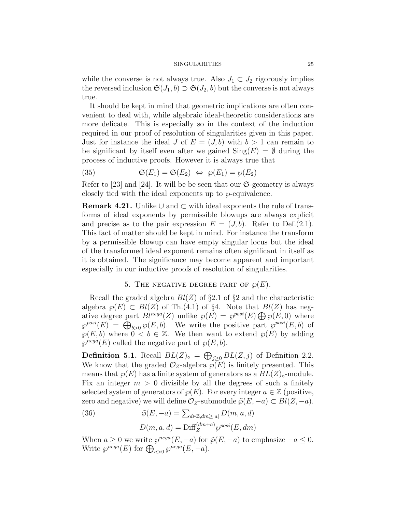while the converse is not always true. Also  $J_1 \subset J_2$  rigorously implies the reversed inclusion  $\mathfrak{S}(J_1, b) \supset \mathfrak{S}(J_2, b)$  but the converse is not always true.

It should be kept in mind that geometric implications are often convenient to deal with, while algebraic ideal-theoretic considerations are more delicate. This is especially so in the context of the induction required in our proof of resolution of singularities given in this paper. Just for instance the ideal J of  $E = (J, b)$  with  $b > 1$  can remain to be significant by itself even after we gained  $\text{Sing}(E) = \emptyset$  during the process of inductive proofs. However it is always true that

(35) 
$$
\mathfrak{S}(E_1) = \mathfrak{S}(E_2) \Leftrightarrow \wp(E_1) = \wp(E_2)
$$

Refer to [23] and [24]. It will be be seen that our  $\mathfrak{S}\text{-geometry}$  is always closely tied with the ideal exponents up to  $\wp$ -equivalence.

**Remark 4.21.** Unlike  $\cup$  and  $\subset$  with ideal exponents the rule of transforms of ideal exponents by permissible blowups are always explicit and precise as to the pair expression  $E = (J, b)$ . Refer to Def.(2.1). This fact of matter should be kept in mind. For instance the transform by a permissible blowup can have empty singular locus but the ideal of the transformed ideal exponent remains often significant in itself as it is obtained. The significance may become apparent and important especially in our inductive proofs of resolution of singularities.

### 5. THE NEGATIVE DEGREE PART OF  $\wp(E)$ .

Recall the graded algebra  $Bl(Z)$  of §2.1 of §2 and the characteristic algebra  $\wp(E) \subset Bl(Z)$  of Th.(4.1) of §4. Note that  $Bl(Z)$  has negative degree part  $Bl^{nega}(Z)$  unlike  $\wp(E) = \wp^{posi}(E) \bigoplus \wp(E, 0)$  where  $\wp^{posi}(E) = \bigoplus_{b>0} \wp(E, b)$ . We write the positive part  $\wp^{posi}(E, b)$  of  $\wp(E, b)$  where  $0 < b \in \mathbb{Z}$ . We then want to extend  $\wp(E)$  by adding  $\varphi^{nega}(E)$  called the negative part of  $\varphi(E, b)$ .

**Definition 5.1.** Recall  $BL(Z)_{\circ} = \bigoplus_{j\geq 0} BL(Z, j)$  of Definition 2.2. We know that the graded  $\mathcal{O}_Z$ -algebra  $\wp(E)$  is finitely presented. This means that  $\wp(E)$  has a finite system of generators as a  $BL(Z)_{\circ}$ -module. Fix an integer  $m > 0$  divisible by all the degrees of such a finitely selected system of generators of  $\varphi(E)$ . For every integer  $a \in \mathbb{Z}$  (positive, zero and negative) we will define  $\mathcal{O}_Z$ -submodule  $\tilde{\varphi}(E, -a) \subset Bl(Z, -a)$ .

(36) 
$$
\tilde{\wp}(E, -a) = \sum_{d \in \mathbb{Z}, dm \ge |a|} D(m, a, d)
$$

$$
D(m, a, d) = \text{Diff}_{Z}^{(dm+a)} \wp^{posi}(E, dm)
$$

When  $a \geq 0$  we write  $\varphi^{nega}(E, -a)$  for  $\tilde{\varphi}(E, -a)$  to emphasize  $-a \leq 0$ . Write  $\wp^{nega}(E)$  for  $\bigoplus_{a>0} \wp^{nega}(E,-a)$ .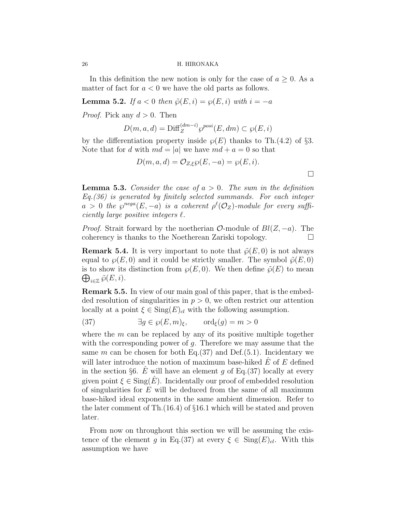In this definition the new notion is only for the case of  $a \geq 0$ . As a matter of fact for  $a < 0$  we have the old parts as follows.

**Lemma 5.2.** If  $a < 0$  then  $\tilde{\varphi}(E, i) = \varphi(E, i)$  with  $i = -a$ 

*Proof.* Pick any  $d > 0$ . Then

$$
D(m, a, d) = \text{Diff}_{Z}^{(dm-i)} \wp^{posi}(E, dm) \subset \wp(E, i)
$$

by the differentiation property inside  $\wp(E)$  thanks to Th.(4.2) of §3. Note that for d with  $md = |a|$  we have  $md + a = 0$  so that

$$
D(m, a, d) = \mathcal{O}_{Z, \xi} \wp(E, -a) = \wp(E, i).
$$

**Lemma 5.3.** Consider the case of  $a > 0$ . The sum in the definition Eq.(36) is generated by finitely selected summands. For each integer  $a > 0$  the  $\wp^{nega}(E, -a)$  is a coherent  $\rho^{\ell}(\mathcal{O}_Z)$ -module for every sufficiently large positive integers  $\ell$ .

*Proof.* Strait forward by the noetherian  $\mathcal{O}$ -module of  $Bl(Z, -a)$ . The coherency is thanks to the Noetherean Zariski topology.

**Remark 5.4.** It is very important to note that  $\tilde{\varphi}(E, 0)$  is not always equal to  $\wp(E, 0)$  and it could be strictly smaller. The symbol  $\tilde{\wp}(E, 0)$ is to show its distinction from  $\wp(E,0)$ . We then define  $\tilde{\wp}(E)$  to mean  $\bigoplus_{i\in\mathbb{Z}}\tilde{\wp}(E,i).$ 

Remark 5.5. In view of our main goal of this paper, that is the embedded resolution of singularities in  $p > 0$ , we often restrict our attention locally at a point  $\xi \in \text{Sing}(E)_{cl}$  with the following assumption.

(37) 
$$
\exists g \in \wp(E, m)_{\xi}, \quad \text{ord}_{\xi}(g) = m > 0
$$

where the  $m$  can be replaced by any of its positive multiple together with the corresponding power of  $g$ . Therefore we may assume that the same m can be chosen for both Eq.(37) and Def.(5.1). Incidentary we will later introduce the notion of maximum base-hiked  $E$  of  $E$  defined in the section §6. E will have an element q of Eq.(37) locally at every given point  $\xi \in \text{Sing}(E)$ . Incidentally our proof of embedded resolution of singularities for  $E$  will be deduced from the same of all maximum base-hiked ideal exponents in the same ambient dimension. Refer to the later comment of Th.(16.4) of §16.1 which will be stated and proven later.

From now on throughout this section we will be assuming the existence of the element g in Eq.(37) at every  $\xi \in \text{Sing}(E)_{cl}$ . With this assumption we have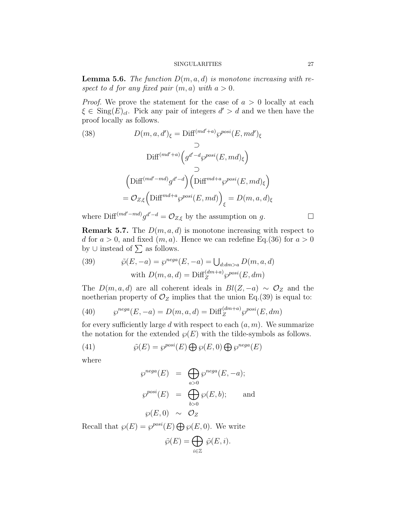**Lemma 5.6.** The function  $D(m, a, d)$  is monotone increasing with respect to d for any fixed pair  $(m, a)$  with  $a > 0$ .

*Proof.* We prove the statement for the case of  $a > 0$  locally at each  $\xi \in \text{Sing}(E)_{cl}$ . Pick any pair of integers  $d' > d$  and we then have the proof locally as follows.

(38) 
$$
D(m, a, d')_{\xi} = \text{Diff}^{(md'+a)} \wp^{posi}(E, md')_{\xi}
$$

$$
\supset
$$

$$
\text{Diff}^{(md'+a)} \Big( g^{d'-d} \wp^{posi}(E, md)_{\xi} \Big)
$$

$$
\supset
$$

$$
\Big( \text{Diff}^{(md'-md)} g^{d'-d} \Big) \Big( \text{Diff}^{md+a} \wp^{posi}(E, md)_{\xi} \Big)
$$

$$
= \mathcal{O}_{Z, \xi} \Big( \text{Diff}^{md+a} \wp^{posi}(E, md) \Big)_{\xi} = D(m, a, d)_{\xi}
$$

where  $\text{Diff}^{(md'-md)}g^{d'-d} = \mathcal{O}_{Z,\xi}$  by the assumption on g.

**Remark 5.7.** The  $D(m, a, d)$  is monotone increasing with respect to d for  $a > 0$ , and fixed  $(m, a)$ . Hence we can redefine Eq.(36) for  $a > 0$ by  $\cup$  instead of  $\sum$  as follows.

(39) 
$$
\tilde{\wp}(E, -a) = \wp^{nega}(E, -a) = \bigcup_{d: dm > a} D(m, a, d)
$$
  
with 
$$
D(m, a, d) = \text{Diff}_{Z}^{(dm+a)} \wp^{posi}(E, dm)
$$

The  $D(m, a, d)$  are all coherent ideals in  $Bl(Z, -a) \sim \mathcal{O}_Z$  and the noetherian property of  $\mathcal{O}_Z$  implies that the union Eq.(39) is equal to:

(40) 
$$
\wp^{nega}(E, -a) = D(m, a, d) = \text{Diff}_{Z}^{(dm+a)} \wp^{posi}(E, dm)
$$

for every sufficiently large d with respect to each  $(a, m)$ . We summarize the notation for the extended  $\wp(E)$  with the tilde-symbols as follows.

(41) 
$$
\tilde{\wp}(E) = \wp^{posi}(E) \bigoplus \wp(E,0) \bigoplus \wp^{nega}(E)
$$

where

$$
\wp^{nega}(E) = \bigoplus_{a>0} \wp^{nega}(E, -a);
$$
  

$$
\wp^{posi}(E) = \bigoplus_{b>0} \wp(E, b); \text{ and}
$$
  

$$
\wp(E, 0) \sim \mathcal{O}_Z
$$

Recall that  $\wp(E) = \wp^{posi}(E) \bigoplus \wp(E, 0)$ . We write

$$
\tilde{\wp}(E) = \bigoplus_{i \in \mathbb{Z}} \tilde{\wp}(E, i).
$$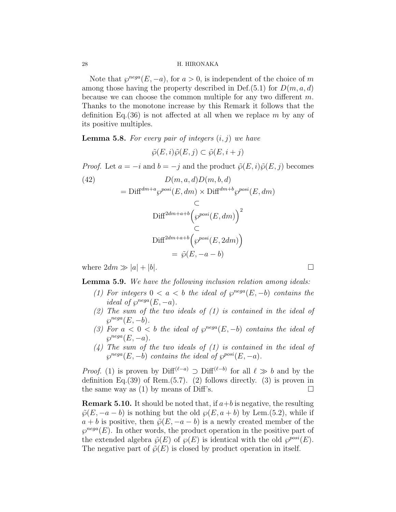Note that  $\varphi^{neg}(E, -a)$ , for  $a > 0$ , is independent of the choice of m among those having the property described in Def. $(5.1)$  for  $D(m, a, d)$ because we can choose the common multiple for any two different m. Thanks to the monotone increase by this Remark it follows that the definition Eq.  $(36)$  is not affected at all when we replace m by any of its positive multiples.

**Lemma 5.8.** For every pair of integers  $(i, j)$  we have

 $\tilde{\varphi}(E, i) \tilde{\varphi}(E, i) \subset \tilde{\varphi}(E, i + i)$ 

*Proof.* Let  $a = -i$  and  $b = -j$  and the product  $\tilde{\varphi}(E, i)\tilde{\varphi}(E, j)$  becomes

(42)  
\n
$$
D(m, a, d)D(m, b, d)
$$
\n
$$
= \text{Diff}^{dm+a} \wp^{posi}(E, dm) \times \text{Diff}^{dm+b} \wp^{posi}(E, dm)
$$
\n
$$
\subset
$$
\n
$$
\text{Diff}^{2dm+a+b} \left( \wp^{posi}(E, dm) \right)^2
$$
\n
$$
\subset
$$
\n
$$
\text{Diff}^{2dm+a+b} \left( \wp^{posi}(E, 2dm) \right)
$$
\n
$$
= \tilde{\wp}(E, -a - b)
$$

where  $2dm \gg |a| + |b|$ .

Lemma 5.9. We have the following inclusion relation among ideals:

- (1) For integers  $0 < a < b$  the ideal of  $\wp^{nega}(E, -b)$  contains the ideal of  $\wp^{neg}(E, -a)$ .
- $(2)$  The sum of the two ideals of  $(1)$  is contained in the ideal of  $\wp^{neg}(E, -b).$
- (3) For  $a < 0 < b$  the ideal of  $\varphi^{nega}(E, -b)$  contains the ideal of  $\wp^{nega}(E, -a).$
- $(4)$  The sum of the two ideals of  $(1)$  is contained in the ideal of  $\wp^{neg}(E,-b)$  contains the ideal of  $\wp^{posi}(E,-a)$ .

*Proof.* (1) is proven by Diff<sup>( $\ell$ −a)</sup> ⊃ Diff<sup>( $\ell$ −b)</sup> for all  $\ell \gg b$  and by the definition Eq.(39) of Rem. $(5.7)$ . (2) follows directly. (3) is proven in the same way as (1) by means of Diff's.  $\square$ 

**Remark 5.10.** It should be noted that, if  $a+b$  is negative, the resulting  $\tilde{\wp}(E, -a - b)$  is nothing but the old  $\wp(E, a + b)$  by Lem.(5.2), while if  $a + b$  is positive, then  $\tilde{\varphi}(E, -a - b)$  is a newly created member of the  $\varphi^{nega}(E)$ . In other words, the product operation in the positive part of the extended algebra  $\tilde{\varphi}(E)$  of  $\varphi(E)$  is identical with the old  $\varphi^{posi}(E)$ . The negative part of  $\tilde{\varphi}(E)$  is closed by product operation in itself.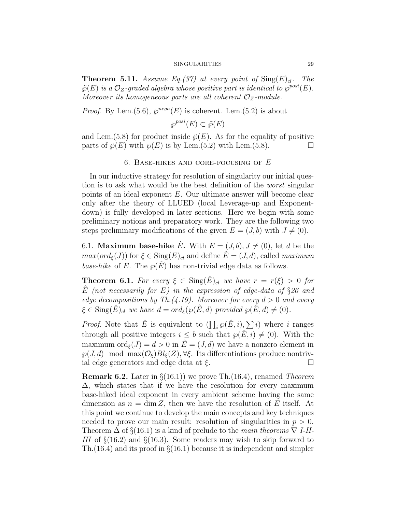**Theorem 5.11.** Assume Eq.(37) at every point of  $\text{Sing}(E)_{cl}$ . The  $\tilde{\varphi}(E)$  is a  $\mathcal{O}_Z$ -graded algebra whose positive part is identical to  $\varphi^{posi}(E)$ . Moreover its homogeneous parts are all coherent  $\mathcal{O}_Z$ -module.

*Proof.* By Lem.(5.6),  $\wp^{neg}(E)$  is coherent. Lem.(5.2) is about

 $\wp^{posi}(E) \subset \tilde{\wp}(E)$ 

and Lem.(5.8) for product inside  $\tilde{\varphi}(E)$ . As for the equality of positive parts of  $\tilde{\wp}(E)$  with  $\wp(E)$  is by Lem.(5.2) with Lem.(5.8).

#### 6. BASE-HIKES AND CORE-FOCUSING OF  $E$

In our inductive strategy for resolution of singularity our initial question is to ask what would be the best definition of the worst singular points of an ideal exponent E. Our ultimate answer will become clear only after the theory of LLUED (local Leverage-up and Exponentdown) is fully developed in later sections. Here we begin with some preliminary notions and preparatory work. They are the following two steps preliminary modifications of the given  $E = (J, b)$  with  $J \neq (0)$ .

6.1. Maximum base-hike  $\hat{E}$ . With  $E = (J, b), J \neq (0)$ , let d be the  $max(ord_{\xi}(J))$  for  $\xi \in$  Sing $(E)_{cl}$  and define  $\hat{E} = (J, d)$ , called maximum base-hike of E. The  $\wp(E)$  has non-trivial edge data as follows.

**Theorem 6.1.** For every  $\xi \in \text{Sing}(\hat{E})_{cl}$  we have  $r = r(\xi) > 0$  for  $\hat{E}$  (not necessarily for E) in the expression of edge-data of §26 and edge decompositions by Th. $(4.19)$ . Moreover for every  $d > 0$  and every  $\xi \in \text{Sing}(\hat{E})_{cl}$  we have  $d = ord_{\xi}(\wp(\hat{E}, d) \text{ provided } \wp(\hat{E}, d) \neq (0).$ 

*Proof.* Note that  $\hat{E}$  is equivalent to  $(\prod_i \wp(\hat{E}, i), \sum_i i)$  where i ranges through all positive integers  $i \leq b$  such that  $\wp(\hat{E}, i) \neq (0)$ . With the maximum  $\text{ord}_{\xi}(J) = d > 0$  in  $\hat{E} = (J, d)$  we have a nonzero element in  $\wp(J, d) \mod \max(\mathcal{O}_{\xi}) Bl_{\xi}(Z), \forall \xi$ . Its differentiations produce nontrivial edge generators and edge data at  $\xi$ .

**Remark 6.2.** Later in  $\S(16.1)$  we prove Th. (16.4), renamed Theorem  $\Delta$ , which states that if we have the resolution for every maximum base-hiked ideal exponent in every ambient scheme having the same dimension as  $n = \dim Z$ , then we have the resolution of E itself. At this point we continue to develop the main concepts and key techniques needed to prove our main result: resolution of singularities in  $p > 0$ . Theorem  $\Delta$  of §(16.1) is a kind of prelude to the main theorems  $\nabla I$ -II-III of  $\S(16.2)$  and  $\S(16.3)$ . Some readers may wish to skip forward to Th.  $(16.4)$  and its proof in  $\S(16.1)$  because it is independent and simpler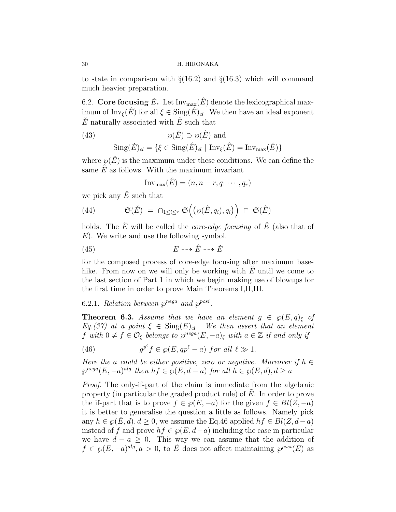to state in comparison with  $\S(16.2)$  and  $\S(16.3)$  which will command much heavier preparation.

6.2. Core focusing  $\check{E}$ . Let Inv<sub>max</sub> $(\hat{E})$  denote the lexicographical maximum of  $\text{Inv}_{\xi}(\hat{E})$  for all  $\xi \in \text{Sing}(\hat{E})_{cl}$ . We then have an ideal exponent  $\check{E}$  naturally associated with  $\hat{E}$  such that

(43) 
$$
\wp(\check{E}) \supset \wp(\hat{E})
$$
 and

$$
\operatorname{Sing}(\check{E})_{cl} = \{ \xi \in \operatorname{Sing}(\hat{E})_{cl} \mid \operatorname{Inv}_{\xi}(\hat{E}) = \operatorname{Inv}_{\max}(\hat{E}) \}
$$

where  $\varphi(\check{E})$  is the maximum under these conditions. We can define the same  $\dot{E}$  as follows. With the maximum invariant

$$
Inv_{\max}(\hat{E}) = (n, n-r, q_1 \cdots, q_r)
$$

we pick any  $\check{E}$  such that

(44) 
$$
\mathfrak{S}(\check{E}) = \bigcap_{1 \leq i \leq r} \mathfrak{S}\Big(\big(\wp(\hat{E}, q_i), q_i\big)\Big) \cap \mathfrak{S}(\hat{E})
$$

holds. The  $\check{E}$  will be called the *core-edge focusing* of  $\hat{E}$  (also that of E). We write and use the following symbol.

$$
(45) \t\t\t E \dashrightarrow \hat{E} \dashrightarrow \check{E}
$$

for the composed process of core-edge focusing after maximum basehike. From now on we will only be working with  $E$  until we come to the last section of Part 1 in which we begin making use of blowups for the first time in order to prove Main Theorems I,II,III.

# 6.2.1. Relation between  $\wp^{rega}$  and  $\wp^{posi}$ .

**Theorem 6.3.** Assume that we have an element  $g \in \wp(E,q)_{\xi}$  of  $Eq. (37)$  at a point  $\xi \in Sing(E)_{cl}$ . We then assert that an element f with  $0 \neq f \in \mathcal{O}_{\xi}$  belongs to  $\wp^{neg}(E, -a)_{\xi}$  with  $a \in \mathbb{Z}$  if and only if

(46) 
$$
g^{p^{\ell}}f \in \wp(E, qp^{\ell}-a) \text{ for all } \ell \gg 1.
$$

Here the a could be either positive, zero or negative. Moreover if  $h \in$  $\wp^{nega}(E, -a)^{alg}$  then  $hf \in \wp(E, d - a)$  for all  $h \in \wp(E, d), d \ge a$ 

Proof. The only-if-part of the claim is immediate from the algebraic property (in particular the graded product rule) of  $E$ . In order to prove the if-part that is to prove  $f \in \wp(E, -a)$  for the given  $f \in Bl(Z, -a)$ it is better to generalise the question a little as follows. Namely pick any  $h \in \mathcal{O}(E,d), d \geq 0$ , we assume the Eq.46 applied  $hf \in Bl(Z,d-a)$ instead of f and prove  $hf \in \wp(E, d-a)$  including the case in particular we have  $d - a > 0$ . This way we can assume that the addition of  $f \in \wp(E, -a)^{alg}, a > 0$ , to  $\tilde{E}$  does not affect maintaining  $\wp^{posi}(E)$  as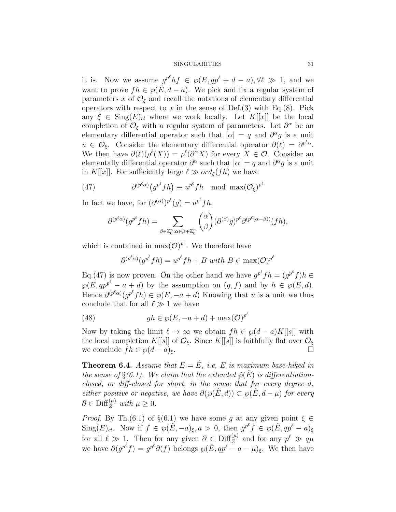it is. Now we assume  $g^{p^e}hf \in \wp(E, qp^{\ell} + d - a), \forall \ell \gg 1$ , and we want to prove  $fh \in \wp(\hat{E}, d - a)$ . We pick and fix a regular system of parameters x of  $\mathcal{O}_{\xi}$  and recall the notations of elementary differential operators with respect to x in the sense of Def.(3) with Eq.(8). Pick any  $\xi \in \text{Sing}(E)_{cl}$  where we work locally. Let  $K[[x]]$  be the local completion of  $\mathcal{O}_{\xi}$  with a regular system of parameters. Let  $\partial^{\alpha}$  be an elementary differential operator such that  $|\alpha| = q$  and  $\partial^{\alpha} g$  is a unit  $u \in \mathcal{O}_{\xi}$ . Consider the elementary differential operator  $\partial(\ell) = \partial^{p^{\ell} \alpha}$ . We then have  $\partial(\ell)(\rho^{\ell}(X)) = \rho^{\ell}(\partial^{\alpha}X)$  for every  $X \in \mathcal{O}$ . Consider an elementally differential operator  $\partial^{\alpha}$  such that  $|\alpha| = q$  and  $\partial^{\alpha} g$  is a unit in K[[x]]. For sufficiently large  $\ell \gg ord_{\xi}(fh)$  we have

(47) 
$$
\partial^{(p^{\ell}\alpha)}(g^{p^{\ell}}fh) \equiv u^{p^{\ell}}fh \mod \max(\mathcal{O}_{\xi})^{p^{\ell}}
$$

In fact we have, for  $(\partial^{(\alpha)})^{p^{\ell}}(g) = u^{p^{\ell}} f h$ ,

$$
\partial^{(p^e\alpha)}(g^{p^e}fh) = \sum_{\beta \in \mathbb{Z}_0^n : \alpha \in \beta + \mathbb{Z}_0^n} \binom{\alpha}{\beta} (\partial^{(\beta)}g)^{p^e} \partial^{(p^e(\alpha - \beta))}(fh),
$$

which is contained in  $\max(\mathcal{O})^{p^{\ell}}$ . We therefore have

$$
\partial^{(p^e\alpha)}(g^{p^e}fh) = u^{p^e}fh + B \text{ with } B \in \max(\mathcal{O})^{p^e}
$$

Eq.(47) is now proven. On the other hand we have  $g^{p^e}fh = (g^{p^e}f)h \in$  $\wp(E, qp^{p^e} - a + d)$  by the assumption on  $(g, f)$  and by  $h \in \wp(E, d)$ . Hence  $\partial^{(p^e\alpha)}(g^{p^e}fh) \in \wp(E, -a+d)$  Knowing that u is a unit we thus conclude that for all  $\ell \gg 1$  we have

(48) 
$$
gh \in \wp(E, -a+d) + \max(O)^{p^e}
$$

Now by taking the limit  $\ell \to \infty$  we obtain  $fh \in \wp(d-a)K[[s]]$  with the local completion K[[s]] of  $\mathcal{O}_{\xi}$ . Since K[[s]] is faithfully flat over  $\mathcal{O}_{\xi}$ we conclude  $fh \in \wp(d-a)_{\xi}$ .

**Theorem 6.4.** Assume that  $E = \hat{E}$ , i.e., E is maximum base-hiked in the sense of  $\S(6.1)$ . We claim that the extended  $\tilde{\varphi}(\hat{E})$  is differentiationclosed, or diff-closed for short, in the sense that for every degree d, either positive or negative, we have  $\partial(\wp(E,d)) \subset \wp(E,d-\mu)$  for every  $\partial \in \mathrm{Diff}_{Z}^{(\mu)}$  with  $\mu \geq 0$ .

*Proof.* By Th.(6.1) of  $\S(6.1)$  we have some g at any given point  $\xi \in$  $\text{Sing}(E)_{cl}$ . Now if  $f \in \wp(\hat{E}, -a)_{\xi}, a > 0$ , then  $g^{p^{\ell}} f \in \wp(\hat{E}, qp^{\ell} - a)_{\xi}$ for all  $\ell \gg 1$ . Then for any given  $\partial \in \text{Diff}_Z^{(\mu)}$  and for any  $p^{\ell} \gg q\mu$ we have  $\partial(g^{p^{\ell}}f) = g^{p^{\ell}}\partial(f)$  belongs  $\wp(\hat{E}, qp^{\ell} - a - \mu)_{\xi}$ . We then have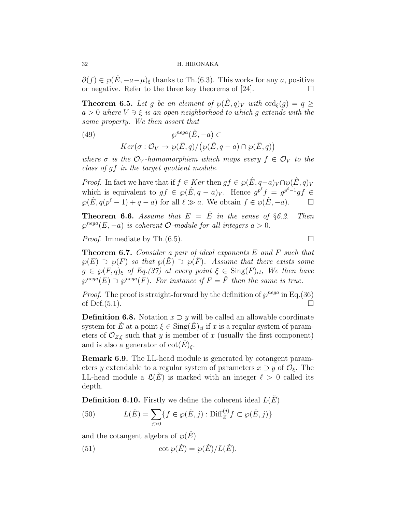$\partial(f) \in \wp(E, -a-\mu)_{\xi}$  thanks to Th.(6.3). This works for any a, positive or negative. Refer to the three key theorems of [24].

**Theorem 6.5.** Let g be an element of  $\wp(E,q)_V$  with  $\text{ord}_{\xi}(g) = q \geq$  $a > 0$  where  $V \ni \xi$  is an open neighborhood to which g extends with the same property. We then assert that

(49) 
$$
\wp^{nega}(\hat{E}, -a) \subset
$$

$$
Ker(\sigma : \mathcal{O}_V \to \wp(\hat{E}, q) / (\wp(\hat{E}, q - a) \cap \wp(\hat{E}, q))
$$

where  $\sigma$  is the  $\mathcal{O}_V$ -homomorphism which maps every  $f \in \mathcal{O}_V$  to the class of gf in the target quotient module.

*Proof.* In fact we have that if  $f \in Ker$  then  $gf \in \wp(\hat{E}, q - a)_V \cap \wp(\hat{E}, q)_V$ which is equivalent to  $gf \in \wp(\hat{E}, q - a)_V$ . Hence  $g^{p^{\ell}} f = g^{p^{\ell-1}} gf \in$  $\wp(\hat{E}, q(p^{\ell}-1)+q-a)$  for all  $\ell \gg a$ . We obtain  $f \in \wp(\hat{E}, -a)$ .  $\Box$ 

**Theorem 6.6.** Assume that  $E = \check{E}$  in the sense of §6.2. Then  $\varphi^{nega}(E,-a)$  is coherent *O*-module for all integers  $a > 0$ .

*Proof.* Immediate by Th.(6.5).

Theorem 6.7. Consider a pair of ideal exponents E and F such that  $\wp(E) \supset \wp(F)$  so that  $\wp(E) \supset \wp(F)$ . Assume that there exists some  $g \in \wp(F, q)_{\xi}$  of Eq.(37) at every point  $\xi \in \text{Sing}(F)_{cl}$ , We then have  $\wp^{nega}(E) \supset \wp^{nega}(F)$ . For instance if  $F = \hat{F}$  then the same is true.

*Proof.* The proof is straight-forward by the definition of  $\wp^{nega}$  in Eq.(36) of Def. $(5.1)$ .

**Definition 6.8.** Notation  $x \supset y$  will be called an allowable coordinate system for E at a point  $\xi \in \text{Sing}(E)_{cl}$  if x is a regular system of parameters of  $\mathcal{O}_{Z,\xi}$  such that y is member of x (usually the first component) and is also a generator of  $\cot(E)_{\xi}$ .

Remark 6.9. The LL-head module is generated by cotangent parameters y extendable to a regular system of parameters  $x \supset y$  of  $\mathcal{O}_{\xi}$ . The LL-head module a  $\mathfrak{L}(\check{E})$  is marked with an integer  $\ell > 0$  called its depth.

**Definition 6.10.** Firstly we define the coherent ideal  $L(E)$ 

(50) 
$$
L(\check{E}) = \sum_{j>0} \{ f \in \wp(\check{E}, j) : \text{Diff}_{Z}^{(j)} f \subset \wp(\check{E}, j) \}
$$

and the cotangent algebra of  $\wp(E)$ 

(51) 
$$
\cot \varphi(\check{E}) = \varphi(\check{E})/L(\check{E}).
$$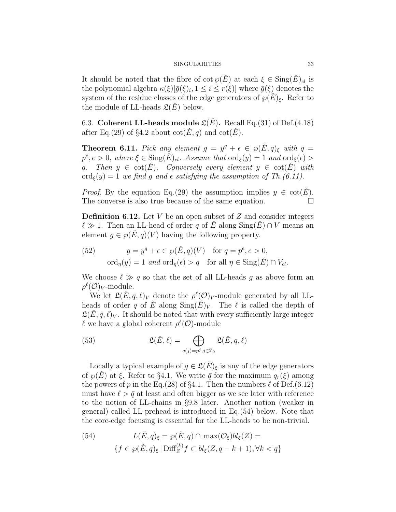It should be noted that the fibre of  $\cot \varphi(E)$  at each  $\xi \in \text{Sing}(E)_{cl}$  is the polynomial algebra  $\kappa(\xi)[\bar{g}(\xi)_i, 1 \leq i \leq r(\xi)]$  where  $\bar{g}(\xi)$  denotes the system of the residue classes of the edge generators of  $\wp(E)_{\xi}$ . Refer to the module of LL-heads  $\mathfrak{L}(E)$  below.

6.3. Coherent LL-heads module  $\mathfrak{L}(E)$ . Recall Eq.(31) of Def.(4.18) after Eq.(29) of §4.2 about  $\cot(\dot{E}, q)$  and  $\cot(\dot{E})$ .

**Theorem 6.11.** Pick any element  $g = y^q + \epsilon \in \wp(\check{E}, q)_{\xi}$  with  $q =$  $p^e, e > 0$ , where  $\xi \in \text{Sing}(\check{E})_{cl}$ . Assume that  $\text{ord}_{\xi}(y) = 1$  and  $\text{ord}_{\xi}(\epsilon) > 0$ q. Then  $y \in \text{cot}(E)$ . Conversely every element  $y \in \text{cot}(E)$  with  $\text{ord}_{\xi}(y) = 1$  we find q and  $\epsilon$  satisfying the assumption of Th.(6.11).

*Proof.* By the equation Eq.(29) the assumption implies  $y \in \text{cot}(E)$ . The converse is also true because of the same equation.  $\Box$ 

**Definition 6.12.** Let  $V$  be an open subset of  $Z$  and consider integers  $\ell \gg 1$ . Then an LL-head of order q of E along Sing(E) ∩ V means an element  $g \in \wp(E, q)(V)$  having the following property.

(52) 
$$
g = y^q + \epsilon \in \wp(\check{E}, q)(V) \text{ for } q = p^e, e > 0,
$$

$$
\text{ord}_{\eta}(y) = 1 \text{ and } \text{ord}_{\eta}(\epsilon) > q \text{ for all } \eta \in \text{Sing}(\check{E}) \cap V_{cl}.
$$

We choose  $\ell \gg q$  so that the set of all LL-heads g as above form an  $\rho^{\ell}(\mathcal{O})_V$ -module.

We let  $\mathfrak{L}(\check{E}, q, \ell)_V$  denote the  $\rho^{\ell}(\mathcal{O})_V$ -module generated by all LLheads of order q of E along  $\text{Sing}(E)_V$ . The  $\ell$  is called the depth of  $\mathfrak{L}(E, q, \ell)_V$ . It should be noted that with every sufficiently large integer  $\ell$  we have a global coherent  $\rho^{\ell}(\mathcal{O})$ -module

(53) 
$$
\mathfrak{L}(\check{E}, \ell) = \bigoplus_{q(j) = p^j, j \in \mathbb{Z}_0} \mathfrak{L}(\check{E}, q, \ell)
$$

Locally a typical example of  $g \in \mathfrak{L}(E)_{\varepsilon}$  is any of the edge generators of  $\wp(E)$  at  $\xi$ . Refer to §4.1. We write  $\bar{q}$  for the maximum  $q_r(\xi)$  among the powers of p in the Eq.(28) of §4.1. Then the numbers  $\ell$  of Def.(6.12) must have  $\ell > \bar{q}$  at least and often bigger as we see later with reference to the notion of LL-chains in §9.8 later. Another notion (weaker in general) called LL-prehead is introduced in Eq.(54) below. Note that the core-edge focusing is essential for the LL-heads to be non-trivial.

(54) 
$$
L(\check{E}, q)_{\xi} = \wp(\check{E}, q) \cap \max(\mathcal{O}_{\xi})bl_{\xi}(Z) =
$$

$$
\{f \in \wp(\check{E}, q)_{\xi} | \text{Diff}_{Z}^{(k)} f \subset bl_{\xi}(Z, q - k + 1), \forall k < q\}
$$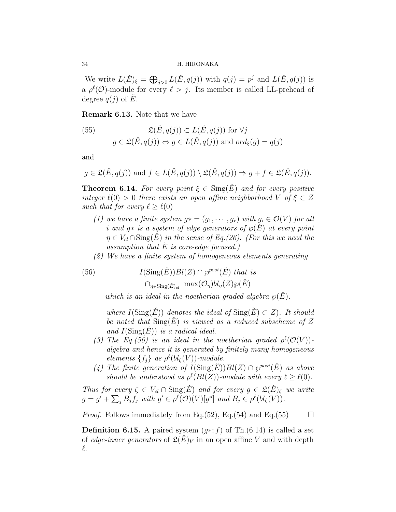We write  $L(\check{E})_{\xi} = \bigoplus_{j>0} L(\check{E}, q(j))$  with  $q(j) = p^j$  and  $L(\check{E}, q(j))$  is a  $\rho^{\ell}(\mathcal{O})$ -module for every  $\ell > j$ . Its member is called LL-prehead of degree  $q(j)$  of E.

Remark 6.13. Note that we have

(55) 
$$
\mathfrak{L}(\check{E}, q(j)) \subset L(\check{E}, q(j)) \text{ for } \forall j
$$

$$
g \in \mathfrak{L}(\check{E}, q(j)) \Leftrightarrow g \in L(\check{E}, q(j)) \text{ and } ord_{\xi}(g) = q(j)
$$

and

$$
g \in \mathfrak{L}(\check{E}, q(j))
$$
 and  $f \in L(\check{E}, q(j)) \setminus \mathfrak{L}(\check{E}, q(j)) \Rightarrow g + f \in \mathfrak{L}(\check{E}, q(j)).$ 

**Theorem 6.14.** For every point  $\xi \in \text{Sing}(E)$  and for every positive integer  $\ell(0) > 0$  there exists an open affine neighborhood V of  $\xi \in Z$ such that for every  $\ell \geq \ell(0)$ 

- (1) we have a finite system  $g* = (g_1, \dots, g_r)$  with  $g_i \in \mathcal{O}(V)$  for all i and g $*$  is a system of edge generators of  $\wp(E)$  at every point  $\eta \in V_{cl} \cap \text{Sing}(E)$  in the sense of Eq.(26). (For this we need the assumption that  $E$  is core-edge focused.)
- (2) We have a finite system of homogeneous elements generating

(56)  $I(\text{Sing}(\check{E}))Bl(Z) \cap \wp^{posi}(\check{E}) \text{ that is}$  $\cap_{\eta \in \text{Sing}(\check{E})_{cl}} \text{max}(\mathcal{O}_{\eta})bl_{\eta}(Z)\wp(\check{E})$ 

which is an ideal in the noetherian graded algebra  $\wp(E)$ .

where  $I(Sing(E))$  denotes the ideal of  $Sing(E) \subset Z$ ). It should be noted that  $\text{Sing}(E)$  is viewed as a reduced subscheme of Z and  $I(\mathrm{Sing}(E))$  is a radical ideal.

- (3) The Eq.(56) is an ideal in the noetherian graded  $\rho^{\ell}(\mathcal{O}(V))$ algebra and hence it is generated by finitely many homogeneous elements  $\{f_j\}$  as  $\rho^{\ell}(bl_{\zeta}(V))$ -module.
- (4) The finite generation of  $I(\text{Sing}(\check{E}))Bl(Z) \cap \wp^{posi}(\check{E})$  as above should be understood as  $\rho^{\ell}(Bl(Z))$ -module with every  $\ell \geq \ell(0)$ .

Thus for every  $\zeta \in V_{cl} \cap \text{Sing}(\check{E})$  and for every  $g \in \mathfrak{L}(\check{E})_{\zeta}$  we write  $g = g' + \sum_j B_j f_j$  with  $g' \in \rho^{\ell}(\mathcal{O})(V)[g^*]$  and  $B_j \in \rho^{\ell}(bl_{\zeta}(V))$ .

*Proof.* Follows immediately from Eq.(52), Eq.(54) and Eq.(55)  $\Box$ 

**Definition 6.15.** A paired system  $(q^*; f)$  of Th.(6.14) is called a set of edge-inner generators of  $\mathfrak{L}(E)_V$  in an open affine V and with depth  $\ell$ .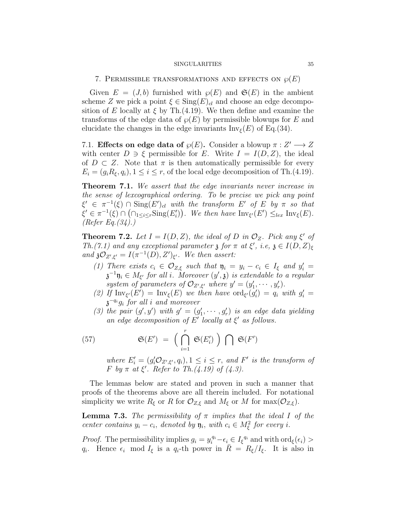#### 7. PERMISSIBLE TRANSFORMATIONS AND EFFECTS ON  $\wp(E)$

Given  $E = (J, b)$  furnished with  $\varphi(E)$  and  $\mathfrak{S}(E)$  in the ambient scheme Z we pick a point  $\xi \in \text{Sing}(E)_{cl}$  and choose an edge decomposition of E locally at  $\xi$  by Th.(4.19). We then define and examine the transforms of the edge data of  $\wp(E)$  by permissible blowups for E and elucidate the changes in the edge invariants  $\text{Inv}_{\xi}(E)$  of Eq.(34).

7.1. Effects on edge data of  $\wp(E)$ . Consider a blowup  $\pi : Z' \longrightarrow Z$ with center  $D \ni \xi$  permissible for E. Write  $I = I(D, Z)$ , the ideal of  $D \subset Z$ . Note that  $\pi$  is then automatically permissible for every  $E_i = (g_i R_\xi, q_i), 1 \leq i \leq r$ , of the local edge decomposition of Th.(4.19).

Theorem 7.1. We assert that the edge invariants never increase in the sense of lexcographical ordering. To be precise we pick any point  $\xi' \in \pi^{-1}(\xi) \cap \text{Sing}(E')_{cl}$  with the transform E' of E by  $\pi$  so that  $\xi' \in \pi^{-1}(\xi) \cap (\bigcap_{1 \leq i \leq r} \text{Sing}(E'_i)).$  We then have  $\text{Inv}_{\xi'}(E') \leq_{lex} \text{Inv}_{\xi}(E)$ . (Refer Eq.  $(34)$ .)

**Theorem 7.2.** Let  $I = I(D, Z)$ , the ideal of D in  $\mathcal{O}_Z$ . Pick any  $\xi'$  of Th.(7.1) and any exceptional parameter  $\mathfrak z$  for  $\pi$  at  $\xi'$ , i.e,  $\mathfrak z \in I(D,Z)_{\xi}$ and  $\mathfrak{z} \mathcal{O}_{Z',\xi'} = I(\pi^{-1}(D), Z')_{\xi'}$ . We then assert:

- (1) There exists  $c_i \in \mathcal{O}_{Z,\xi}$  such that  $\mathfrak{y}_i = y_i c_i \in I_{\xi}$  and  $y'_i =$  $\mathfrak{z}^{-1}\mathfrak{y}_i \in M_{\xi'}$  for all i. Moreover  $(y',\mathfrak{z})$  is extendable to a regular system of parameters of  $\mathcal{O}_{Z',\xi'}$  where  $y'=(y'_1,\cdots,y'_r)$ .
- (2) If  $\text{Inv}_{\xi'}(E') = \text{Inv}_{\xi}(E)$  we then have  $\text{ord}_{\xi'}(g_i') = q_i$  with  $g_i' =$  $\mathfrak{z}^{-q_i} g_i$  for all i and moreover
- (3) the pair  $(g', y')$  with  $g' = (g'_1, \dots, g'_r)$  is an edge data yielding an edge decomposition of  $E'$  locally at  $\xi'$  as follows.

(57) 
$$
\mathfrak{S}(E') = \left(\bigcap_{i=1}^r \mathfrak{S}(E'_i)\right) \bigcap \mathfrak{S}(F')
$$

where  $E'_{i} = (g'_{i}\mathcal{O}_{Z',\xi'}, q_{i}), 1 \leq i \leq r$ , and  $F'$  is the transform of F by  $\pi$  at  $\xi'$ . Refer to Th.(4.19) of (4.3).

The lemmas below are stated and proven in such a manner that proofs of the theorems above are all therein included. For notational simplicity we write  $R_{\xi}$  or R for  $\mathcal{O}_{Z,\xi}$  and  $M_{\xi}$  or M for  $\max(\mathcal{O}_{Z,\xi})$ .

**Lemma 7.3.** The permissibility of  $\pi$  implies that the ideal I of the center contains  $y_i - c_i$ , denoted by  $\mathfrak{y}_i$ , with  $c_i \in M_{\xi}^2$  for every i.

*Proof.* The permissibility implies  $g_i = y_i^{q_i} - \epsilon_i \in I_{\xi}^{q_i}$  and with  $\text{ord}_{\xi}(\epsilon_i) >$  $q_i$ . Hence  $\epsilon_i$  mod  $I_{\xi}$  is a  $q_i$ -th power in  $\bar{R} = R_{\xi}/I_{\xi}$ . It is also in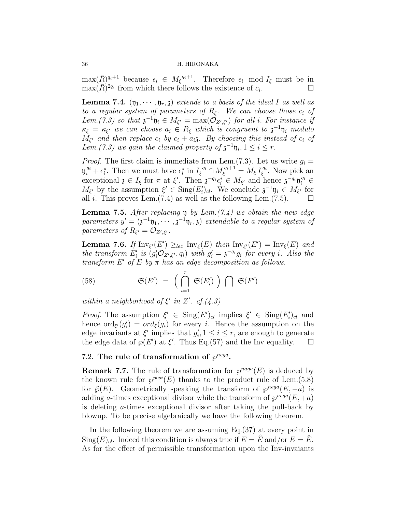$\max(\bar{R})^{q_i+1}$  because  $\epsilon_i \in M_{\xi}^{q_i+1}$ . Therefore  $\epsilon_i$  mod  $I_{\xi}$  must be in  $\max(\bar{R})^{2q_i}$  from which there follows the existence of  $c_i$ .

**Lemma 7.4.**  $(\eta_1, \dots, \eta_r, \mathfrak{z})$  extends to a basis of the ideal I as well as to a regular system of parameters of  $R_{\xi}$ . We can choose those  $c_i$  of Lem.(7.3) so that  $\mathfrak{z}^{-1}\mathfrak{y}_i \in M_{\xi'} = \max(\mathcal{O}_{Z',\xi'})$  for all i. For instance if  $\kappa_{\xi} = \kappa_{\xi'}$  we can choose  $a_i \in R_{\xi}$  which is congruent to  $\mathfrak{z}^{-1} \mathfrak{y}_i$  modulo  $M_{\xi'}$  and then replace  $c_i$  by  $c_i + a_i$ ; By choosing this instead of  $c_i$  of Lem.(7.3) we gain the claimed property of  $\mathfrak{z}^{-1}\mathfrak{y}_i, 1 \leq i \leq r$ .

*Proof.* The first claim is immediate from Lem.(7.3). Let us write  $q_i =$  $\mathfrak{y}_i^{q_i} + \epsilon_i^*$ . Then we must have  $\epsilon_i^*$  in  $I_{\xi}^{q_i} \cap M_{\xi}^{q_i+1} = M_{\xi} I_{\xi}^{q_i}$  $\zeta^{q_i}$ . Now pick an exceptional  $\mathfrak{z} \in I_{\xi}$  for  $\pi$  at  $\xi'$ . Then  $\mathfrak{z}^{-q_i} \epsilon_i^* \in M_{\xi'}$  and hence  $\mathfrak{z}^{-q_i} \mathfrak{y}_i^{q_i} \in$  $M_{\xi'}$  by the assumption  $\xi' \in \text{Sing}(E_i')_{cl}$ . We conclude  $\mathfrak{z}^{-1}\mathfrak{y}_i \in M_{\xi'}$  for all i. This proves Lem. $(7.4)$  as well as the following Lem. $(7.5)$ .

**Lemma 7.5.** After replacing  $\mathfrak{y}$  by Lem. (7.4) we obtain the new edge parameters  $y' = (\mathfrak{z}^{-1} \mathfrak{y}_1, \cdots, \mathfrak{z}^{-1} \mathfrak{y}_r, \mathfrak{z})$  extendable to a regular system of parameters of  $R_{\xi'} = \mathcal{O}_{Z',\xi'}.$ 

**Lemma 7.6.** If  $\text{Inv}_{\xi'}(E') \geq_{lex} \text{Inv}_{\xi}(E)$  then  $\text{Inv}_{\xi'}(E') = \text{Inv}_{\xi}(E)$  and the transform  $E'_i$  is  $(g'_i \mathcal{O}_{Z',\xi'}, q_i)$  with  $g'_i = \mathfrak{z}^{-q_i} g_i$  for every i. Also the transform  $E'$  of  $E$  by  $\pi$  has an edge decomposition as follows.

(58) 
$$
\mathfrak{S}(E') = \left(\bigcap_{i=1}^r \mathfrak{S}(E'_i)\right) \bigcap \mathfrak{S}(F')
$$

within a neighborhood of  $\xi'$  in  $Z'$ . cf.(4.3)

Proof. The assumption  $\xi' \in Sing(E')_{cl}$  implies  $\xi' \in Sing(E'_i)_{cl}$  and hence  $\text{ord}_{\xi'}(g_i') = ord_{\xi}(g_i)$  for every i. Hence the assumption on the edge invariants at  $\xi'$  implies that  $g'_i, 1 \leq i \leq r$ , are enough to generate the edge data of  $\varphi(E')$  at  $\xi'$ . Thus Eq.(57) and the Inv equality.  $\square$ 

# 7.2. The rule of transformation of  $\varphi^{nega}$ .

**Remark 7.7.** The rule of transformation for  $\wp^{naga}(E)$  is deduced by the known rule for  $\varphi^{posi}(E)$  thanks to the product rule of Lem.(5.8) for  $\tilde{\varphi}(E)$ . Geometrically speaking the transform of  $\varphi^{neg}(E, -a)$  is adding a-times exceptional divisor while the transform of  $\varphi^{neg}(E, +a)$ is deleting a-times exceptional divisor after taking the pull-back by blowup. To be precise algebraically we have the following theorem.

In the following theorem we are assuming  $Eq.(37)$  at every point in  $\text{Sing}(E)_{cl}$ . Indeed this condition is always true if  $E = \hat{E}$  and/or  $E = \hat{E}$ . As for the effect of permissible transformation upon the Inv-invaiants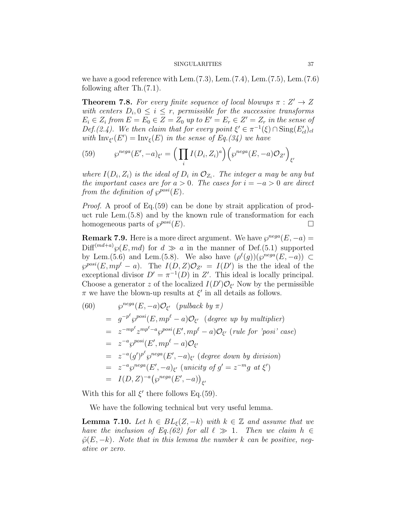we have a good reference with Lem. $(7.3)$ , Lem. $(7.4)$ , Lem. $(7.5)$ , Lem. $(7.6)$ following after Th.(7.1).

**Theorem 7.8.** For every finite sequence of local blowups  $\pi : Z' \to Z$ with centers  $D_i, 0 \leq i \leq r$ , permissible for the successive transforms  $E_i \in Z_i$  from  $E = E_0 \in Z = Z_0$  up to  $E' = E_r \in Z' = Z_r$  in the sense of Def.(2.4). We then claim that for every point  $\xi' \in \pi^{-1}(\xi) \cap \text{Sing}(E_{cl}')_{cl}$ with  $\text{Inv}_{\xi'}(E') = \text{Inv}_{\xi}(E)$  in the sense of Eq.(34) we have

(59) 
$$
\wp^{nega}(E',-a)_{\xi'} = \left(\prod_i I(D_i,Z_i)^a\right) \left(\wp^{nega}(E,-a)\mathcal{O}_{Z'}\right)_{\xi'}
$$

where  $I(D_i, Z_i)$  is the ideal of  $D_i$  in  $\mathcal{O}_{Z_i}$ . The integer a may be any but the important cases are for  $a > 0$ . The cases for  $i = -a > 0$  are direct from the definition of  $\varphi^{posi}(E)$ .

Proof. A proof of Eq.(59) can be done by strait application of product rule Lem.(5.8) and by the known rule of transformation for each homogeneous parts of  $\wp^{posi}(E)$ .

**Remark 7.9.** Here is a more direct argument. We have  $\wp^{nega}(E, -a)$  =  $\text{Diff}^{(md+a)}\wp(E, md)$  for  $d \gg a$  in the manner of Def.(5.1) supported by Lem.(5.6) and Lem.(5.8). We also have  $(\rho^{\ell}(g))(\wp^{neg}(E,-a)) \subset$  $\wp^{posi}(E, mp^{\ell} - a)$ . The  $I(D, Z)O_{Z'} = I(D')$  is the the ideal of the exceptional divisor  $D' = \pi^{-1}(D)$  in Z'. This ideal is locally principal. Choose a generator z of the localized  $I(D')\mathcal{O}_{\xi'}$  Now by the permissible  $\pi$  we have the blown-up results at  $\xi'$  in all details as follows.

(60) 
$$
\wp^{neg}(E, -a)\mathcal{O}_{\xi'} \text{ (pulback by } \pi)
$$
  
\n
$$
= g^{-p^{\ell}}\wp^{posi}(E, mp^{\ell} - a)\mathcal{O}_{\xi'} \text{ (degree up by multiplier)}
$$
  
\n
$$
= z^{-mp^{\ell}}z^{mp^{\ell} - a}\wp^{posi}(E', mp^{\ell} - a)\mathcal{O}_{\xi'} \text{ (rule for 'posi' case)}
$$
  
\n
$$
= z^{-a}\wp^{posi}(E', mp^{\ell} - a)\mathcal{O}_{\xi'}
$$
  
\n
$$
= z^{-a}(\wp')^{p^{\ell}}\wp^{nega}(E', -a)_{\xi'} \text{ (degree down by division)}
$$
  
\n
$$
= z^{-a}\wp^{nega}(E', -a)_{\xi'} \text{ (unicity of } g' = z^{-m}g \text{ at } \xi')
$$
  
\n
$$
= I(D, Z)^{-a}(\wp^{nega}(E', -a))_{\xi'}
$$

With this for all  $\xi'$  there follows Eq.(59).

We have the following technical but very useful lemma.

**Lemma 7.10.** Let  $h \in BL_{\xi}(Z, -k)$  with  $k \in \mathbb{Z}$  and assume that we have the inclusion of Eq.(62) for all  $\ell \gg 1$ . Then we claim  $h \in$  $\tilde{\varphi}(E, -k)$ . Note that in this lemma the number k can be positive, negative or zero.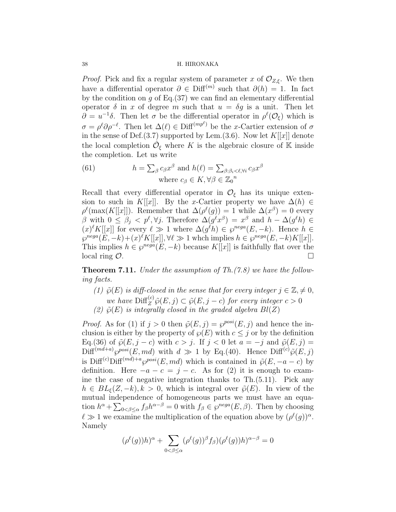*Proof.* Pick and fix a regular system of parameter x of  $\mathcal{O}_{Z,\xi}$ . We then have a differential operator  $\partial \in \text{Diff}^{(m)}$  such that  $\partial(h) = 1$ . In fact by the condition on  $q$  of Eq.(37) we can find an elementary differential operator  $\delta$  in x of degree m such that  $u = \delta g$  is a unit. Then let  $\partial = u^{-1}\delta$ . Then let  $\sigma$  be the differential operator in  $\rho^{\ell}(\mathcal{O}_{\xi})$  which is  $\sigma = \rho^{\ell} \partial \rho^{-\ell}$ . Then let  $\Delta(\ell) \in \text{Diff}^{(mp^{\ell})}$  be the x-Cartier extension of  $\sigma$ in the sense of Def.(3.7) supported by Lem.(3.6). Now let  $K[[x]]$  denote the local completion  $\hat{\mathcal{O}}_{\xi}$  where K is the algebraic closure of K inside the completion. Let us write

(61) 
$$
h = \sum_{\beta} c_{\beta} x^{\beta} \text{ and } h(\ell) = \sum_{\beta: \beta_i < \ell, \forall i} c_{\beta} x^{\beta}
$$
\nwhere  $c_{\beta} \in K, \forall \beta \in \mathbb{Z}_0^n$ 

Recall that every differential operator in  $\mathcal{O}_{\xi}$  has its unique extension to such in K[[x]. By the x-Cartier property we have  $\Delta(h) \in$  $\rho^{\ell}(\max(K[[x]])$ . Remember that  $\Delta(\rho^{\ell}(g)) = 1$  while  $\Delta(x^{\beta}) = 0$  every β with  $0 \leq \beta_j < p^{\ell}, \forall j$ . Therefore  $\Delta(g^{\ell}x^{\beta}) = x^{\beta}$  and  $h - \Delta(g^{\ell}h) \in$  $(x)^{\ell} K[[x]]$  for every  $\ell \gg 1$  where  $\Delta(g^{\ell} h) \in \wp^{neg}(E, -k)$ . Hence  $h \in$  $\wp^{neg}(E, -k) + (x)^{\ell} K[[x]], \forall \ell \gg 1 \text{ which implies } h \in \wp^{neg}(E, -k) K[[x]].$ This implies  $h \in \wp^{nega}(E, -k)$  because  $K[[x]]$  is faithfully flat over the  $\Box$  local ring  $\mathcal{O}$ .

Theorem 7.11. Under the assumption of Th.(7.8) we have the following facts.

- (1)  $\tilde{\varphi}(E)$  is diff-closed in the sense that for every integer  $j \in \mathbb{Z}, \neq 0$ , we have  $\text{Diff}_Z^{(c)}\tilde{\wp}(E,j) \subset \tilde{\wp}(E,j-c)$  for every integer  $c > 0$
- (2)  $\tilde{\varphi}(E)$  is integrally closed in the graded algebra  $Bl(Z)$

*Proof.* As for (1) if  $j > 0$  then  $\tilde{\varphi}(E, j) = \varphi^{posi}(E, j)$  and hence the inclusion is either by the property of  $\wp(E)$  with  $c \leq j$  or by the definition Eq.(36) of  $\tilde{\varphi}(E, j - c)$  with  $c > j$ . If  $j < 0$  let  $a = -j$  and  $\tilde{\varphi}(E, j) =$  $\text{Diff}^{(md+a)}\wp^{posi}(E, md)$  with  $d \gg 1$  by Eq.(40). Hence  $\text{Diff}^{(c)}\tilde{\wp}(E, j)$ is Diff<sup>(c)</sup>Diff<sup>(md)+a</sup> $\varphi^{posi}(E, md)$  which is contained in  $\tilde{\varphi}(E, -a - c)$  by definition. Here  $-a - c = j - c$ . As for (2) it is enough to examine the case of negative integration thanks to Th.(5.11). Pick any  $h \in BL_{\xi}(Z, -k), k > 0$ , which is integral over  $\tilde{\varphi}(E)$ . In view of the mutual independence of homogeneous parts we must have an equation  $h^{\alpha} + \sum_{0 < \beta \leq \alpha} f_{\beta} h^{\alpha-\beta} = 0$  with  $f_{\beta} \in \wp^{neg}(E, \beta)$ . Then by choosing  $\ell \gg 1$  we examine the multiplication of the equation above by  $(\rho^{\ell}(g))^{\alpha}$ . Namely

$$
(\rho^{\ell}(g))h)^\alpha+\sum_{0<\beta\leq\alpha}(\rho^{\ell}(g))^\beta f_\beta)(\rho^{\ell}(g))h)^{\alpha-\beta}=0
$$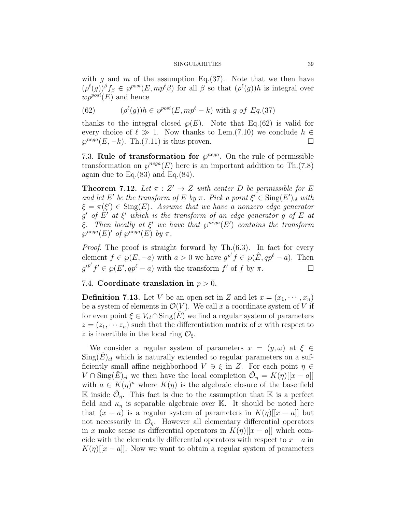with g and m of the assumption Eq.  $(37)$ . Note that we then have  $(\rho^{\ell}(g))^{\beta} f_{\beta} \in \varphi^{posi}(E, mp^{\ell} \beta)$  for all  $\beta$  so that  $(\rho^{\ell}(g))h$  is integral over  $wp^{posi}(E)$  and hence

(62) 
$$
(\rho^{\ell}(g))h \in \wp^{posi}(E, mp^{\ell} - k) \text{ with } g \text{ of } Eq. (37)
$$

thanks to the integral closed  $\wp(E)$ . Note that Eq.(62) is valid for every choice of  $\ell \gg 1$ . Now thanks to Lem.(7.10) we conclude  $h \in$  $\wp^{neg}(E, -k)$ . Th.(7.11) is thus proven.

7.3. Rule of transformation for  $\varphi^{nega}$ . On the rule of permissible transformation on  $\varphi^{neg}(E)$  here is an important addition to Th.(7.8) again due to  $Eq.(83)$  and  $Eq.(84)$ .

**Theorem 7.12.** Let  $\pi : Z' \to Z$  with center D be permissible for E and let E' be the transform of E by  $\pi$ . Pick a point  $\xi' \in Sing(E')_{cl}$  with  $\xi = \pi(\xi') \in \text{Sing}(E)$ . Assume that we have a nonzero edge generator  $g'$  of  $E'$  at  $\xi'$  which is the transform of an edge generator g of E at ξ. Then locally at  $\xi'$  we have that  $\varphi^{nega}(E')$  contains the transform  $\wp^{nega}(E)'$  of  $\wp^{nega}(E)$  by  $\pi$ .

Proof. The proof is straight forward by Th. $(6.3)$ . In fact for every element  $f \in \wp(E, -a)$  with  $a > 0$  we have  $g^{p^{\ell}} f \in \wp(\hat{E}, qp^{\ell} - a)$ . Then  $g'^{p^{\ell}}f' \in \wp(E', qp^{\ell} - a)$  with the transform  $f'$  of  $f$  by  $\pi$ .

# 7.4. Coordinate translation in  $p > 0$ .

**Definition 7.13.** Let V be an open set in Z and let  $x = (x_1, \dots, x_n)$ be a system of elements in  $\mathcal{O}(V)$ . We call x a coordinate system of V if for even point  $\xi \in V_{cl} \cap \text{Sing}(E)$  we find a regular system of parameters  $z = (z_1, \dots, z_n)$  such that the differentiation matrix of x with respect to z is invertible in the local ring  $\mathcal{O}_{\xi}$ .

We consider a regular system of parameters  $x = (y, \omega)$  at  $\xi \in$  $\text{Sing}(E)_{cl}$  which is naturally extended to regular parameters on a sufficiently small affine neighborhood  $V \ni \xi$  in Z. For each point  $\eta \in$  $V \cap \text{Sing}(\check{E})_{cl}$  we then have the local completion  $\hat{\mathcal{O}}_{\eta} = K(\eta)[[x-a]]$ with  $a \in K(\eta)^n$  where  $K(\eta)$  is the algebraic closure of the base field K inside  $\hat{\mathcal{O}}_{\eta}$ . This fact is due to the assumption that K is a perfect field and  $\kappa_{\eta}$  is separable algebraic over K. It should be noted here that  $(x - a)$  is a regular system of parameters in  $K(\eta)[[x - a]]$  but not necessarily in  $\mathcal{O}_\eta$ . However all elementary differential operators in x make sense as differential operators in  $K(\eta)[[x-a]]$  which coincide with the elementally differential operators with respect to  $x-a$  in  $K(\eta)[|x-a|]$ . Now we want to obtain a regular system of parameters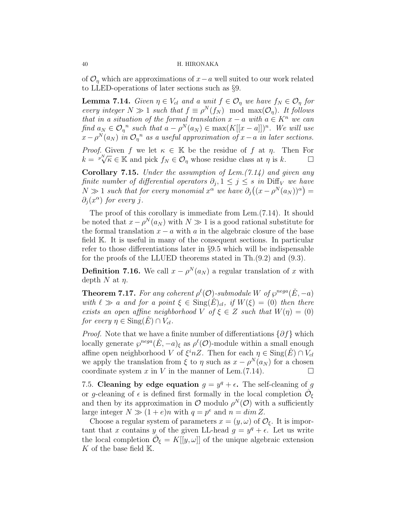of  $\mathcal{O}_n$  which are approximations of  $x-a$  well suited to our work related to LLED-operations of later sections such as §9.

**Lemma 7.14.** Given  $\eta \in V_{cl}$  and a unit  $f \in \mathcal{O}_{\eta}$  we have  $f_N \in \mathcal{O}_{\eta}$  for every integer  $N \gg 1$  such that  $f \equiv \rho^N(f_N) \mod \max(\mathcal{O}_\eta)$ . It follows that in a situation of the formal translation  $x - a$  with  $a \in K^n$  we can find  $a_N \in \mathcal{O}_\eta^{\{n\}}$  such that  $a - \rho^N(a_N) \in \max(K[[x-a]])^n$ . We will use  $x - \rho^N(a_N)$  in  $\mathcal{O}_\eta$ <sup>n</sup> as a useful approximation of  $x - a$  in later sections.

*Proof.* Given f we let  $\kappa \in \mathbb{K}$  be the residue of f at  $\eta$ . Then For *k* =  $\binom{p}{k}$   $\forall k \in \mathbb{K}$  and pick  $f_N \in \mathcal{O}_\eta$  whose residue class at  $\eta$  is  $k$ .

**Corollary 7.15.** Under the assumption of Lem.  $(7.14)$  and given any finite number of differential operators  $\partial_j$ ,  $1 \leq j \leq s$  in Diff<sub>V</sub> we have  $N \gg 1$  such that for every monomial  $x^{\alpha}$  we have  $\partial_j((x - \rho^N(a_N))^{\alpha}) =$  $\partial_j(x^{\alpha})$  for every j.

The proof of this corollary is immediate from Lem.(7.14). It should be noted that  $x - \rho^N(a_N)$  with  $N \gg 1$  is a good rational substitute for the formal translation  $x - a$  with a in the algebraic closure of the base field K. It is useful in many of the consequent sections. In particular refer to those differentiations later in §9.5 which will be indispensable for the proofs of the LLUED theorems stated in Th.(9.2) and (9.3).

**Definition 7.16.** We call  $x - \rho^N(a_N)$  a regular translation of x with depth N at  $\eta$ .

**Theorem 7.17.** For any coherent  $\rho^{\ell}(\mathcal{O})$ -submodule W of  $\wp^{neg}(\check{E}, -a)$ with  $\ell \gg a$  and for a point  $\xi \in \text{Sing}(E)_{cl}$ , if  $W(\xi) = (0)$  then there exists an open affine neighborhood V of  $\xi \in Z$  such that  $W(\eta) = (0)$ for every  $\eta \in \text{Sing}(E) \cap V_{cl}$ .

*Proof.* Note that we have a finite number of differentiations  $\{\partial f\}$  which locally generate  $\wp^{nega}(\check{E}, -a)_{\xi}$  as  $\rho^{\ell}(\mathcal{O})$ -module within a small enough affine open neighborhood V of  $\xi^{i}nZ$ . Then for each  $\eta \in \text{Sing}(\check{E}) \cap V_{cl}$ we apply the translation from  $\xi$  to  $\eta$  such as  $x - \rho^N(a_N)$  for a chosen coordinate system x in V in the manner of Lem. $(7.14)$ .

7.5. Cleaning by edge equation  $g = y^q + \epsilon$ . The self-cleaning of g or g-cleaning of  $\epsilon$  is defined first formally in the local completion  $\hat{\mathcal{O}}_{\xi}$ and then by its approximation in  $\mathcal O$  modulo  $\rho^N(\mathcal O)$  with a sufficiently large integer  $N \gg (1 + e)n$  with  $q = p^e$  and  $n = \dim Z$ .

Choose a regular system of parameters  $x = (y, \omega)$  of  $\mathcal{O}_{\xi}$ . It is important that x contains y of the given LL-head  $g = y^q + \epsilon$ . Let us write the local completion  $\hat{\mathcal{O}}_{\xi} = K[[y,\omega]]$  of the unique algebraic extension K of the base field  $K$ .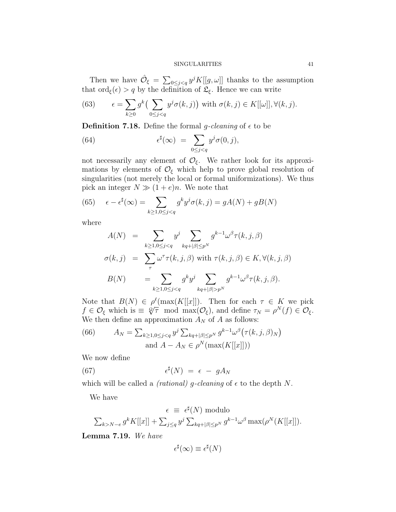Then we have  $\hat{\mathcal{O}}_{\xi} = \sum_{0 \leq j < q} y^{j} K[[g, \omega]]$  thanks to the assumption that  $\text{ord}_{\xi}(\epsilon) > q$  by the definition of  $\mathfrak{L}_{\xi}$ . Hence we can write

(63) 
$$
\epsilon = \sum_{k \ge 0} g^k \left( \sum_{0 \le j < q} y^j \sigma(k, j) \right) \text{ with } \sigma(k, j) \in K[[\omega]], \forall (k, j).
$$

**Definition 7.18.** Define the formal g-cleaning of  $\epsilon$  to be

(64) 
$$
\epsilon^{\sharp}(\infty) = \sum_{0 \leq j < q} y^j \sigma(0, j),
$$

not necessarily any element of  $\mathcal{O}_{\xi}$ . We rather look for its approximations by elements of  $\mathcal{O}_{\xi}$  which help to prove global resolution of singularities (not merely the local or formal uniformizations). We thus pick an integer  $N \gg (1 + e)n$ . We note that

(65) 
$$
\epsilon - \epsilon^{\sharp}(\infty) = \sum_{k \ge 1, 0 \le j < q} g^k y^j \sigma(k, j) = gA(N) + gB(N)
$$

where

$$
A(N) = \sum_{k \ge 1, 0 \le j < q} y^j \sum_{kq+|\beta| \le p^N} g^{k-1} \omega^\beta \tau(k, j, \beta)
$$
\n
$$
\sigma(k, j) = \sum_{\tau} \omega^\tau \tau(k, j, \beta) \text{ with } \tau(k, j, \beta) \in K, \forall (k, j, \beta)
$$
\n
$$
B(N) = \sum_{k \ge 1, 0 \le j < q} g^k y^j \sum_{kq+|\beta| > p^N} g^{k-1} \omega^\beta \tau(k, j, \beta).
$$

Note that  $B(N) \in \rho^{\ell}(\max(K[[x]])$ . Then for each  $\tau \in K$  we pick Note that  $D(N) \in \rho^r(\max(N[[x]]))$ . Then for each  $\tau \in \mathbb{R}$  we pick<br>  $f \in \mathcal{O}_{\xi}$  which is  $\equiv \sqrt[\varphi]{\tau}$  mod  $\max(\mathcal{O}_{\xi})$ , and define  $\tau_N = \rho^N(f) \in \mathcal{O}_{\xi}$ . We then define an approximation  $A_N$  of A as follows:

(66) 
$$
A_N = \sum_{k \ge 1, 0 \le j < q} y^j \sum_{kq + |\beta| \le p^N} g^{k-1} \omega^\beta \big( \tau(k, j, \beta)_N \big)
$$
\n
$$
\text{and } A - A_N \in \rho^N(\max(K[[x]]))
$$

We now define

(67) 
$$
\epsilon^{\sharp}(N) = \epsilon - gA_N
$$

which will be called a *(rational)* g-cleaning of  $\epsilon$  to the depth N.

We have

$$
\epsilon \equiv \epsilon^{\sharp}(N) \text{ modulo}
$$

$$
\sum_{k > N - e} g^k K[[x]] + \sum_{j \le q} y^j \sum_{kq + |\beta| \le p^N} g^{k-1} \omega^{\beta} \max(\rho^N(K[[x]])).
$$

Lemma 7.19. We have

$$
\epsilon^{\sharp}(\infty) \equiv \epsilon^{\sharp}(N)
$$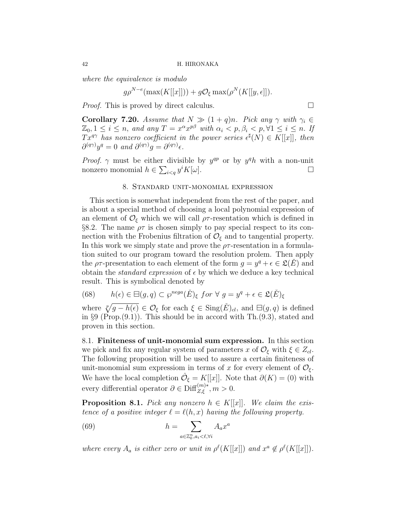where the equivalence is modulo

$$
g\rho^{N-e}(\max(K[[x]]))+g\mathcal{O}_{\xi}\max(\rho^N(K[[y,\epsilon]])).
$$

*Proof.* This is proved by direct calculus.  $\Box$ 

**Corollary 7.20.** Assume that  $N \gg (1 + q)n$ . Pick any  $\gamma$  with  $\gamma_i \in$  $\mathbb{Z}_0, 1 \leq i \leq n$ , and any  $T = x^{\alpha} x^{p\beta}$  with  $\alpha_i \leq p, \beta_i \leq p, \forall 1 \leq i \leq n$ . If  $Tx^{q\gamma}$  has nonzero coefficient in the power series  $\epsilon^{\sharp}(N) \in K[[x]]$ , then  $\partial^{(q\gamma)}y^q = 0$  and  $\partial^{(q\gamma)}g = \partial^{(q\gamma)}\epsilon$ .

*Proof.*  $\gamma$  must be either divisible by  $y^{qp}$  or by  $y^{q}h$  with a non-unit nonzero monomial  $h \in \sum_{i < q} y^i K[\omega]$ .

# 8. Standard unit-monomial expression

This section is somewhat independent from the rest of the paper, and is about a special method of choosing a local polynomial expression of an element of  $\mathcal{O}_{\xi}$  which we will call  $\rho\tau$ -resentation which is defined in §8.2. The name  $\rho\tau$  is chosen simply to pay special respect to its connection with the Frobenius filtration of  $\mathcal{O}_{\xi}$  and to tangential property. In this work we simply state and prove the  $\rho\tau$ -resentation in a formulation suited to our program toward the resolution prolem. Then apply the  $\rho\tau$ -presentation to each element of the form  $g = y^q + \epsilon \in \mathfrak{L}(\check{E})$  and obtain the *standard expression* of  $\epsilon$  by which we deduce a key technical result. This is symbolical denoted by

(68) 
$$
h(\epsilon) \in \boxminus (g, q) \subset \wp^{nega}(\check{E})_{\xi} \text{ for } \forall g = y^q + \epsilon \in \mathfrak{L}(\check{E})_{\xi}
$$

where  $\sqrt[p]{g - h(\epsilon)} \in \mathcal{O}_{\xi}$  for each  $\xi \in \text{Sing}(\check{E})_{cl}$ , and  $\Xi(g, q)$  is defined in  $\S 9$  (Prop.  $(9.1)$ ). This should be in accord with Th.  $(9.3)$ , stated and proven in this section.

8.1. Finiteness of unit-monomial sum expression. In this section we pick and fix any regular system of parameters x of  $\mathcal{O}_{\xi}$  with  $\xi \in Z_{cl}$ . The following proposition will be used to assure a certain finiteness of unit-monomial sum expressiom in terms of x for every element of  $\mathcal{O}_{\xi}$ . We have the local completion  $\hat{\mathcal{O}}_{\xi} = K[[x]]$ . Note that  $\partial(K) = (0)$  with every differential operator  $\partial \in \text{Diff}_{Z,\xi}^{(m)*}, m > 0$ .

**Proposition 8.1.** Pick any nonzero  $h \in K[[x]]$ . We claim the existence of a positive integer  $\ell = \ell(h, x)$  having the following property.

(69) 
$$
h = \sum_{a \in \mathbb{Z}_0^n, a_i < \ell, \forall i} A_a x^a
$$

where every  $A_a$  is either zero or unit in  $\rho^{\ell}(K[[x]])$  and  $x^a \notin \rho^{\ell}(K[[x]])$ .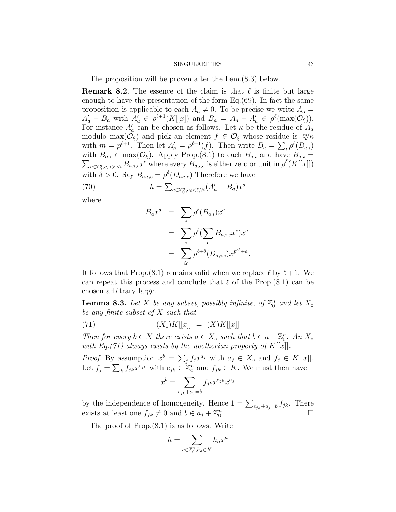The proposition will be proven after the Lem.(8.3) below.

**Remark 8.2.** The essence of the claim is that  $\ell$  is finite but large enough to have the presentation of the form Eq.(69). In fact the same proposition is applicable to each  $A_a \neq 0$ . To be precise we write  $A_a =$  $A'_a + B_a$  with  $A'_a \in \rho^{\ell+1}(K[[x])$  and  $B_a = A_a - A'_a \in \rho^{\ell}(\max(\mathcal{O}_{\xi}))$ . For instance  $A'_a$  can be chosen as follows. Let  $\kappa$  be the residue of  $A_a$ modulo max $(\mathcal{O}_{\xi})$  and pick an element  $f \in \mathcal{O}_{\xi}$  whose residue is  $\sqrt[m]{\kappa}$ with  $m = p^{\ell+1}$ . Then let  $A'_a = \rho^{\ell+1}(f)$ . Then write  $B_a = \sum_i \rho^{\ell}(B_{a,i})$ with  $B_{a,i} \in \max(\mathcal{O}_{\xi})$ . Apply Prop.(8.1) to each  $B_{a,i}$  and have  $B_{a,i} =$  $\sum_{c \in \mathbb{Z}_0^n, c_i \lt \ell, \forall i} B_{a,i,c} x^c$  where every  $B_{a,i,c}$  is either zero or unit in  $\rho^{\delta}(K[[x]])$ with  $\delta > 0$ . Say  $B_{a,i,c} = \rho^{\delta}(D_{a,i,c})$  Therefore we have

(70) 
$$
h = \sum_{a \in \mathbb{Z}_0^n, a_i < \ell, \forall i} (A'_a + B_a) x^a
$$

where

$$
B_a x^a = \sum_i \rho^{\ell}(B_{a,i}) x^a
$$
  
= 
$$
\sum_i \rho^{\ell} (\sum_c B_{a,i,c} x^c) x^a
$$
  
= 
$$
\sum_{ic} \rho^{\ell+\delta}(D_{a,i,c}) x^{p^{c\ell}+a}.
$$

It follows that Prop.  $(8.1)$  remains valid when we replace  $\ell$  by  $\ell + 1$ . We can repeat this process and conclude that  $\ell$  of the Prop.(8.1) can be chosen arbitrary large.

**Lemma 8.3.** Let X be any subset, possibly infinite, of  $\mathbb{Z}_0^n$  and let  $X_\infty$ be any finite subset of X such that

(71) 
$$
(X_{\circ})K[[x]] = (X)K[[x]]
$$

Then for every  $b \in X$  there exists  $a \in X_{\circ}$  such that  $b \in a + \mathbb{Z}_{0}^{n}$ . An  $X_{\circ}$ with Eq.(71) always exists by the noetherian property of  $K[[x]]$ .

*Proof.* By assumption  $x^b = \sum_j f_j x^{a_j}$  with  $a_j \in X_{\circ}$  and  $f_j \in K[[x]]$ . Let  $f_j = \sum_k f_{jk} x^{e_{jk}}$  with  $e_{jk} \in \mathbb{Z}_0^n$  and  $f_{jk} \in K$ . We must then have

$$
x^{b} = \sum_{e_{jk} + a_j = b} f_{jk} x^{e_{jk}} x^{a_j}
$$

by the independence of homogeneity. Hence  $1 = \sum_{e_{jk}+a_j=b} f_{jk}$ . There exists at least one  $f_{jk} \neq 0$  and  $b \in a_j + \mathbb{Z}_0^n$  $\overline{f}_{jk}$  .  $\Box$ 

The proof of Prop.(8.1) is as follows. Write

$$
h = \sum_{a \in \mathbb{Z}_0^n, h_a \in K} h_a x^a
$$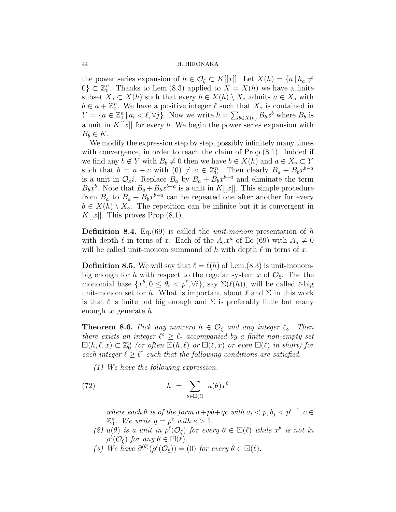the power series expansion of  $h \in \mathcal{O}_{\xi} \subset K[[x]]$ . Let  $X(h) = \{a \mid h_a \neq$  $0\}\subset \mathbb{Z}_0^n$ . Thanks to Lem.(8.3) applied to  $X=X(h)$  we have a finite subset  $X<sub>o</sub> \subset X(h)$  such that every  $b \in X(h) \setminus X<sub>o</sub>$  admits  $a \in X<sub>o</sub>$  with  $b \in a + \mathbb{Z}_0^n$ . We have a positive integer  $\ell$  such that  $X_{\circ}$  is contained in  $Y = \{a \in \mathbb{Z}_0^n | a_i < \ell, \forall j\}.$  Now we write  $h = \sum_{b \in X(h)} B_b x^b$  where  $B_b$  is a unit in  $K[[x]]$  for every b. We begin the power series expansion with  $B_b \in K$ .

We modify the expression step by step, possibly infinitely many times with convergence, in order to reach the claim of  $Prop(8.1)$ . Indded if we find any  $b \notin Y$  with  $B_b \neq 0$  then we have  $b \in X(h)$  and  $a \in X_\circ \subset Y$ such that  $b = a + c$  with  $(0) \neq c \in \mathbb{Z}_0^n$ . Then clearly  $B_a + B_b x^{b-a}$ is a unit in  $\mathcal{O}_x i$ . Replace  $B_a$  by  $B_a + B_b x^{b-a}$  and eliminate the term  $B_bx^b$ . Note that  $B_a + B_bx^{b-a}$  is a unit in K[[x]]. This simple procedure from  $B_a$  to  $B_a + B_b x^{b-a}$  can be repeated one after another for every  $b \in X(h) \setminus X_{\circ}$ . The repetition can be infinite but it is convergent in  $K[[x]]$ . This proves Prop.  $(8.1)$ .

**Definition 8.4.** Eq.  $(69)$  is called the *unit-monom* presentation of h with depth  $\ell$  in terns of x. Each of the  $A_a x^a$  of Eq.(69) with  $A_a \neq 0$ will be called unit-monom summand of h with depth  $\ell$  in terns of x.

**Definition 8.5.** We will say that  $\ell = \ell(h)$  of Lem.(8.3) is unit-monombig enough for h with respect to the regular system x of  $\mathcal{O}_{\xi}$ . The the monomial base  $\{x^{\theta}, 0 \leq \theta_i < p^{\ell}, \forall i\}$ , say  $\Sigma(\ell(h))$ , will be called  $\ell$ -big unit-monom set for h. What is important about  $\ell$  and  $\Sigma$  in this work is that  $\ell$  is finite but big enough and  $\Sigma$  is preferably little but many enough to generate h.

**Theorem 8.6.** Pick any nonzero  $h \in \mathcal{O}_{\xi}$  and any integer  $\ell_{\circ}$ . Then there exists an integer  $\ell^{\circ} \geq \ell_{\circ}$  accompanied by a finite non-empty set  $\Box(h, \ell, x) \subset \mathbb{Z}_{0}^{n}$  (or often  $\Box(h, \ell)$  or  $\Box(\ell, x)$  or even  $\Box(\ell)$  in short) for each integer  $\ell \geq \ell^{\circ}$  such that the following conditions are satisfied.

(1) We have the following expression.

(72) 
$$
h = \sum_{\theta \in \Box(\ell)} u(\theta) x^{\theta}
$$

where each  $\theta$  is of the form  $a + pb + qc$  with  $a_i < p, b_j < p^{e-1}, c \in$  $\mathbb{Z}_0^n$ . We write  $q = p^e$  with  $e > 1$ .

- (2)  $u(\theta)$  is a unit in  $\rho^{\ell}(\mathcal{O}_{\xi})$  for every  $\theta \in \Box(\ell)$  while  $x^{\theta}$  is not in  $\rho^{\ell}(\mathcal{O}_{\xi})$  for any  $\theta \in \Box(\ell)$ .
- (3) We have  $\partial^{(\theta)}(\rho^{\ell}(\mathcal{O}_{\xi})) = (0)$  for every  $\theta \in \Box(\ell)$ .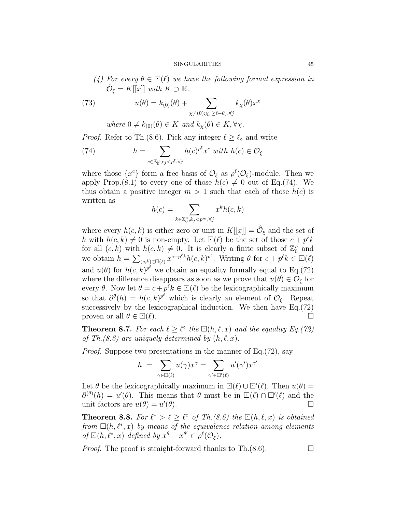(4) For every  $\theta \in \Box(\ell)$  we have the following formal expression in  $\hat{\mathcal{O}}_{\xi} = K[[x]]$  with  $K \supset \mathbb{K}$ .

(73) 
$$
u(\theta) = k_{(0)}(\theta) + \sum_{\chi \neq (0): \chi_j \geq \ell - \theta_j, \forall j} k_{\chi}(\theta) x^{\chi}
$$

where 
$$
0 \neq k_{(0)}(\theta) \in K
$$
 and  $k_{\chi}(\theta) \in K, \forall \chi$ .

*Proof.* Refer to Th.(8.6). Pick any integer  $\ell \geq \ell_{\circ}$  and write

(74) 
$$
h = \sum_{c \in \mathbb{Z}_0^n, c_j < p^\ell, \forall j} h(c)^{p^\ell} x^c \text{ with } h(c) \in \mathcal{O}_\xi
$$

where those  $\{x^c\}$  form a free basis of  $\mathcal{O}_{\xi}$  as  $\rho^{\ell}(\mathcal{O}_{\xi})$ -module. Then we apply Prop.(8.1) to every one of those  $h(c) \neq 0$  out of Eq.(74). We thus obtain a positive integer  $m > 1$  such that each of those  $h(c)$  is written as

$$
h(c) = \sum_{k \in \mathbb{Z}_0^n, k_j < p^m, \forall j} x^k h(c, k)
$$

where every  $h(c, k)$  is either zero or unit in  $K[[x]] = \hat{\mathcal{O}}_{\xi}$  and the set of k with  $h(c, k) \neq 0$  is non-empty. Let  $\Box(\ell)$  be the set of those  $c + p^{\ell}k$ for all  $(c, k)$  with  $h(c, k) \neq 0$ . It is clearly a finite subset of  $\mathbb{Z}_0^n$  and we obtain  $h = \sum_{(c,k) \in \mathbb{Z}(\ell)} x^{c+p^{\ell}k} h(c,k)^{p^{\ell}}$ . Writing  $\theta$  for  $c + p^{\ell}k \in \mathbb{Z}(\ell)$ and  $u(\theta)$  for  $h(c, k)^{p^{\ell}}$  we obtain an equality formally equal to Eq.(72) where the difference disappears as soon as we prove that  $u(\theta) \in \mathcal{O}_{\xi}$  for every  $\theta$ . Now let  $\theta = c + p^{\ell} k \in \Box(\ell)$  be the lexicographically maximum so that  $\partial^{\theta}(h) = h(c,k)^{p^{\ell}}$  which is clearly an element of  $\mathcal{O}_{\xi}$ . Repeat successively by the lexicographical induction. We then have  $Eq.(72)$ proven or all  $\theta \in \Box(\ell)$ .

**Theorem 8.7.** For each  $\ell \geq \ell^{\circ}$  the  $\Box(h, \ell, x)$  and the equality Eq.(72) of Th.(8.6) are uniquely determined by  $(h, \ell, x)$ .

Proof. Suppose two presentations in the manner of Eq.(72), say

$$
h = \sum_{\gamma \in \Box(\ell)} u(\gamma) x^{\gamma} = \sum_{\gamma' \in \Box'(\ell)} u'(\gamma') x^{\gamma}
$$

 $\prime$ 

Let  $\theta$  be the lexicographically maximum in  $\Box(\ell) \cup \Box'(\ell)$ . Then  $u(\theta) =$  $\partial^{(\theta)}(h) = u'(\theta)$ . This means that  $\theta$  must be in  $\Box(\ell) \cap \Box'(\ell)$  and the unit factors are  $u(\theta) = u'$  $(\theta)$ .

**Theorem 8.8.** For  $\ell^* > \ell \geq \ell^{\circ}$  of Th.(8.6) the  $\Box(h, \ell, x)$  is obtained from  $\Box(h, \ell^*, x)$  by means of the equivalence relation among elements of  $\Box(h, \ell^*, x)$  defined by  $x^{\theta} - x^{\theta'} \in \rho^{\ell}(\mathcal{O}_{\xi}).$ 

Proof. The proof is straight-forward thanks to Th.(8.6).

$$
\Box
$$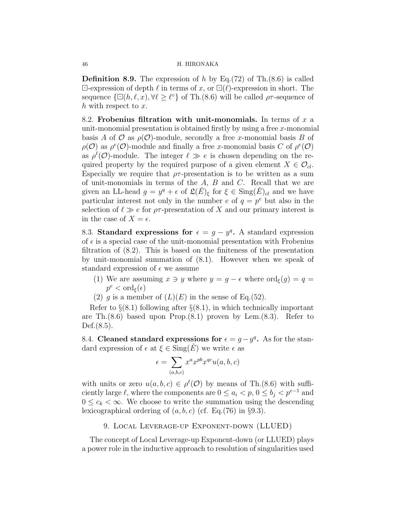**Definition 8.9.** The expression of h by Eq.(72) of Th.(8.6) is called  $\Box$ -expression of depth  $\ell$  in terms of x, or  $\Box(\ell)$ -expression in short. The sequence  $\{\Box(h, \ell, x), \forall \ell \geq \ell^{\circ}\}\$  of Th.(8.6) will be called  $\rho\tau$ -sequence of  $h$  with respect to  $x$ .

8.2. Frobenius filtration with unit-monomials. In terms of  $x$  a unit-monomial presentation is obtained firstly by using a free  $x$ -monomial basis A of O as  $\rho(\mathcal{O})$ -module, secondly a free x-monomial basis B of  $\rho(\mathcal{O})$  as  $\rho^e(\mathcal{O})$ -module and finally a free x-monomial basis C of  $\rho^e(\mathcal{O})$ as  $\rho^{\ell}(\mathcal{O})$ -module. The integer  $\ell \gg e$  is chosen depending on the required property by the required purpose of a given element  $X \in \mathcal{O}_{d}$ . Especially we require that  $\rho\tau$ -presentation is to be written as a sum of unit-monomials in terms of the A, B and C. Recall that we are given an LL-head  $g = y^q + \epsilon$  of  $\mathfrak{L}(\check{E})_{\xi}$  for  $\xi \in \text{Sing}(\check{E})_{cl}$  and we have particular interest not only in the number  $e$  of  $q = p^e$  but also in the selection of  $\ell \gg e$  for  $\rho\tau$ -presentation of X and our primary interest is in the case of  $X = \epsilon$ .

8.3. Standard expressions for  $\epsilon = g - y^q$ . A standard expression of  $\epsilon$  is a special case of the unit-monomial presentation with Frobenius filtration of (8.2). This is based on the finiteness of the presentation by unit-monomial summation of (8.1). However when we speak of standard expression of  $\epsilon$  we assume

- (1) We are assuming  $x \ni y$  where  $y = g \epsilon$  where  $\text{ord}_{\xi}(g) = g =$  $p^e < \text{ord}_{\xi}(\epsilon)$
- (2) g is a member of  $(L)(E)$  in the sense of Eq.(52).

Refer to  $\S(8.1)$  following after  $\S(8.1)$ , in which technically important are Th. $(8.6)$  based upon Prop. $(8.1)$  proven by Lem. $(8.3)$ . Refer to Def.(8.5).

8.4. Cleaned standard expressions for  $\epsilon = g - y^q$ . As for the standard expression of  $\epsilon$  at  $\xi \in \text{Sing}(E)$  we write  $\epsilon$  as

$$
\epsilon = \sum_{(a,b,c)} x^a x^{pb} x^{qc} u(a,b,c)
$$

with units or zero  $u(a, b, c) \in \rho^{\ell}(\mathcal{O})$  by means of Th.(8.6) with sufficiently large  $\ell$ , where the components are  $0 \le a_i < p$ ,  $0 \le b_j < p^{e-1}$  and  $0 \leq c_k < \infty$ . We choose to write the summation using the descending lexicographical ordering of  $(a, b, c)$  (cf. Eq.(76) in §9.3).

# 9. Local Leverage-up Exponent-down (LLUED)

The concept of Local Leverage-up Exponent-down (or LLUED) plays a power role in the inductive approach to resolution of singularities used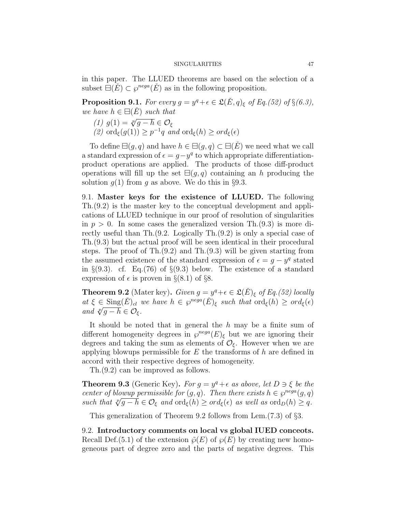in this paper. The LLUED theorems are based on the selection of a subset  $\overline{\Xi}(\tilde{E}) \subset \wp^{nega}(\tilde{E})$  as in the following proposition.

**Proposition 9.1.** For every  $g = y^q + \epsilon \in \mathfrak{L}(\check{E}, q)_{\xi}$  of Eq.(52) of  $\S(6.3)$ , we have  $h \in \Box(E)$  such that

(1)  $g(1) = \sqrt[p]{g - h} \in \mathcal{O}_{\xi}$ (2)  $\operatorname{ord}_{\xi}(g(1)) \geq p^{-1}q$  and  $\operatorname{ord}_{\xi}(h) \geq \operatorname{ord}_{\xi}(\epsilon)$ 

To define  $\Xi(g,q)$  and have  $h \in \Xi(g,q) \subset \Xi(\check{E})$  we need what we call a standard expression of  $\epsilon = g - y^q$  to which appropriate differentiationproduct operations are applied. The products of those diff-product operations will fill up the set  $\Xi(g,q)$  containing an h producing the solution  $g(1)$  from g as above. We do this in §9.3.

9.1. Master keys for the existence of LLUED. The following Th.(9.2) is the master key to the conceptual development and applications of LLUED technique in our proof of resolution of singularities in  $p > 0$ . In some cases the generalized version Th.(9.3) is more directly useful than Th.(9.2. Logically Th.(9.2) is only a special case of Th.(9.3) but the actual proof will be seen identical in their procedural steps. The proof of Th.(9.2) and Th.(9.3) will be given starting from the assumed existence of the standard expression of  $\epsilon = g - y^q$  stated in  $\S(9.3)$ . cf. Eq.(76) of  $\S(9.3)$  below. The existence of a standard expression of  $\epsilon$  is proven in §(8.1) of §8.

**Theorem 9.2** (Mater key). Given  $g = y^q + \epsilon \in \mathfrak{L}(\check{E})_\xi$  of Eq. (52) locally at  $\xi \in \text{Sing}(\check{E})_{cl}$  we have  $h \in \wp^{reg}(E)_{\xi}$  such that  $\text{ord}_{\xi}(h) \geq \text{ord}_{\xi}(\epsilon)$ and  $\sqrt[p]{g-h} \in \mathcal{O}_{\xi}$ .

It should be noted that in general the h may be a finite sum of different homogeneity degrees in  $\varphi^{neg}(E)_{\xi}$  but we are ignoring their degrees and taking the sum as elements of  $\mathcal{O}_{\xi}$ . However when we are applying blowups permissible for  $E$  the transforms of  $h$  are defined in accord with their respective degrees of homogeneity.

Th.(9.2) can be improved as follows.

**Theorem 9.3** (Generic Key). For  $g = y^q + \epsilon$  as above, let  $D \ni \xi$  be the center of blowup permissible for  $(g, q)$ . Then there exists  $h \in \wp^{nega}(g, q)$ center of otowap permissiote for  $(g, q)$ . Then there exists  $n \in \mathcal{G}^{reg.}(g, q)$ <br>such that  $\sqrt[p]{g - h} \in \mathcal{O}_{\xi}$  and  $\text{ord}_{\xi}(h) \geq \text{ord}_{\xi}(\epsilon)$  as well as  $\text{ord}_D(h) \geq q$ .

This generalization of Theorem 9.2 follows from Lem.(7.3) of §3.

9.2. Introductory comments on local vs global IUED conceots. Recall Def.(5.1) of the extension  $\tilde{\varphi}(E)$  of  $\varphi(E)$  by creating new homogeneous part of degree zero and the parts of negative degrees. This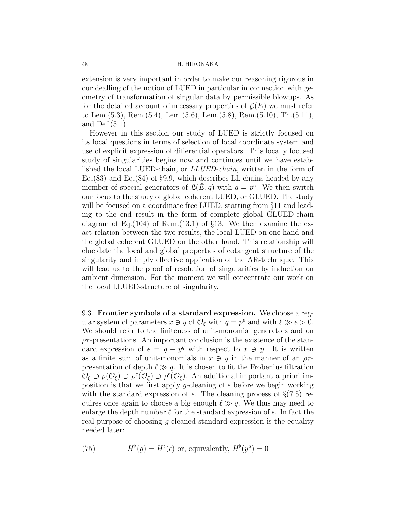extension is very important in order to make our reasoning rigorous in our dealling of the notion of LUED in particular in connection with geometry of transformation of singular data by permissible blowups. As for the detailed account of necessary properties of  $\tilde{\varphi}(E)$  we must refer to Lem.(5.3), Rem.(5.4), Lem.(5.6), Lem.(5.8), Rem.(5.10), Th.(5.11), and Def.(5.1).

However in this section our study of LUED is strictly focused on its local questions in terms of selection of local coordinate system and use of explicit expression of differential operators. This locally focused study of singularities begins now and continues until we have established the local LUED-chain, or LLUED-chain, written in the form of Eq.(83) and Eq.(84) of §9.9, which describes LL-chains headed by any member of special generators of  $\mathfrak{L}(\check{E}, q)$  with  $q = p^e$ . We then switch our focus to the study of global coherent LUED, or GLUED. The study will be focused on a coordinate free LUED, starting from §11 and leading to the end result in the form of complete global GLUED-chain diagram of Eq.(104) of Rem.(13.1) of  $\S$ 13. We then examine the exact relation between the two results, the local LUED on one hand and the global coherent GLUED on the other hand. This relationship will elucidate the local and global properties of cotangent structure of the singularity and imply effective application of the AR-technique. This will lead us to the proof of resolution of singularities by induction on ambient dimension. For the moment we will concentrate our work on the local LLUED-structure of singularity.

9.3. Frontier symbols of a standard expression. We choose a regular system of parameters  $x \ni y$  of  $\mathcal{O}_{\xi}$  with  $q = p^e$  and with  $\ell \gg e > 0$ . We should refer to the finiteness of unit-monomial generators and on  $\rho\tau$ -presentations. An important conclusion is the existence of the standard expression of  $\epsilon = g - y^q$  with respect to  $x \ni y$ . It is written as a finite sum of unit-monomials in  $x \ni y$  in the manner of an  $\rho \tau$ presentation of depth  $\ell \gg q$ . It is chosen to fit the Frobenius filtration  $\mathcal{O}_{\xi} \supset \rho(\mathcal{O}_{\xi}) \supset \rho^{\ell}(\mathcal{O}_{\xi}).$  An additional important a priori imposition is that we first apply q-cleaning of  $\epsilon$  before we begin working with the standard expression of  $\epsilon$ . The cleaning process of  $\S(7.5)$  requires once again to choose a big enough  $\ell \gg q$ . We thus may need to enlarge the depth number  $\ell$  for the standard expression of  $\epsilon$ . In fact the real purpose of choosing g-cleaned standard expression is the equality needed later:

(75) 
$$
H^{\flat}(g) = H^{\flat}(\epsilon) \text{ or, equivalently, } H^{\flat}(y^q) = 0
$$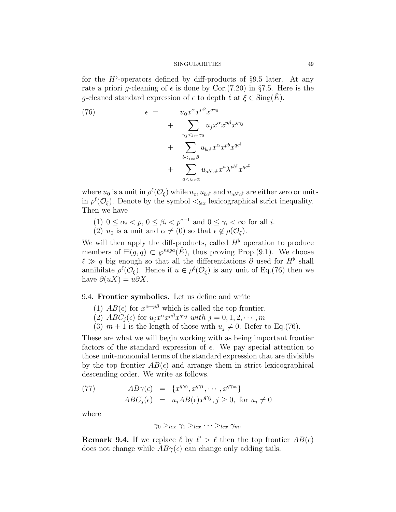for the  $H^{\flat}$ -operators defined by diff-products of §9.5 later. At any rate a priori g-cleaning of  $\epsilon$  is done by Cor.(7.20) in §7.5. Here is the q-cleaned standard expression of  $\epsilon$  to depth  $\ell$  at  $\xi \in \text{Sing}(E)$ .

(76) 
$$
\epsilon = u_0 x^{\alpha} x^{p\beta} x^{q\gamma_0} + \sum_{\substack{\gamma_j <_{lex}\gamma_0 \\ b <_{lex}\beta}} u_j x^{\alpha} x^{p\beta} x^{q\gamma_j} + \sum_{\substack{b <_{lex}\beta}} u_{bc} x^{\alpha} x^{p b} x^{q c^{\dagger}} + \sum_{\substack{a <_{lex}\alpha}} u_{ab^{\dagger} c^{\dagger}} x^a \lambda^{p b^{\dagger}} x^{q c^{\dagger}}
$$

where  $u_0$  is a unit in  $\rho^{\ell}(\mathcal{O}_{\xi})$  while  $u_c, u_{bc}$  and  $u_{ab\dagger c}$  are either zero or units in  $\rho^{\ell}(\mathcal{O}_{\xi})$ . Denote by the symbol  $\langle_{lex}$  lexicographical strict inequality. Then we have

- (1)  $0 \leq \alpha_i < p, 0 \leq \beta_i < p^{e-1}$  and  $0 \leq \gamma_i < \infty$  for all *i*.
- (2)  $u_0$  is a unit and  $\alpha \neq (0)$  so that  $\epsilon \notin \rho(\mathcal{O}_{\xi})$ .

We will then apply the diff-products, called  $H^{\flat}$  operation to produce members of  $\Xi(g, q) \subset \varphi^{neg}(\check{E})$ , thus proving Prop.(9.1). We choose  $\ell \gg q$  big enough so that all the differentiations  $\partial$  used for  $H^{\flat}$  shall annihilate  $\rho^{\ell}(\mathcal{O}_{\xi})$ . Hence if  $u \in \rho^{\ell}(\mathcal{O}_{\xi})$  is any unit of Eq.(76) then we have  $\partial(uX) = u\partial X$ .

# 9.4. Frontier symbolics. Let us define and write

- (1)  $AB(\epsilon)$  for  $x^{\alpha+p\beta}$  which is called the top frontier.
- (2)  $ABC_j(\epsilon)$  for  $u_jx^{\alpha}x^{p\beta}x^{q\gamma_j}$  with  $j = 0, 1, 2, \cdots, m$
- (3)  $m + 1$  is the length of those with  $u_j \neq 0$ . Refer to Eq.(76).

These are what we will begin working with as being important frontier factors of the standard expression of  $\epsilon$ . We pay special attention to those unit-monomial terms of the standard expression that are divisible by the top frontier  $AB(\epsilon)$  and arrange them in strict lexicographical descending order. We write as follows.

(77) 
$$
AB\gamma(\epsilon) = \{x^{q\gamma_0}, x^{q\gamma_1}, \cdots, x^{q\gamma_m}\}
$$

$$
ABC_j(\epsilon) = u_j AB(\epsilon)x^{q\gamma_j}, j \ge 0, \text{ for } u_j \ne 0
$$

where

$$
\gamma_0 >_{lex} \gamma_1 >_{lex} \cdots >_{lex} \gamma_m.
$$

**Remark 9.4.** If we replace  $\ell$  by  $\ell' > \ell$  then the top frontier  $AB(\epsilon)$ does not change while  $AB\gamma(\epsilon)$  can change only adding tails.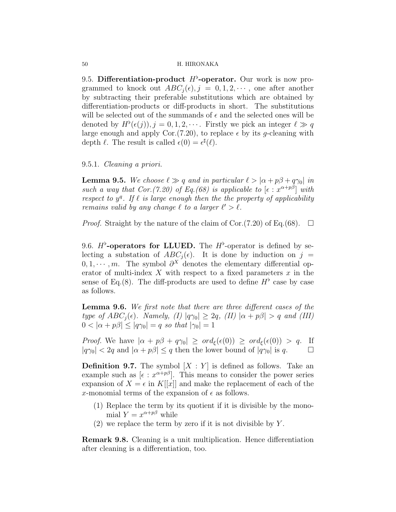9.5. Differentiation-product  $H^{\flat}$ -operator. Our work is now programmed to knock out  $ABC_i(\epsilon), j = 0, 1, 2, \cdots$ , one after another by subtracting their preferable substitutions which are obtained by differentiation-products or diff-products in short. The substitutions will be selected out of the summands of  $\epsilon$  and the selected ones will be denoted by  $H^{\flat}(\epsilon(j)), j = 0, 1, 2, \cdots$ . Firstly we pick an integer  $\ell \gg q$ large enough and apply Cor.(7.20), to replace  $\epsilon$  by its g-cleaning with depth  $\ell$ . The result is called  $\epsilon(0) = \epsilon^{\sharp}(\ell)$ .

# 9.5.1. Cleaning a priori.

**Lemma 9.5.** We choose  $\ell \gg q$  and in particular  $\ell > |\alpha + p\beta + q\gamma_0|$  in such a way that Cor. (7.20) of Eq. (68) is applicable to  $[\epsilon : x^{\alpha+p\beta}]$  with respect to  $y^q$ . If  $\ell$  is large enough then the the property of applicability remains valid by any change  $\ell$  to a larger  $\ell' > \ell$ .

*Proof.* Straight by the nature of the claim of Cor.(7.20) of Eq.(68).  $\Box$ 

9.6.  $H^{\flat}$ -operators for LLUED. The  $H^{\flat}$ -operator is defined by selecting a substation of  $ABC_i(\epsilon)$ . It is done by induction on j =  $0, 1, \dots, m$ . The symbol  $\partial^X$  denotes the elementary differential operator of multi-index  $X$  with respect to a fixed parameters  $x$  in the sense of Eq.(8). The diff-products are used to define  $H^{\flat}$  case by case as follows.

**Lemma 9.6.** We first note that there are three different cases of the type of  $ABC_i(\epsilon)$ . Namely, (I)  $|q\gamma_0| \geq 2q$ , (II)  $|\alpha + p\beta| > q$  and (III)  $0 < |\alpha + p\beta| \leq |q\gamma_0| = q$  so that  $|\gamma_0| = 1$ 

*Proof.* We have  $|\alpha + p\beta + q\gamma_0| \geq \text{ord}_{\xi}(\epsilon(0)) \geq \text{ord}_{\xi}(\epsilon(0)) > q$ . If  $|q\gamma_0| < 2q$  and  $|\alpha + p\beta| \leq q$  then the lower bound of  $|q\gamma_0|$  is q.

**Definition 9.7.** The symbol  $[X:Y]$  is defined as follows. Take an example such as  $\lbrack \epsilon : x^{\alpha + p\beta} \rbrack$ . This means to consider the power series expansion of  $X = \epsilon$  in K[[x]] and make the replacement of each of the x-monomial terms of the expansion of  $\epsilon$  as follows.

- (1) Replace the term by its quotient if it is divisible by the monomial  $Y = x^{\alpha + p\beta}$  while
- $(2)$  we replace the term by zero if it is not divisible by Y.

Remark 9.8. Cleaning is a unit multiplication. Hence differentiation after cleaning is a differentiation, too.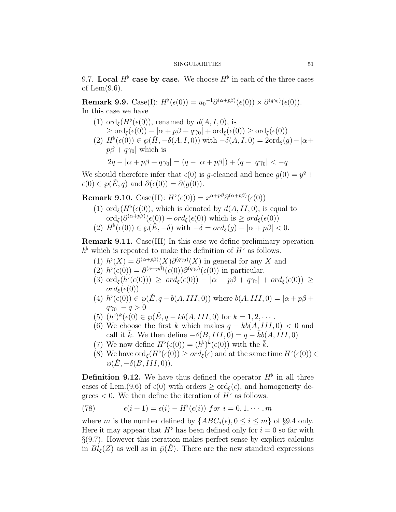9.7. Local  $H^{\flat}$  case by case. We choose  $H^{\flat}$  in each of the three cases of Lem $(9.6)$ .

**Remark 9.9.** Case(I):  $H^{\flat}(\epsilon(0)) = u_0^{-1} \partial^{(\alpha+p\beta)}(\epsilon(0)) \times \partial^{(q\gamma_0)}(\epsilon(0)).$ In this case we have

- (1) ord<sub> $\xi$ </sub> $(H^{\flat}(\epsilon(0)),$  renamed by  $d(A, I, 0)$ , is  $\geq \text{ord}_{\xi}(\epsilon(0)) - |\alpha + p\beta + q\gamma_0| + \text{ord}_{\xi}(\epsilon(0)) \geq \text{ord}_{\xi}(\epsilon(0))$
- (2)  $H^{\flat}(\epsilon(0)) \in \wp(\check{H}, -\delta(A, I, 0))$  with  $-\delta(A, I, 0) = 2\text{ord}_{\xi}(g) |\alpha +$  $p\beta + q\gamma_0$  which is

$$
2q - |\alpha + p\beta + q\gamma_0| = (q - |\alpha + p\beta|) + (q - |q\gamma_0| < -q)
$$

We should therefore infer that  $\epsilon(0)$  is g-cleaned and hence  $g(0) = y^q +$  $\epsilon(0) \in \wp(E, q)$  and  $\partial(\epsilon(0)) = \partial(g(0)).$ 

Remark 9.10. Case(II):  $H^{\flat}(\epsilon(0)) = x^{\alpha+p\beta} \partial^{(\alpha+p\beta)}(\epsilon(0))$ 

(1) ord<sub> $\xi(H^{\flat}(\epsilon(0)),$ </sub> which is denoted by  $d(A, II, 0)$ , is equal to  $\mathrm{ord}_{\xi}(\partial^{(\alpha+p\beta)}(\epsilon(0)) + ord_{\xi}(\epsilon(0))$  which is  $\geq ord_{\xi}(\epsilon(0))$ (2)  $H^{\flat}(\epsilon(0)) \in \wp(\check{E}, -\delta)$  with  $-\delta = \text{ord}_{\xi}(g) - |\alpha + p\beta| < 0$ .

Remark 9.11. Case(III) In this case we define preliminary operation  $h^{\flat}$  which is repeated to make the definition of  $H^{\flat}$  as follows.

- (1)  $h^{\flat}(X) = \partial^{(\alpha+p\beta)}(X)\partial^{(q\gamma_0)}(X)$  in general for any X and
- (2)  $h^{\flat}(\epsilon(0)) = \partial^{(\alpha+p\beta)}(\epsilon(0))\partial^{(q\gamma_0)}(\epsilon(0))$  in particular.
- (3)  $\text{ord}_{\xi}(h^{\flat}(\epsilon(0))) \geq \text{ord}_{\xi}(\epsilon(0)) |\alpha + p\beta + q\gamma_0| + \text{ord}_{\xi}(\epsilon(0)) \geq$  $ord_{\varepsilon}(\epsilon(0))$
- (4)  $h^{\flat}(\epsilon(0)) \in \wp(\check{E}, q b(A, III, 0))$  where  $b(A, III, 0) = |\alpha + p\beta + p\beta|$  $|q\gamma_0| - q > 0$
- (5)  $(h^{\flat})^k(\epsilon(0) \in \wp(\check{E}, q kb(A, III, 0) \text{ for } k = 1, 2, \cdots$ .
- (6) We choose the first k which makes  $q kb(A, III, 0) < 0$  and call it k. We then define  $-\delta(B, III, 0) = q - kb(A, III, 0)$
- (7) We now define  $H^{\flat}(\epsilon(0)) = (h^{\flat})^{\bar{k}}(\epsilon(0))$  with the  $\bar{k}$ .
- (8) We have  $\text{ord}_{\xi}(H^{\flat}(\epsilon(0)) \geq \text{ord}_{\xi}(\epsilon)$  and at the same time  $H^{\flat}(\epsilon(0)) \in$  $\wp(E, -\delta(B, III, 0)).$

**Definition 9.12.** We have thus defined the operator  $H^{\flat}$  in all three cases of Lem.(9.6) of  $\epsilon(0)$  with orders  $\geq \text{ord}_{\epsilon}(\epsilon)$ , and homogeneity degrees  $< 0$ . We then define the iteration of  $H^{\flat}$  as follows.

(78) 
$$
\epsilon(i+1) = \epsilon(i) - H^{\flat}(\epsilon(i)) \text{ for } i = 0, 1, \cdots, m
$$

where m is the number defined by  ${ABC_i(\epsilon), 0 \le i \le m}$  of §9.4 only. Here it may appear that  $H^{\flat}$  has been defined only for  $i = 0$  so far with  $\S(9.7)$ . However this iteration makes perfect sense by explicit calculus in  $Bl_{\xi}(Z)$  as well as in  $\tilde{\varphi}(E)$ . There are the new standard expressions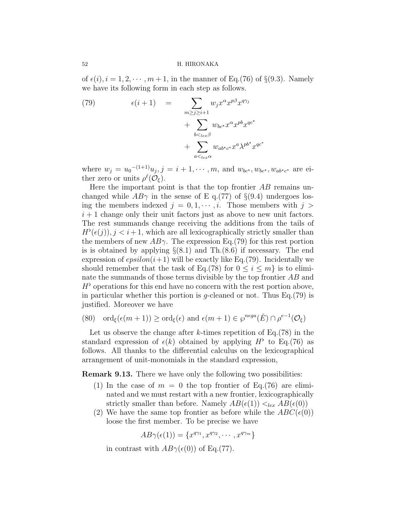of  $\epsilon(i)$ ,  $i = 1, 2, \dots, m+1$ , in the manner of Eq.(76) of §(9.3). Namely we have its following form in each step as follows.

(79) 
$$
\epsilon(i+1) = \sum_{\substack{m \ge j \ge i+1 \\ b < l_{ex}\beta}} w_j x^{\alpha} x^{p\beta} x^{q\gamma_j} + \sum_{\substack{b < l_{ex}\beta \\ a < l_{ex}\alpha}} w_{bc^*} x^{\alpha} x^{p b} x^{q c^*} + \sum_{a < l_{ex}\alpha} w_{ab^* c^*} x^a \lambda^{p b^*} x^{q c^*}
$$

where  $w_j = u_0^{-(1+1)} u_j, j = i + 1, \cdots, m$ , and  $w_{bc}, w_{bc}, w_{ab}, c$  are either zero or units  $\rho^{\ell}(\mathcal{O}_{\xi}).$ 

Here the important point is that the top frontier  $AB$  remains unchanged while  $AB\gamma$  in the sense of E q.(77) of §(9.4) undergoes losing the members indexed  $j = 0, 1, \dots, i$ . Those members with  $j >$  $i+1$  change only their unit factors just as above to new unit factors. The rest summands change receiving the additions from the tails of  $H^{\flat}(\epsilon(j)), j < i+1$ , which are all lexicographically strictly smaller than the members of new  $AB\gamma$ . The expression Eq.(79) for this rest portion is is obtained by applying  $\S(8.1)$  and Th. $(8.6)$  if necessary. The end expression of  $epsilon(i+1)$  will be exactly like Eq.(79). Incidentally we should remember that the task of Eq.(78) for  $0 \leq i \leq m$  is to eliminate the summands of those terms divisible by the top frontier AB and  $H^{\flat}$  operations for this end have no concern with the rest portion above, in particular whether this portion is q-cleaned or not. Thus  $Eq. (79)$  is justified. Moreover we have

(80) 
$$
\operatorname{ord}_{\xi}(\epsilon(m+1)) \ge \operatorname{ord}_{\xi}(\epsilon) \text{ and } \epsilon(m+1) \in \wp^{nega}(\check{E}) \cap \rho^{e-1}(\mathcal{O}_{\xi})
$$

Let us observe the change after k-times repetition of Eq.  $(78)$  in the standard expression of  $\epsilon(k)$  obtained by applying  $H^{\flat}$  to Eq.(76) as follows. All thanks to the differential calculus on the lexicographical arrangement of unit-monomials in the standard expression,

Remark 9.13. There we have only the following two possibilities:

- (1) In the case of  $m = 0$  the top frontier of Eq.(76) are eliminated and we must restart with a new frontier, lexicographically strictly smaller than before. Namely  $AB(\epsilon(1)) <_{lex} AB(\epsilon(0))$
- (2) We have the same top frontier as before while the  $ABC(\epsilon(0))$ loose the first member. To be precise we have

$$
AB\gamma(\epsilon(1)) = \{x^{q\gamma_1}, x^{q\gamma_2}, \cdots, x^{q\gamma_m}\}
$$

in contrast with  $AB\gamma(\epsilon(0))$  of Eq.(77).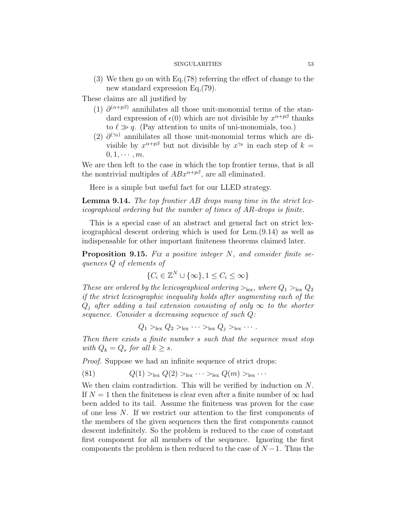(3) We then go on with Eq.(78) referring the effect of change to the new standard expression Eq,(79).

These claims are all justified by

- (1)  $\partial^{(\alpha+p\beta)}$  annihilates all those unit-monomial terms of the standard expression of  $\epsilon(0)$  which are not divisible by  $x^{\alpha+p\beta}$  thanks to  $\ell \gg q$ . (Pay attention to units of uni-monomials, too.)
- (2)  $\partial^{(\gamma_0)}$  annihilates all those unit-monomial terms which are divisible by  $x^{\alpha+p\beta}$  but not divisible by  $x^{\gamma_k}$  in each step of  $k =$  $0, 1, \cdots, m$ .

We are then left to the case in which the top frontier terms, that is all the nontrivial multiples of  $ABx^{\alpha+p\beta}$ , are all eliminated.

Here is a simple but useful fact for our LLED strategy.

Lemma 9.14. The top frontier AB drops many time in the strict lexicographical ordering but the number of times of AR-drops is finite.

This is a special case of an abstract and general fact on strict lexicographical descent ordering which is used for Lem.(9.14) as well as indispensable for other important finiteness theorems claimed later.

**Proposition 9.15.** Fix a positive integer  $N$ , and consider finite sequences Q of elements of

$$
\{C_i \in \mathbb{Z}^N \cup \{\infty\}, 1 \le C_i \le \infty\}
$$

These are ordered by the lexicographical ordering  $>_{\text{lex}}$ , where  $Q_1 >_{\text{lex}} Q_2$ if the strict lexicographic inequality holds after augmenting each of the  $Q_i$  after adding a tail extension consisting of only  $\infty$  to the shorter sequence. Consider a decreasing sequence of such Q:

$$
Q_1 >_{\text{lex}} Q_2 >_{\text{lex}} \cdots >_{\text{lex}} Q_j >_{\text{lex}} \cdots
$$

Then there exists a finite number s such that the sequence must stop with  $Q_k = Q_s$  for all  $k \geq s$ .

Proof. Suppose we had an infinite sequence of strict drops:

(81) 
$$
Q(1) >_{lex} Q(2) >_{lex} \cdots >_{lex} Q(m) >_{lex} \cdots
$$

We then claim contradiction. This will be verified by induction on N. If  $N = 1$  then the finiteness is clear even after a finite number of  $\infty$  had been added to its tail. Assume the finiteness was proven for the case of one less N. If we restrict our attention to the first components of the members of the given sequences then the first components cannot descent indefinitely. So the problem is reduced to the case of constant first component for all members of the sequence. Ignoring the first components the problem is then reduced to the case of  $N-1$ . Thus the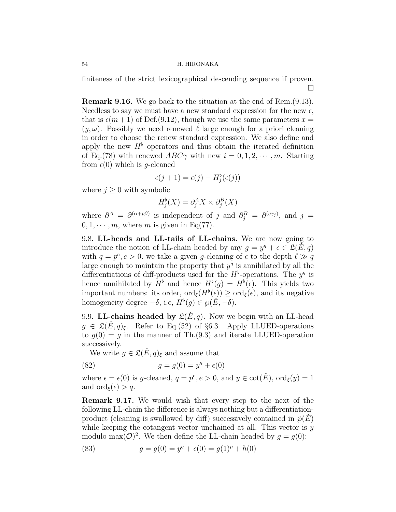finiteness of the strict lexicographical descending sequence if proven.  $\Box$ 

Remark 9.16. We go back to the situation at the end of Rem.(9.13). Needless to say we must have a new standard expression for the new  $\epsilon$ , that is  $\epsilon(m+1)$  of Def.(9.12), though we use the same parameters  $x =$  $(y,\omega)$ . Possibly we need renewed  $\ell$  large enough for a priori cleaning in order to choose the renew standard expression. We also define and apply the new  $H^{\flat}$  operators and thus obtain the iterated definition of Eq.(78) with renewed  $ABC\gamma$  with new  $i = 0, 1, 2, \dots, m$ . Starting from  $\epsilon(0)$  which is q-cleaned

$$
\epsilon(j+1) = \epsilon(j) - H_j^{\flat}(\epsilon(j))
$$

where  $j \geq 0$  with symbolic

$$
H_j^{\flat}(X) = \partial_j^A X \times \partial_j^B(X)
$$

where  $\partial^A = \partial^{(\alpha+p\beta)}$  is independent of j and  $\partial_j^B = \partial^{(q\gamma_j)}$ , and j =  $0, 1, \cdots, m$ , where m is given in Eq(77).

9.8. LL-heads and LL-tails of LL-chains. We are now going to introduce the notion of LL-chain headed by any  $g = y^q + \epsilon \in \mathfrak{L}(\check{E}, q)$ with  $q = p^e, e > 0$ . we take a given g-cleaning of  $\epsilon$  to the depth  $\ell \gg q$ large enough to maintain the property that  $y<sup>q</sup>$  is annihilated by all the differentiations of diff-products used for the  $H^{\flat}$ -operations. The  $y^q$  is hence annihilated by  $H^{\flat}$  and hence  $H^{\flat}(g) = H^{\flat}(\epsilon)$ . This yields two important numbers: its order,  $\text{ord}_{\xi}(H^{\flat}(\epsilon)) \geq \text{ord}_{\xi}(\epsilon)$ , and its negative homogeneity degree  $-\delta$ , i.e,  $H^{\flat}(g) \in \wp(E, -\delta)$ .

9.9. LL-chains headed by  $\mathfrak{L}(\check{E}, q)$ . Now we begin with an LL-head  $g \in \mathfrak{L}(E,q)_{\xi}$ . Refer to Eq.(52) of §6.3. Apply LLUED-operations to  $q(0) = q$  in the manner of Th.(9.3) and iterate LLUED-operation successively.

We write  $g \in \mathfrak{L}(E,q)_{\xi}$  and assume that

(82) 
$$
g = g(0) = y^q + \epsilon(0)
$$

where  $\epsilon = \epsilon(0)$  is g-cleaned,  $q = p^e, e > 0$ , and  $y \in \cot(\check{E})$ ,  $\text{ord}_{\xi}(y) = 1$ and  $\text{ord}_{\xi}(\epsilon) > q$ .

Remark 9.17. We would wish that every step to the next of the following LL-chain the difference is always nothing but a differentiationproduct (cleaning is swallowed by diff) successively contained in  $\tilde{\varphi}(E)$ while keeping the cotangent vector unchained at all. This vector is  $y$ modulo max $(\mathcal{O})^2$ . We then define the LL-chain headed by  $g = g(0)$ :

(83) 
$$
g = g(0) = y^q + \epsilon(0) = g(1)^p + h(0)
$$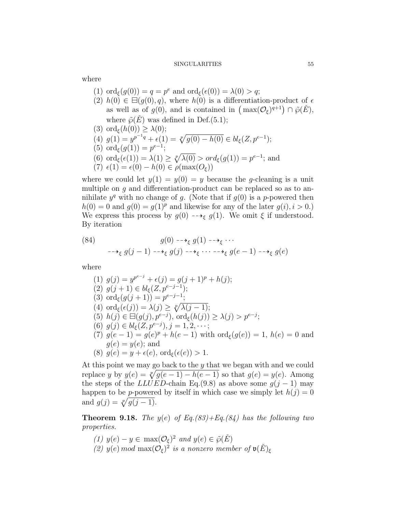where

- (1)  $\text{ord}_{\xi}(g(0)) = q = p^e \text{ and } \text{ord}_{\xi}(\epsilon(0)) = \lambda(0) > q;$
- (2)  $h(0) \in \boxminus(g(0), q)$ , where  $h(0)$  is a differentiation-product of  $\epsilon$ as well as of  $g(0)$ , and is contained in  $\left(\max(\mathcal{O}_{\xi})^{q+1}\right) \cap \tilde{\wp}(\check{E}),$ where  $\tilde{\wp}(\tilde{E})$  was defined in Def.(5.1);
- (3) ord<sub> $\xi$ </sub> $(h(0)) \geq \lambda(0);$
- (4)  $g(1) = y^{p^{-1}q} + \epsilon(1) = \sqrt[p]{g(0) h(0)} \in bl_{\xi}(Z, p^{e-1});$
- (5) ord<sub> $\xi$ </sub>(g(1)) =  $p^{e-1}$ ;
- (6)  $\text{ord}_{\xi}(\epsilon(1)) = \lambda(1) \geq \sqrt[p]{\lambda(0)} > \text{ord}_{\xi}(g(1)) = p^{e-1}$ ; and (7)  $\epsilon(1) = \epsilon(0) - h(0) \in \rho(\max(O_{\epsilon}))$
- 

where we could let  $y(1) = y(0) = y$  because the g-cleaning is a unit multiple on  $g$  and differentiation-product can be replaced so as to annihilate  $y^q$  with no change of g. (Note that if  $g(0)$  is a p-powered then  $h(0) = 0$  and  $g(0) = g(1)^p$  and likewise for any of the later  $g(i), i > 0$ . We express this process by  $g(0) \rightarrow g(1)$ . We omit  $\xi$  if understood. By iteration

(84)  
\n
$$
g(0) \longrightarrow_{\xi} g(1) \longrightarrow_{\xi} \cdots
$$
\n
$$
\longrightarrow_{\xi} g(j-1) \longrightarrow_{\xi} g(j) \longrightarrow_{\xi} \cdots \longrightarrow_{\xi} g(e-1) \longrightarrow_{\xi} g(e)
$$

where

(1) 
$$
g(j) = y^{p^{e-j}} + \epsilon(j) = g(j+1)^p + h(j);
$$
  
\n(2)  $g(j+1) \in bl_{\xi}(Z, p^{e-j-1});$   
\n(3)  $\text{ord}_{\xi}(g(j+1)) = p^{e-j-1};$   
\n(4)  $\text{ord}_{\xi}(\epsilon(j)) = \lambda(j) \ge \sqrt[p]{\lambda(j-1)};$   
\n(5)  $h(j) \in \boxminus(g(j), p^{e-j}), \text{ord}_{\xi}(h(j)) \ge \lambda(j) > p^{e-j};$   
\n(6)  $g(j) \in bl_{\xi}(Z, p^{e-j}), j = 1, 2, \cdots;$   
\n(7)  $g(e-1) = g(e)^p + h(e-1)$  with  $\text{ord}_{\xi}(g(e)) = 1, h(e) = 0$  and  $g(e) = y(e);$  and  
\n(8)  $g(e) = y + \epsilon(e), \text{ord}_{\xi}(\epsilon(e)) > 1.$ 

At this point we may go back to the y that we began with and we could replace y by  $y(e) = \sqrt[p]{g(e-1) - h(e-1)}$  so that  $g(e) = y(e)$ . Among the steps of the LLUED-chain Eq.(9.8) as above some  $g(j-1)$  may happen to be p-powered by itself in which case we simply let  $h(j) = 0$ and  $g(j) = \sqrt[p]{g(j-1)}$ .

**Theorem 9.18.** The  $y(e)$  of Eq.(83)+Eq.(84) has the following two properties.

(1)  $y(e) - y \in \max(\mathcal{O}_\xi)^2$  and  $y(e) \in \tilde{\wp}(\check{E})$ (2)  $y(e) \mod \max(\mathcal{O}_\xi)^2$  is a nonzero member of  $\mathfrak{v}(\check{E})_\xi$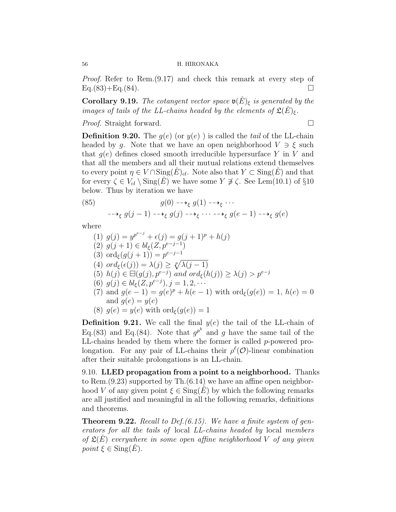Proof. Refer to Rem.(9.17) and check this remark at every step of  $Eq.(83) + Eq.(84).$ 

**Corollary 9.19.** The cotangent vector space  $\mathfrak{v}(\check{E})_{\xi}$  is generated by the images of tails of the LL-chains headed by the elements of  $\mathfrak{L}(\check{E})_{\xi}$ .

*Proof.* Straight forward. □

**Definition 9.20.** The  $q(e)$  (or  $y(e)$ ) is called the tail of the LL-chain headed by g. Note that we have an open neighborhood  $V \ni \xi$  such that  $q(e)$  defines closed smooth irreducible hypersurface Y in V and that all the members and all their mutual relations extend themselves to every point  $\eta \in V \cap \text{Sing}(E)_{cl}$ . Note also that  $Y \subset \text{Sing}(E)$  and that for every  $\zeta \in V_{cl} \setminus \text{Sing}(E)$  we have some  $Y \not\supset \zeta$ . See Lem(10.1) of §10 below. Thus by iteration we have

(85) 
$$
g(0) \longrightarrow_{\xi} g(1) \longrightarrow_{\xi} \cdots
$$

$$
\longrightarrow_{\xi} g(j-1) \longrightarrow_{\xi} g(j) \longrightarrow_{\xi} \cdots \longrightarrow_{\xi} g(e-1) \longrightarrow_{\xi} g(e)
$$

where

(1)  $g(j) = y^{p^{e-j}} + \epsilon(j) = g(j+1)^p + h(j)$ (2)  $g(j+1) \in bl_{\xi}(Z, p^{e-j-1})$ (3) ord<sub> $\xi$ </sub> $(g(j + 1)) = p^{e-j-1}$ (4)  $ord_{\xi}(\epsilon(j)) = \lambda(j) \geq \sqrt[p]{\lambda(j-1)}$ (5)  $h(j) \in \Box(g(j), p^{e-j})$  and  $ord_{\xi}(h(j)) \geq \lambda(j) > p^{e-j}$ (6)  $g(j) \in bl_{\xi}(Z, p^{e-j}), j = 1, 2, \cdots$ (7) and  $g(e-1) = g(e)^p + h(e-1)$  with  $\text{ord}_{\xi}(g(e)) = 1, h(e) = 0$ and  $g(e) = y(e)$ (8)  $g(e) = y(e)$  with  $\text{ord}_{\xi}(g(e)) = 1$ 

**Definition 9.21.** We call the final  $y(e)$  the tail of the LL-chain of Eq.(83) and Eq.(84). Note that  $g^{p^k}$  and g have the same tail of the LL-chains headed by them where the former is called p-powered prolongation. For any pair of LL-chains their  $\rho^{\ell}(\mathcal{O})$ -linear combination after their suitable prolongations is an LL-chain.

9.10. LLED propagation from a point to a neighborhood. Thanks to Rem.(9.23) supported by Th.(6.14) we have an affine open neighborhood V of any given point  $\xi \in \text{Sing}(E)$  by which the following remarks are all justified and meaningful in all the following remarks, definitions and theorems.

**Theorem 9.22.** Recall to Def.  $(6.15)$ . We have a finite system of generators for all the tails of local LL-chains headed by local members of  $\mathfrak{L}(E)$  everywhere in some open affine neighborhood V of any given point  $\xi \in \text{Sing}(E)$ .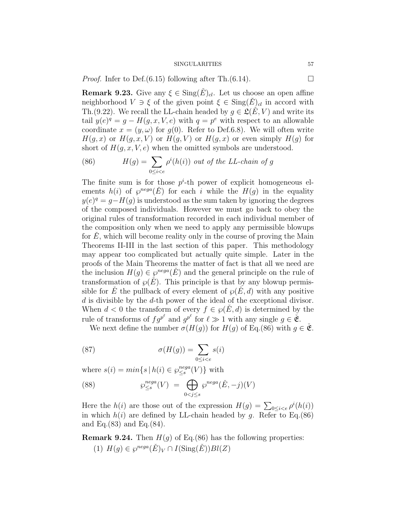*Proof.* Infer to Def.(6.15) following after Th.(6.14).

**Remark 9.23.** Give any  $\xi \in \text{Sing}(E)_{cl}$ . Let us choose an open affine neighborhood  $V \ni \xi$  of the given point  $\xi \in \text{Sing}(E)_{cl}$  in accord with Th.(9.22). We recall the LL-chain headed by  $q \in \mathcal{L}(\check{E}, V)$  and write its tail  $y(e)^q = g - H(g, x, V, e)$  with  $q = p^e$  with respect to an allowable coordinate  $x = (y, \omega)$  for  $g(0)$ . Refer to Def.6.8). We will often write  $H(q, x)$  or  $H(q, x, V)$  or  $H(q, V)$  or  $H(q, x)$  or even simply  $H(q)$  for short of  $H(q, x, V, e)$  when the omitted symbols are understood.

(86) 
$$
H(g) = \sum_{0 \le i < e} \rho^i(h(i)) \text{ out of the LL-chain of } g
$$

The finite sum is for those  $p^i$ -th power of explicit homogeneous elements  $h(i)$  of  $\varphi^{neg}(E)$  for each i while the  $H(g)$  in the equality  $y(e)^q = g - H(g)$  is understood as the sum taken by ignoring the degrees of the composed individuals. However we must go back to obey the original rules of transformation recorded in each individual member of the composition only when we need to apply any permissible blowups for  $E$ , which will become reality only in the course of proving the Main Theorems II-III in the last section of this paper. This methodology may appear too complicated but actually quite simple. Later in the proofs of the Main Theorems the matter of fact is that all we need are the inclusion  $H(g) \in \wp^{nega}(\check{E})$  and the general principle on the rule of transformation of  $\wp(E)$ . This principle is that by any blowup permissible for E<sup> $\pm$ </sup> the pullback of every element of  $\wp(E, d)$  with any positive d is divisible by the d-th power of the ideal of the exceptional divisor. When  $d < 0$  the transform of every  $f \in \varphi(E, d)$  is determined by the rule of transforms of  $fg^{p^{\ell}}$  and  $g^{p^{\ell}}$  for  $\ell \gg 1$  with any single  $g \in \check{\mathfrak{E}}$ .

We next define the number  $\sigma(H(g))$  for  $H(g)$  of Eq.(86) with  $q \in \check{\mathfrak{E}}$ .

(87) 
$$
\sigma(H(g)) = \sum_{0 \le i < e} s(i)
$$

where  $s(i) = min\{s \mid h(i) \in \wp_{\leq s}^{nega}$  $_{\leq s}^{nega}(V)$ } with

(88) 
$$
\wp^{nega}_{\leq s}(V) = \bigoplus_{0 < j \leq s} \wp^{nega}(\check{E}, -j)(V)
$$

Here the  $h(i)$  are those out of the expression  $H(g) = \sum_{0 \leq i < e} \rho^{i}(h(i))$ in which  $h(i)$  are defined by LL-chain headed by g. Refer to Eq.(86) and Eq.(83) and Eq.(84).

**Remark 9.24.** Then  $H(g)$  of Eq.(86) has the following properties: (1)  $H(g) \in \wp^{neg}(E)_V \cap I(\mathrm{Sing}(E))Bl(Z)$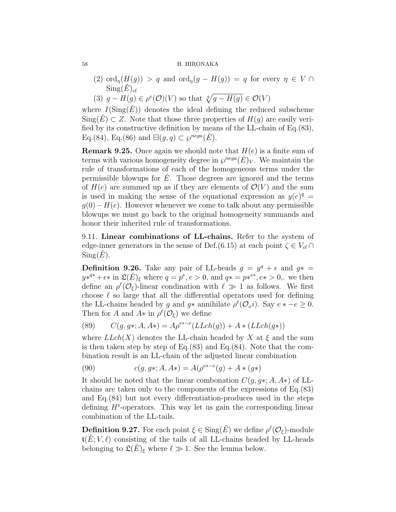- (2) ord<sub>n</sub> $(H(g)) > q$  and ord<sub>n</sub> $(g H(g)) = q$  for every  $\eta \in V \cap$  $\mathrm{Sing}(\check{E})_{cl}$
- (3)  $g H(g) \in \rho^e(\mathcal{O})(V)$  so that  $\sqrt[q]{g H(g)} \in \mathcal{O}(V)$

where  $I(Sing(\dot{E}))$  denotes the ideal defining the reduced subscheme  $\text{Sing}(E) \subset Z$ . Note that those three properties of  $H(q)$  are easily verified by its constructive definition by means of the LL-chain of Eq.(83), Eq.(84), Eq.(86) and  $\boxminus(g, q) \subset \wp^{neg(\tilde{E})}$ .

**Remark 9.25.** Once again we should note that  $H(e)$  is a finite sum of terms with various homogeneity degree in  $\wp^{neg}(E)_V$ . We maintain the rule of transformations of each of the homogeneous terms under the permissible blowups for  $\overline{E}$ . Those degrees are ignored and the terms of  $H(e)$  are summed up as if they are elements of  $\mathcal{O}(V)$  and the sum is used in making the sense of the equational expression as  $y(e)^q =$  $g(0)-H(e)$ . However whenever we come to talk about any permissible blowups we must go back to the original homogeneity summands and honor their inherited rule of transformations.

9.11. Linear combinations of LL-chains. Refer to the system of edge-inner generators in the sense of Def.(6.15) at each point  $\zeta \in V_{cl} \cap$  $Sing(E).$ 

**Definition 9.26.** Take any pair of LL-heads  $g = y^q + \epsilon$  and  $g^* =$  $y^{*q*} + \epsilon^*$  in  $\mathfrak{L}(\check{E})_\xi$  where  $q = p^e, e > 0$ , and  $q* = p^{*e*}, e* > 0$ , we then define an  $\rho^{\ell}(\mathcal{O}_{\xi})$ -linear condination with  $\ell \gg 1$  as follows. We first choose  $\ell$  so large that all the differential operators used for defining the LL-chains headed by g and  $g*$  annihilate  $\rho^{\ell}(\mathcal{O}_x i)$ . Say  $e * -e \geq 0$ . Then for A and  $A^*$  in  $\rho^{\ell}(\mathcal{O}_{\xi})$  we define

(89) 
$$
C(g, g*; A, A*) = A\rho^{e* - e}(LLch(g)) + A * (LLch(g*))
$$

where  $LLch(X)$  denotes the LL-chain headed by X at  $\xi$  and the sum is then taken step by step of  $Eq.(83)$  and  $Eq.(84)$ . Note that the combination result is an LL-chain of the adjusted linear combination

(90) 
$$
c(g, g*; A, A*) = A(\rho^{e*-e}(g) + A * (g*)
$$

It should be noted that the linear combonation  $C(q, q*, A, A*)$  of LLchains are taken only to the components of the expressions of Eq.(83) and Eq.(84) but not every differentiation-produces used in the steps defining  $H^{\flat}$ -operators. This way let us gain the corresponding linear combination of the LL-tails.

**Definition 9.27.** For each point  $\xi \in Sing(\check{E})$  we define  $\rho^{\ell}(\mathcal{O}_{\xi})$ -module  $\mathfrak{t}(E; V, \ell)$  consisting of the tails of all LL-chains headed by LL-heads belonging to  $\mathfrak{L}(E)_{\xi}$  where  $\ell \gg 1$ . See the lemma below.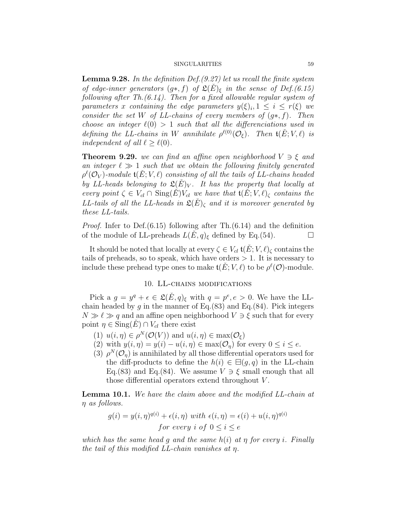**Lemma 9.28.** In the definition Def.  $(9.27)$  let us recall the finite system of edge-inner generators  $(g*, f)$  of  $\mathfrak{L}(\check{E})_{\xi}$  in the sense of Def.(6.15) following after Th. $(6.14)$ . Then for a fixed allowable regular system of parameters x containing the edge parameters  $y(\xi)_i, 1 \leq i \leq r(\xi)$  we consider the set W of LL-chains of every members of  $(q*, f)$ . Then choose an integer  $\ell(0) > 1$  such that all the differenciations used in defining the LL-chains in W annihilate  $\rho^{\ell(0)}(O_{\xi})$ . Then  $\mathfrak{t}(\check{E};V,\ell)$  is independent of all  $\ell \geq \ell(0)$ .

**Theorem 9.29.** we can find an affine open neighborhood  $V \ni \xi$  and an integer  $\ell \gg 1$  such that we obtain the following finitely generated  $\rho^\ell({\cal O}_V)$ -module  ${\frak t}(\check E;V,\ell)$  consisting of all the tails of LL-chains headed by LL-heads belonging to  $\mathfrak{L}(E)_V$ . It has the property that locally at every point  $\zeta \in V_{cl} \cap \text{Sing}(E) V_{cl}$  we have that  $\mathfrak{t}(E; V, \ell)_{\zeta}$  contains the LL-tails of all the LL-heads in  $\mathfrak{L}(E)_{\zeta}$  and it is moreover generated by these LL-tails.

Proof. Infer to Def.(6.15) following after Th.(6.14) and the definition of the module of LL-preheads  $L(E, q)_{\xi}$  defined by Eq.(54).

It should be noted that locally at every  $\zeta \in V_{cl}$   $\mathfrak{t}(E; V, \ell)_{\zeta}$  contains the tails of preheads, so to speak, which have orders  $> 1$ . It is necessary to include these prehead type ones to make  $\mathfrak{t}(\check{E}; V, \ell)$  to be  $\rho^{\ell}(\mathcal{O})$ -module.

## 10. LL-chains modifications

Pick a  $g = y^q + \epsilon \in \mathfrak{L}(\check{E}, q)_{\xi}$  with  $q = p^e, e > 0$ . We have the LLchain headed by g in the manner of Eq.(83) and Eq.(84). Pick integers  $N \gg \ell \gg q$  and an affine open neighborhood  $V \ni \xi$  such that for every point  $\eta \in \text{Sing}(E) \cap V_{cl}$  there exist

- (1)  $u(i, \eta) \in \rho^N(\mathcal{O}(V))$  and  $u(i, \eta) \in \max(\mathcal{O}_{\xi})$
- (2) with  $y(i, \eta) = y(i) u(i, \eta) \in \max(\mathcal{O}_\eta)$  for every  $0 \leq i \leq e$ .
- (3)  $\rho^{N}(\mathcal{O}_{\eta})$  is annihilated by all those differential operators used for the diff-products to define the  $h(i) \in \Xi(g, q)$  in the LL-chain Eq.(83) and Eq.(84). We assume  $V \ni \xi$  small enough that all those differential operators extend throughout V .

**Lemma 10.1.** We have the claim above and the modified LL-chain at η as follows.

$$
g(i) = y(i, \eta)^{q(i)} + \epsilon(i, \eta) \text{ with } \epsilon(i, \eta) = \epsilon(i) + u(i, \eta)^{q(i)}
$$
  
for every  $i$  of  $0 \le i \le e$ 

which has the same head q and the same  $h(i)$  at  $\eta$  for every i. Finally the tail of this modified  $LL$ -chain vanishes at  $\eta$ .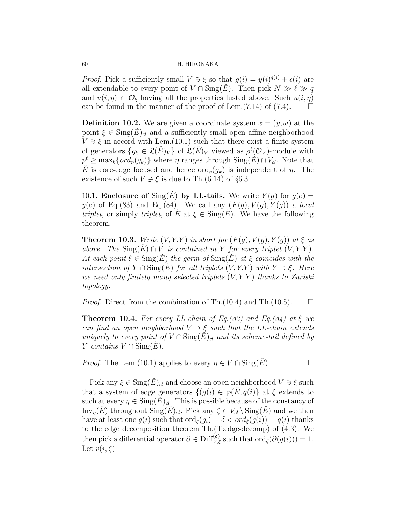*Proof.* Pick a sufficiently small  $V \ni \xi$  so that  $g(i) = y(i)^{q(i)} + \epsilon(i)$  are all extendable to every point of  $V \cap \text{Sing}(E)$ . Then pick  $N \gg \ell \gg q$ and  $u(i, \eta) \in \mathcal{O}_{\xi}$  having all the properties lusted above. Such  $u(i, \eta)$ can be found in the manner of the proof of Lem. $(7.14)$  of  $(7.4)$ .  $\Box$ 

**Definition 10.2.** We are given a coordinate system  $x = (y, \omega)$  at the point  $\xi \in \text{Sing}(E)_{cl}$  and a sufficiently small open affine neighborhood  $V \ni \xi$  in accord with Lem.(10.1) such that there exist a finite system of generators  $\{g_k \in \mathfrak{L}(\check{E})_V\}$  of  $\mathfrak{L}(\check{E})_V$  viewed as  $\rho^{\ell}(\mathcal{O}_V)$ -module with  $p^{\ell} \geq \max_k \{ord_{\eta}(g_k)\}\$  where  $\eta$  ranges through  $\text{Sing}(\check{E}) \cap V_{cl}$ . Note that E is core-edge focused and hence  $\text{ord}_n(g_k)$  is independent of  $\eta$ . The existence of such  $V \ni \xi$  is due to Th.(6.14) of §6.3.

10.1. Enclosure of  $\text{Sing}(E)$  by LL-tails. We write  $Y(q)$  for  $q(e) =$  $y(e)$  of Eq.(83) and Eq.(84). We call any  $(F(g), V(g), Y(g))$  a local triplet, or simply triplet, of E at  $\xi \in \text{Sing}(E)$ . We have the following theorem.

**Theorem 10.3.** Write  $(V, Y, Y)$  in short for  $(F(q), V(q), Y(q))$  at  $\xi$  as above. The  $\text{Sing}(E) \cap V$  is contained in Y for every triplet  $(V, Y, Y)$ . At each point  $\xi \in \text{Sing}(E)$  the germ of  $\text{Sing}(E)$  at  $\xi$  coincides with the intersection of  $Y \cap \text{Sing}(\check{E})$  for all triplets  $(V, Y, Y)$  with  $Y \ni \xi$ . Here we need only finitely many selected triplets  $(V, Y, Y)$  thanks to Zariski topology.

*Proof.* Direct from the combination of Th.(10.4) and Th.(10.5).  $\Box$ 

**Theorem 10.4.** For every LL-chain of Eq.(83) and Eq.(84) at  $\xi$  we can find an open neighborhood  $V \ni \xi$  such that the LL-chain extends uniquely to every point of  $V \cap \text{Sing}(E)_{cl}$  and its scheme-tail defined by Y contains  $V \cap \text{Sing}(E)$ .

*Proof.* The Lem.(10.1) applies to every  $\eta \in V \cap \text{Sing}(E)$ .

Pick any  $\xi \in \text{Sing}(E)_{cl}$  and choose an open neighborhood  $V \ni \xi$  such that a system of edge generators  $\{(g(i) \in \wp(E, q(i))\}$  at  $\xi$  extends to such at every  $\eta \in \text{Sing}(E)_{cl}$ . This is possible because of the constancy of Inv<sub>n</sub> $(E)$  throughout  $\text{Sing}(E)_{cl}$ . Pick any  $\zeta \in V_{cl} \setminus \text{Sing}(E)$  and we then have at least one  $g(i)$  such that  $\text{ord}_{\zeta}(g_i) = \delta < \text{ord}_{\zeta}(g(i)) = q(i)$  thanks to the edge decomposition theorem Th.(T:edge-decomp) of (4.3). We then pick a differential operator  $\partial \in \text{Diff}_{Z,\xi}^{(\delta)}$  such that  $\text{ord}_{\zeta}(\partial(g(i)))=1$ . Let  $v(i,\zeta)$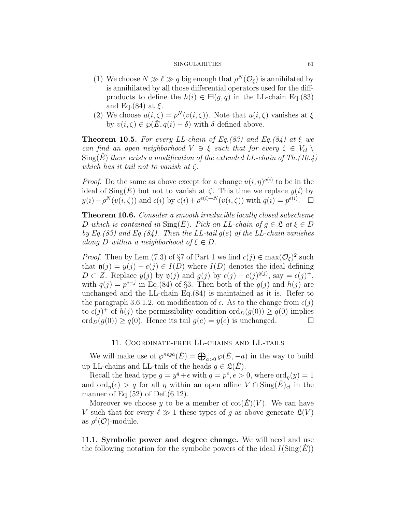- (1) We choose  $N \gg \ell \gg q$  big enough that  $\rho^N(\mathcal{O}_\xi)$  is annihilated by is annihilated by all those differential operators used for the diffproducts to define the  $h(i) \in \exists (q, q)$  in the LL-chain Eq.(83) and Eq.(84) at  $\xi$ .
- (2) We choose  $u(i,\zeta) = \rho^N(v(i,\zeta))$ . Note that  $u(i,\zeta)$  vanishes at  $\xi$ by  $v(i, \zeta) \in \wp(E, q(i) - \delta)$  with  $\delta$  defined above.

**Theorem 10.5.** For every LL-chain of Eq.(83) and Eq.(84) at  $\xi$  we can find an open neighborhood  $V \ni \xi$  such that for every  $\zeta \in V_{cl} \setminus$  $\text{Sing}(\check{E})$  there exists a modification of the extended LL-chain of Th.(10.4) which has it tail not to vanish at  $\zeta$ .

*Proof.* Do the same as above except for a change  $u(i, \eta)^{q(i)}$  to be in the ideal of  $\text{Sing}(\check{E})$  but not to vanish at  $\zeta$ . This time we replace  $y(i)$  by  $y(i) - \rho^N(v(i, \zeta))$  and  $\epsilon(i)$  by  $\epsilon(i) + \rho^{e(i) + N}(v(i, \zeta))$  with  $q(i) = p^{e(i)}$ .

Theorem 10.6. Consider a smooth irreducible locally closed subscheme D which is contained in  $\text{Sing}(E)$ . Pick an LL-chain of  $q \in \mathfrak{L}$  at  $\xi \in D$ by Eq.(83) and Eq.(84). Then the LL-tail  $g(e)$  of the LL-chain vanishes along D within a neighborhood of  $\xi \in D$ .

*Proof.* Then by Lem.(7.3) of §7 of Part 1 we find  $c(j) \in \max(\mathcal{O}_{\xi})^2$  such that  $\mathfrak{y}(j) = y(j) - c(j) \in I(D)$  where  $I(D)$  denotes the ideal defining  $D \subset Z$ . Replace  $y(j)$  by  $\mathfrak{y}(j)$  and  $g(j)$  by  $\epsilon(j) + c(j)^{q(j)}$ , say  $= \epsilon(j)^{+}$ , with  $q(j) = p^{e-j}$  in Eq.(84) of §3. Then both of the  $g(j)$  and  $h(j)$  are unchanged and the LL-chain Eq.(84) is maintained as it is. Refer to the paragraph 3.6.1.2. on modification of  $\epsilon$ . As to the change from  $\epsilon(j)$ to  $\epsilon(j)^+$  of  $h(j)$  the permissibility condition  $\text{ord}_D(g(0)) \geq q(0)$  implies  $\text{ord}_D(g(0)) \geq q(0)$ . Hence its tail  $g(e) = y(e)$  is unchanged.

# 11. Coordinate-free LL-chains and LL-tails

We will make use of  $\varphi^{nega}(\check{E}) = \bigoplus_{a>0} \varphi(\check{E}, -a)$  in the way to build up LL-chains and LL-tails of the heads  $g \in \mathfrak{L}(\check{E})$ .

Recall the head type  $g = y^q + \epsilon$  with  $q = p^e, e > 0$ , where  $\text{ord}_{\eta}(y) = 1$ and  $\text{ord}_n(\epsilon) > q$  for all  $\eta$  within an open affine  $V \cap \text{Sing}(E)_{cl}$  in the manner of Eq. $(52)$  of Def. $(6.12)$ .

Moreover we choose y to be a member of  $\cot(E)(V)$ . We can have V such that for every  $\ell \gg 1$  these types of q as above generate  $\mathfrak{L}(V)$ as  $\rho^{\ell}(\mathcal{O})$ -module.

11.1. Symbolic power and degree change. We will need and use the following notation for the symbolic powers of the ideal  $I(Sing(E))$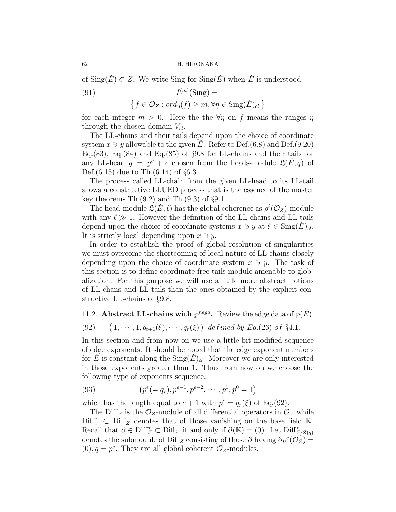of  $\text{Sing}(\check{E}) \subset Z$ . We write  $\text{Sing}(\check{E})$  when  $\check{E}$  is understood.

(91) 
$$
I^{(m)}(\text{Sing}) =
$$

$$
\{f \in \mathcal{O}_Z : ord_\eta(f) \ge m, \forall \eta \in \text{Sing}(\check{E})_{cl}\}
$$

for each integer  $m > 0$ . Here the the  $\forall \eta$  on f means the ranges  $\eta$ through the chosen domain  $V_{cl}$ .

The LL-chains and their tails depend upon the choice of coordinate system  $x \ni y$  allowable to the given E. Refer to Def.(6.8) and Def.(9.20) Eq.(83), Eq.(84) and Eq.(85) of  $\S 9.8$  for LL-chains and their tails for any LL-head  $g = y^q + \epsilon$  chosen from the heads-module  $\mathfrak{L}(\check{E}, q)$  of Def. $(6.15)$  due to Th. $(6.14)$  of §6.3.

The process called LL-chain from the given LL-head to its LL-tail shows a constructive LLUED process that is the essence of the master key theorems  $\text{Th.}(9.2)$  and  $\text{Th.}(9.3)$  of §9.1.

The head-module  $\mathfrak{L}(\check{E}, \ell)$  has the global coherence as  $\rho^{\ell}(\mathcal{O}_Z)$ -module with any  $\ell \gg 1$ . However the definition of the LL-chains and LL-tails depend upon the choice of coordinate systems  $x \ni y$  at  $\xi \in \text{Sing}(E)_{cl}$ . It is strictly local depending upon  $x \ni y$ .

In order to establish the proof of global resolution of singularities we must overcome the shortcoming of local nature of LL-chains closely depending upon the choice of coordinate system  $x \ni y$ . The task of this section is to define coordinate-free tails-module amenable to globalization. For this purpose we will use a little more abstract notions of LL-chans and LL-tails than the ones obtained by the explicit constructive LL-chains of §9.8.

# 11.2. **Abstract LL-chains with**  $\varphi^{nega}$ . Review the edge data of  $\varphi(\check{E})$ .

(92) 
$$
(1, \dots, 1, q_{t+1}(\xi), \dots, q_r(\xi))
$$
 defined by Eq.(26) of §4.1.

In this section and from now on we use a little bit modified sequence of edge exponents. It should be noted that the edge exponent numbers for E is constant along the  $\text{Sing}(E)_{cl}$ . Moreover we are only interested in those exponents greater than 1. Thus from now on we choose the following type of exponents sequence.

(93) 
$$
(p^{e}(=q_{r}), p^{e-1}, p^{e-2}, \cdots, p^{1}, p^{0}=1)
$$

which has the length equal to  $e + 1$  with  $p^e = q_r(\xi)$  of Eq.(92).

The Diff<sub>Z</sub> is the  $\mathcal{O}_Z$ -module of all differential operators in  $\mathcal{O}_Z$  while  $\text{Diff}_Z^* \subset \text{Diff}_Z$  denotes that of those vanishing on the base field K. Recall that  $\partial \in \text{Diff}^*_{Z} \subset \text{Diff}_{Z}$  if and only if  $\partial(\mathbb{K}) = (0)$ . Let  $\text{Diff}^*_{Z/Z(q)}$ denotes the submodule of Diff<sub>Z</sub> consisting of those  $\partial$  having  $\partial \rho^e(\mathcal{O}_Z) =$  $(0), q = p^e$ . They are all global coherent  $\mathcal{O}_Z$ -modules.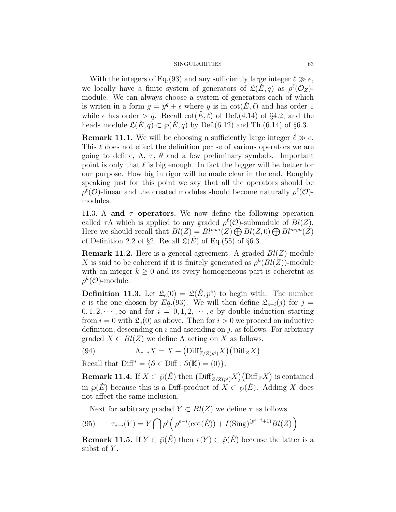With the integers of Eq. (93) and any sufficiently large integer  $\ell \gg e$ , we locally have a finite system of generators of  $\mathfrak{L}(\check{E}, q)$  as  $\rho^{\ell}(\mathcal{O}_Z)$ module. We can always choose a system of generators each of which is writen in a form  $g = y^q + \epsilon$  where y is in  $\cot(\check{E}, \ell)$  and has order 1 while  $\epsilon$  has order  $> q$ . Recall cot $(E, \ell)$  of Def.(4.14) of §4.2, and the heads module  $\mathfrak{L}(\check{E}, q) \subset \wp(\check{E}, q)$  by Def.(6.12) and Th.(6.14) of §6.3.

**Remark 11.1.** We will be choosing a sufficiently large integer  $\ell \gg e$ . This  $\ell$  does not effect the definition per se of various operators we are going to define,  $\Lambda$ ,  $\tau$ ,  $\theta$  and a few preliminary symbols. Important point is only that  $\ell$  is big enough. In fact the bigger will be better for our purpose. How big in rigor will be made clear in the end. Roughly speaking just for this point we say that all the operators should be  $\rho^{\ell}(\mathcal{O})$ -linear and the created modules should become naturally  $\rho^{\ell}(\mathcal{O})$ modules.

11.3.  $\Lambda$  and  $\tau$  operators. We now define the following operation called  $\tau \Lambda$  which is applied to any graded  $\rho^{\ell}(\mathcal{O})$ -submodule of  $Bl(Z)$ . Here we should recall that  $Bl(Z) = Bl^{posi}(Z) \bigoplus Bl(Z, 0) \bigoplus Bl^{nega}(Z)$ of Definition 2.2 of §2. Recall  $\mathfrak{L}(E)$  of Eq.(55) of §6.3.

**Remark 11.2.** Here is a general agreement. A graded  $Bl(Z)$ -module X is said to be coherent if it is finitely generated as  $\rho^k(Bl(Z))$ -module with an integer  $k \geq 0$  and its every homogeneous part is coheretnt as  $\rho^k(\mathcal{O})$ -module.

**Definition 11.3.** Let  $\mathfrak{L}_e(0) = \mathfrak{L}(\check{E}, p^e)$  to begin with. The number e is the one chosen by Eq.(93). We will then define  $\mathfrak{L}_{e-i}(j)$  for  $j =$  $0, 1, 2, \dots, \infty$  and for  $i = 0, 1, 2, \dots, e$  by double induction starting from  $i = 0$  with  $\mathfrak{L}_e(0)$  as above. Then for  $i > 0$  we proceed on inductive definition, descending on i and ascending on j, as follows. For arbitrary graded  $X \subset Bl(Z)$  we define  $\Lambda$  acting on X as follows.

(94) 
$$
\Lambda_{e-i}X = X + \left(\text{Diff}^*_{Z/Z(p^i)}X\right)\left(\text{Diff}_ZX\right)
$$

Recall that  $\text{Diff}^* = \{ \partial \in \text{Diff} : \partial(\mathbb{K}) = (0) \}.$ 

**Remark 11.4.** If  $X \subset \tilde{\wp}(\check{E})$  then  $(\text{Diff}_{Z/Z(p^i)}^* X)(\text{Diff}_Z X)$  is contained in  $\tilde{\varphi}(E)$  because this is a Diff-product of  $X \subset \tilde{\varphi}(E)$ . Adding X does not affect the same inclusion.

Next for arbitrary graded  $Y \subset Bl(Z)$  we define  $\tau$  as follows.

(95) 
$$
\tau_{e-i}(Y) = Y \bigcap \rho^i \bigg( \rho^{e-i}(\cot(\check{E})) + I(\text{Sing})^{(p^{e-i}+1)} Bl(Z) \bigg)
$$

**Remark 11.5.** If  $Y \subset \tilde{\wp}(\check{E})$  then  $\tau(Y) \subset \tilde{\wp}(\check{E})$  because the latter is a subst of  $Y$ .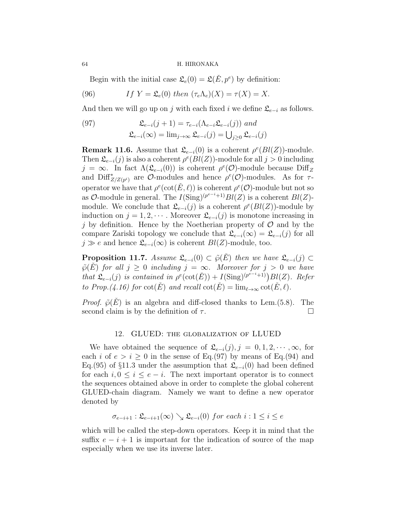Begin with the initial case  $\mathfrak{L}_e(0) = \mathfrak{L}(\check{E}, p^e)$  by definition:

(96) If 
$$
Y = \mathfrak{L}_e(0)
$$
 then  $(\tau_e \Lambda_e)(X) = \tau(X) = X$ .

And then we will go up on j with each fixed i we define  $\mathcal{L}_{e-i}$  as follows.

(97) 
$$
\mathfrak{L}_{e-i}(j+1) = \tau_{e-i}(\Lambda_{e-i}\mathfrak{L}_{e-i}(j)) \text{ and}
$$

$$
\mathfrak{L}_{e-i}(\infty) = \lim_{j \to \infty} \mathfrak{L}_{e-i}(j) = \bigcup_{j \geq 0} \mathfrak{L}_{e-i}(j)
$$

**Remark 11.6.** Assume that  $\mathfrak{L}_{e-i}(0)$  is a coherent  $\rho^e(Bl(Z))$ -module. Then  $\mathfrak{L}_{e-i}(j)$  is also a coherent  $\rho^e(Bl(Z))$ -module for all  $j > 0$  including  $j = \infty$ . In fact  $\Lambda(\mathfrak{L}_{e-i}(0))$  is coherent  $\rho^e(\mathcal{O})$ -module because Diff<sub>Z</sub> and  $\text{Diff}^*_{Z/Z(p^i)}$  are  $\mathcal{O}\text{-modules}$  and hence  $\rho^e(\mathcal{O})\text{-modules}$ . As for  $\tau$ operator we have that  $\rho^e(\cot(\check{E},\ell))$  is coherent  $\rho^e(\mathcal{O})$ -module but not so as  $\mathcal{O}\text{-module in general. The }I(\text{Sing})^{(p^{e-i}+1)}Bl(Z)$  is a coherent  $Bl(Z)$ module. We conclude that  $\mathfrak{L}_{e-i}(j)$  is a coherent  $\rho^e(Bl(Z))$ -module by induction on  $j = 1, 2, \cdots$ . Moreover  $\mathfrak{L}_{e-i}(j)$  is monotone increasing in j by definition. Hence by the Noetherian property of  $\mathcal O$  and by the compare Zariski topology we conclude that  $\mathfrak{L}_{e-i}(\infty) = \mathfrak{L}_{e-i}(j)$  for all  $j \gg e$  and hence  $\mathfrak{L}_{e-i}(\infty)$  is coherent  $Bl(Z)$ -module, too.

**Proposition 11.7.** Assume  $\mathfrak{L}_{e-i}(0) \subset \tilde{\wp}(E)$  then we have  $\mathfrak{L}_{e-i}(j) \subset$  $\tilde{\varphi}(E)$  for all  $j \geq 0$  including  $j = \infty$ . Moreover for  $j > 0$  we have that  $\mathfrak{L}_{e-i}(j)$  is contained in  $\rho^e(\cot(\check{E})) + I(\text{Sing})^{(p^{e-i}+1)})Bl(Z)$ . Refer to Prop.(4.16) for  $\cot(\check{E})$  and recall  $\cot(\check{E}) = \lim_{\ell \to \infty} \cot(\check{E}, \ell)$ .

*Proof.*  $\tilde{\varphi}(E)$  is an algebra and diff-closed thanks to Lem.(5.8). The second claim is by the definition of  $\tau$ .

# 12. GLUED: the globalization of LLUED

We have obtained the sequence of  $\mathfrak{L}_{e-i}(j), j = 0, 1, 2, \cdots, \infty$ , for each i of  $e > i \geq 0$  in the sense of Eq.(97) by means of Eq.(94) and Eq.(95) of §11.3 under the assumption that  $\mathfrak{L}_{e-i}(0)$  had been defined for each  $i, 0 \leq i \leq e-i$ . The next important operator is to connect the sequences obtained above in order to complete the global coherent GLUED-chain diagram. Namely we want to define a new operator denoted by

$$
\sigma_{e-i+1} : \mathfrak{L}_{e-i+1}(\infty) \searrow \mathfrak{L}_{e-i}(0)
$$
 for each  $i : 1 \leq i \leq e$ 

which will be called the step-down operators. Keep it in mind that the suffix  $e - i + 1$  is important for the indication of source of the map especially when we use its inverse later.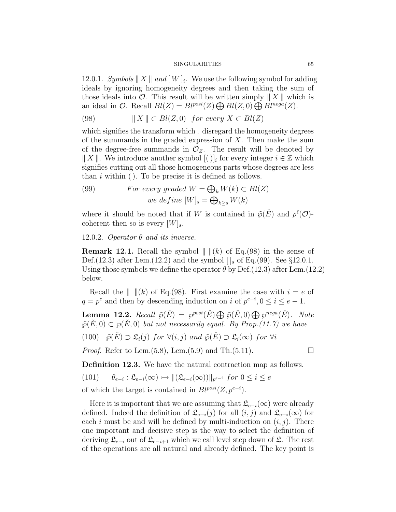12.0.1. Symbols  $||X||$  and  $[W]_i$ . We use the following symbol for adding ideals by ignoring homogeneity degrees and then taking the sum of those ideals into  $\mathcal O$ . This result will be written simply  $||X||$  which is an ideal in O. Recall  $Bl(Z) = Bl^{posi}(Z) \bigoplus Bl(Z, 0) \bigoplus Bl^{nega}(Z)$ .

(98) 
$$
\|X\| \subset Bl(Z,0) \text{ for every } X \subset Bl(Z)
$$

which signifies the transform which . disregard the homogeneity degrees of the summands in the graded expression of  $X$ . Then make the sum of the degree-free summands in  $\mathcal{O}_Z$ . The result will be denoted by  $|| X ||$ . We introduce another symbol  $[()]_i$  for every integer  $i \in \mathbb{Z}$  which signifies cutting out all those homogeneous parts whose degrees are less than  $i$  within ( ). To be precise it is defined as follows.

(99) *For every graded* 
$$
W = \bigoplus_{k} W(k) \subset Bl(Z)
$$
  
 *we define*  $[W]_s = \bigoplus_{k \ge s} W(k)$ 

where it should be noted that if W is contained in  $\tilde{\varphi}(\check{E})$  and  $\rho^{\ell}(\mathcal{O})$ coherent then so is every  $[W]_s$ .

12.0.2. Operator  $\theta$  and its inverse.

**Remark 12.1.** Recall the symbol  $\| \|(k)$  of Eq.(98) in the sense of Def.(12.3) after Lem.(12.2) and the symbol  $\iint_S$  of Eq.(99). See §12.0.1. Using those symbols we define the operator  $\theta$  by Def.(12.3) after Lem.(12.2) below.

Recall the  $\| \ \| (k)$  of Eq.(98). First examine the case with  $i = e$  of  $q = p^e$  and then by descending induction on i of  $p^{e-i}$ ,  $0 \le i \le e-1$ .

**Lemma 12.2.** Recall  $\tilde{\varphi}(\check{E}) = \varphi^{posi}(\check{E}) \bigoplus \tilde{\varphi}(\check{E},0) \bigoplus \varphi^{nega}(\check{E})$ . Note  $\tilde{\varphi}(\tilde{E}, 0) \subset \varphi(\tilde{E}, 0)$  but not necessarily equal. By Prop.(11.7) we have

(100)  $\tilde{\wp}(\check{E}) \supset \mathfrak{L}_i(j)$  for  $\forall (i, j)$  and  $\tilde{\wp}(\check{E}) \supset \mathfrak{L}_i(\infty)$  for  $\forall i$ 

*Proof.* Refer to Lem.(5.8), Lem.(5.9) and Th.(5.11).  $\Box$ 

Definition 12.3. We have the natural contraction map as follows.

(101) 
$$
\theta_{e-i} : \mathfrak{L}_{e-i}(\infty) \rightarrow \|(\mathfrak{L}_{e-i}(\infty))\|_{p^{e-i}} \text{ for } 0 \leq i \leq e
$$

of which the target is contained in  $Bl^{posi}(Z, p^{e-i})$ .

Here it is important that we are assuming that  $\mathfrak{L}_{e-i}(\infty)$  were already defined. Indeed the definition of  $\mathfrak{L}_{e-i}(j)$  for all  $(i, j)$  and  $\mathfrak{L}_{e-i}(\infty)$  for each i must be and will be defined by multi-induction on  $(i, j)$ . There one important and decisive step is the way to select the definition of deriving  $\mathfrak{L}_{e-i}$  out of  $\mathfrak{L}_{e-i+1}$  which we call level step down of  $\mathfrak{L}$ . The rest of the operations are all natural and already defined. The key point is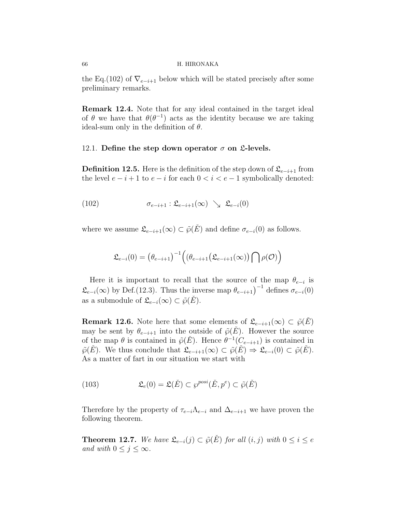the Eq.(102) of  $\nabla_{e-i+1}$  below which will be stated precisely after some preliminary remarks.

Remark 12.4. Note that for any ideal contained in the target ideal of  $\theta$  we have that  $\theta(\theta^{-1})$  acts as the identity because we are taking ideal-sum only in the definition of  $\theta$ .

# 12.1. Define the step down operator  $\sigma$  on  $\mathfrak{L}$ -levels.

**Definition 12.5.** Here is the definition of the step down of  $\mathcal{L}_{e-i+1}$  from the level  $e - i + 1$  to  $e - i$  for each  $0 < i < e - 1$  symbolically denoted:

(102) 
$$
\sigma_{e-i+1} : \mathfrak{L}_{e-i+1}(\infty) \searrow \mathfrak{L}_{e-i}(0)
$$

where we assume  $\mathfrak{L}_{e-i+1}(\infty) \subset \tilde{\wp}(E)$  and define  $\sigma_{e-i}(0)$  as follows.

$$
\mathfrak{L}_{e-i}(0) = \left(\theta_{e-i+1}\right)^{-1} \left( \left(\theta_{e-i+1} \left(\mathfrak{L}_{e-i+1}(\infty)\right) \bigcap \rho(\mathcal{O})\right) \right)
$$

Here it is important to recall that the source of the map  $\theta_{e-i}$  is  $\mathfrak{L}_{e-i}(\infty)$  by Def.(12.3). Thus the inverse map  $\theta_{e-i+1}$ <sup>-1</sup> defines  $\sigma_{e-i}(0)$ as a submodule of  $\mathfrak{L}_{e-i}(\infty) \subset \tilde{\wp}(\check{E})$ .

**Remark 12.6.** Note here that some elements of  $\mathfrak{L}_{e-i+1}(\infty) \subset \tilde{\wp}(E)$ may be sent by  $\theta_{e-i+1}$  into the outside of  $\tilde{\varphi}(E)$ . However the source of the map  $\theta$  is contained in  $\tilde{\varphi}(\check{E})$ . Hence  $\theta^{-1}(C_{e-i+1})$  is contained in  $\tilde{\varphi}(E)$ . We thus conclude that  $\mathfrak{L}_{e-i+1}(\infty) \subset \tilde{\varphi}(E) \Rightarrow \mathfrak{L}_{e-i}(0) \subset \tilde{\varphi}(E)$ . As a matter of fart in our situation we start with

(103) 
$$
\mathfrak{L}_e(0) = \mathfrak{L}(\check{E}) \subset \wp^{posi}(\check{E}, p^e) \subset \tilde{\wp}(\check{E})
$$

Therefore by the property of  $\tau_{e-i} \Lambda_{e-i}$  and  $\Delta_{e-i+1}$  we have proven the following theorem.

**Theorem 12.7.** We have  $\mathfrak{L}_{e-i}(j) \subset \tilde{\wp}(E)$  for all  $(i, j)$  with  $0 \leq i \leq e$ and with  $0 \leq j \leq \infty$ .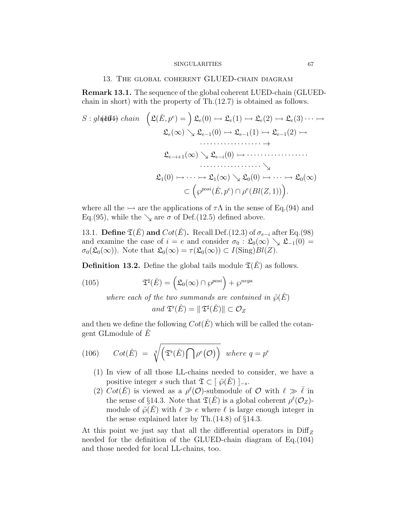# 13. The global coherent GLUED-chain diagram

Remark 13.1. The sequence of the global coherent LUED-chain (GLUEDchain in short) with the property of Th.(12.7) is obtained as follows.

$$
S: gl\{\text{#d4}\} \ \text{chain} \quad \Big(\mathfrak{L}(\check{E}, p^e) = \Big) \ \mathfrak{L}_e(0) \rightarrowtail \mathfrak{L}_e(1) \rightarrowtail \mathfrak{L}_e(2) \rightarrowtail \mathfrak{L}_e(3) \cdots \rightarrowtail
$$
\n
$$
\mathfrak{L}_e(\infty) \searrow \mathfrak{L}_{e-1}(0) \rightarrowtail \mathfrak{L}_{e-1}(1) \rightarrowtail \mathfrak{L}_{e-1}(2) \rightarrowtail
$$
\n
$$
\cdots \cdots \cdots \cdots \rightarrow
$$
\n
$$
\mathfrak{L}_{e-i+1}(\infty) \searrow \mathfrak{L}_{e-i}(0) \rightarrow \cdots \cdots \cdots \cdots \cdots \cdots \cdots \cdots
$$
\n
$$
\searrow
$$
\n
$$
\mathfrak{L}_1(0) \rightarrow \cdots \rightarrowtail \mathfrak{L}_1(\infty) \searrow \mathfrak{L}_0(0) \rightarrow \cdots \rightarrowtail \mathfrak{L}_0(\infty)
$$
\n
$$
\subset \left(\wp^{posi}(\check{E}, p^e) \cap \rho^e(Bl(Z, 1))\right).
$$

where all the  $\rightarrow$  are the applications of  $\tau\Lambda$  in the sense of Eq.(94) and Eq.(95), while the  $\searrow$  are  $\sigma$  of Def.(12.5) defined above.

13.1. Define  $\mathfrak{T}(\check{E})$  and  $Cot(\check{E})$ . Recall Def.(12.3) of  $\sigma_{e-i}$  after Eq.(98) and examine the case of  $i = e$  and consider  $\sigma_0 : \mathfrak{L}_0(\infty) \searrow \mathfrak{L}_{-1}(0) =$  $\sigma_0(\mathfrak{L}_0(\infty))$ . Note that  $\mathfrak{L}_0(\infty) = \tau(\mathfrak{L}_0(\infty)) \subset I(\text{Sing})Bl(Z)$ .

**Definition 13.2.** Define the global tails module  $\mathfrak{T}(\check{E})$  as follows.

(105) 
$$
\mathfrak{T}^{\sharp}(\check{E}) = (\mathfrak{L}_{0}(\infty) \cap \wp^{posi}) + \wp^{nega}
$$

where each of the two summands are contained in  $\tilde{\varphi}(E)$ 

$$
and \mathfrak{T}^{\flat}(\check{E}) = \|\mathfrak{T}^{\sharp}(\check{E})\| \subset \mathcal{O}_Z
$$

and then we define the following  $Cot(\check{E})$  which will be called the cotangent GLmodule of  $E$ 

(106) 
$$
Cot(\check{E}) = \sqrt[q]{(\mathfrak{T}^{\flat}(\check{E}) \cap \rho^e(\mathcal{O}))} where q = p^e
$$

- (1) In view of all those LL-chains needed to consider, we have a positive integer s such that  $\mathfrak{T} \subset [\tilde{\wp}(\check{E})]_{-s}$ .
- (2)  $Cot(\check{E})$  is viewed as a  $\rho^{\ell}(\mathcal{O})$ -submodule of  $\mathcal O$  with  $\ell \gg \bar{\ell}$  in the sense of §14.3. Note that  $\mathfrak{T}(\check{E})$  is a global coherent  $\rho^{\ell}(\mathcal{O}_Z)$ module of  $\tilde{\varphi}(\tilde{E})$  with  $\ell \gg e$  where  $\ell$  is large enough integer in the sense explained later by Th.(14.8) of §14.3.

At this point we just say that all the differential operators in  $\text{Diff}_Z$ needed for the definition of the GLUED-chain diagram of Eq.(104) and those needed for local LL-chains, too.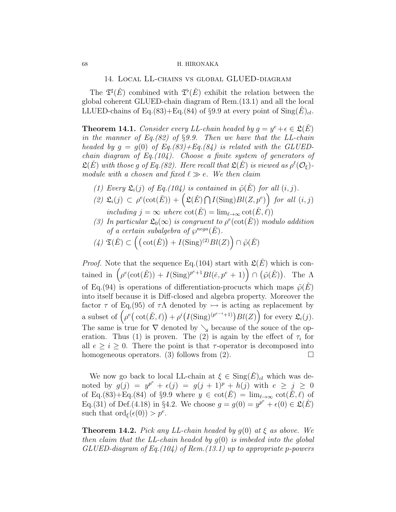14. Local LL-chains vs global GLUED-diagram

The  $\mathfrak{T}^{\sharp}(\check{E})$  combined with  $\mathfrak{T}^{\flat}(\check{E})$  exhibit the relation between the global coherent GLUED-chain diagram of Rem.(13.1) and all the local LLUED-chains of Eq.(83)+Eq.(84) of §9.9 at every point of  $\text{Sing}(E)_{cl}$ .

**Theorem 14.1.** Consider every LL-chain headed by  $g = y^e + \epsilon \in \mathfrak{L}(\check{E})$ in the manner of Eq.(82) of §9.9. Then we have that the LL-chain headed by  $g = g(0)$  of Eq.(83)+Eq.(84) is related with the GLUEDchain diagram of Eq.  $(104)$ . Choose a finite system of generators of  $\mathfrak{L}(E)$  with those g of Eq.(82). Here recall that  $\mathfrak{L}(E)$  is viewed as  $\rho^{\ell}(\mathcal{O}_{\xi})$ module with a chosen and fixed  $\ell \gg e$ . We then claim

- (1) Every  $\mathfrak{L}_i(j)$  of Eq.(104) is contained in  $\tilde{\varphi}(E)$  for all  $(i, j)$ .
- $(2)$   $\mathfrak{L}_i(j) \subset \rho^e(\cot(\check{E})) + (\mathfrak{L}(\check{E}) \cap I(\text{Sing})Bl(Z, p^e))$  for all  $(i, j)$ including  $j = \infty$  where  $\cot(E) = \lim_{\ell \to \infty} \cot(E, \ell)$
- (3) In particular  $\mathfrak{L}_0(\infty)$  is congruent to  $\rho^e(\cot(\check{E}))$  modulo addition of a certain subalgebra of  $\varphi^{neg}(E)$ .
- $(4) \mathfrak{T}(\check{E}) \subset \left( (\cot(\check{E})) + I(\text{Sing})^{(2)}Bl(Z) \right) \cap \tilde{\wp}(\check{E})$

*Proof.* Note that the sequence Eq.(104) start with  $\mathfrak{L}(E)$  which is contained in  $(\rho^e(\cot(\check{E})) + I(\text{Sing})^{p^e+1}Bl(\check{e},p^e+1)) \cap (\tilde{\wp}(\check{E}))$ . The  $\Lambda$ of Eq.(94) is operations of differentiation-procucts which maps  $\tilde{\varphi}(\tilde{E})$ into itself because it is Diff-closed and algebra property. Moreover the factor  $\tau$  of Eq,(95) of  $\tau\Lambda$  denoted by  $\rightarrow$  is acting as replacement by a subset of  $\left(\rho^e(\cot(\tilde{E},\ell)) + \rho^i(I(\text{Sing})^{(p^{e-i}+1)})Bl(Z)\right)$  for every  $\mathfrak{L}_i(j)$ . The same is true for  $\nabla$  denoted by  $\searrow$  because of the souce of the operation. Thus (1) is proven. The (2) is again by the effect of  $\tau_i$  for all  $e \geq i \geq 0$ . There the point is that  $\tau$ -operator is decomposed into homogeneous operators. (3) follows from (2).  $\Box$ 

We now go back to local LL-chain at  $\xi \in \text{Sing}(\check{E})_{cl}$  which was denoted by  $g(j) = y^{p^e} + \epsilon(j) = g(j+1)^p + h(j)$  with  $e \geq j \geq 0$ of Eq.(83)+Eq.(84) of §9.9 where  $y \in \cot(\check{E}) = \lim_{\ell \to \infty} \cot(\check{E}, \ell)$  of Eq.(31) of Def.(4.18) in §4.2. We choose  $g = g(0) = y^{p^e} + \epsilon(0) \in \mathfrak{L}(E)$ such that  $\text{ord}_{\xi}(\epsilon(0)) > p^e$ .

**Theorem 14.2.** Pick any LL-chain headed by  $q(0)$  at  $\xi$  as above. We then claim that the LL-chain headed by  $g(0)$  is imbeded into the global  $GLUED$ -diagram of Eq.(104) of Rem.(13.1) up to appropriate p-powers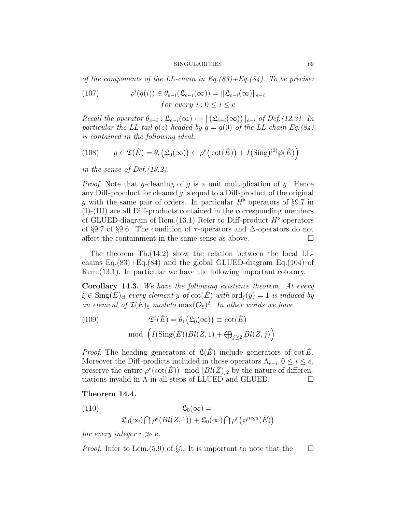of the components of the LL-chain in Eq.(83)+Eq.(84). To be precise:

(107) 
$$
\rho^{i}(g(i)) \in \theta_{e-i}(\mathfrak{L}_{e-i}(\infty)) = \|\mathfrak{L}_{e-i}(\infty)\|_{e-i}
$$
  
for every  $i : 0 \leq i \leq e$ 

Recall the operator  $\theta_{e-i} : \mathfrak{L}_{e-i}(\infty) \rightarrow ||(\mathfrak{L}_{e-i}(\infty))||_{e-i}$  of Def.(12.3). In particular the LL-tail  $g(e)$  headed by  $g = g(0)$  of the LL-chain Eq.(84) is contained in the following ideal.

(108) 
$$
g \in \mathfrak{T}(\check{E}) = \theta_e(\mathfrak{L}_0(\infty)) \subset \rho^e(\cot(\check{E})) + I(\mathrm{Sing})^{(2)}\tilde{\wp}(\check{E})
$$

in the sense of Def.(13.2).

*Proof.* Note that g-cleaning of g is a unit multiplication of g. Hence any Diff-procduct for cleaned  $q$  is equal to a Diff-product of the original g with the same pair of orders. In particular  $H^{\flat}$  operators of §9.7 in (I)-(III) are all Diff-products contained in the corresponding members of GLUED-diagram of Rem.  $(13.1)$  Refer to Diff-product  $H^{\flat}$  operators of §9.7 of §9.6. The condition of  $\tau$ -operators and  $\Delta$ -operators do not affect the containment in the same sense as above.  $\Box$ 

The theorem Th.(14.2) show the relation between the local LLchains  $Eq.(83) + Eq.(84)$  and the global GLUED-diagram  $Eq.(104)$  of Rem.(13.1). In particular we have the following important colorary.

Corollary 14.3. We have the following existence theorem. At every  $\xi \in \text{Sing}(E)_{cl}$  every element y of  $\cot(E)$  with  $\text{ord}_{\xi}(y) = 1$  is induced by an element of  $\mathfrak{T}(\check{E})_{\xi}$  modulo  $\max(\mathcal{O}_{\xi})^2$ . In other words we have

(109) 
$$
\mathfrak{T}^{\sharp}(\check{E}) = \theta_1(\mathfrak{L}_0(\infty)) \equiv \cot(\check{E})
$$
  
mod 
$$
(I(\mathrm{Sing}(\check{E}))Bl(Z,1) + \bigoplus_{j\geq 2} Bl(Z,j))
$$

*Proof.* The heading generators of  $\mathfrak{L}(\check{E})$  include generators of cot  $\check{E}$ . Moreover the Diff-prodicts included in those operators  $\Lambda_{e-i}$ ,  $0 \le i \le e$ , preserve the entire  $\rho^e(\cot(\check{E}))$  mod  $[Bl(Z)]_2$  by the nature of differentiations invalid in  $\Lambda$  in all steps of LLUED and GLUED.  $\Box$ 

# Theorem 14.4.

(110)  
\n
$$
\mathfrak{L}_0(\infty) =
$$
\n
$$
\mathfrak{L}_0(\infty) \bigcap \rho^e(Bl(Z,1)) + \mathfrak{L}_0(\infty) \bigcap \rho^r(\wp^{neg}(E))
$$

for every integer  $r \gg e$ .

*Proof.* Infer to Lem.(5.9) of §5. It is important to note that the  $\Box$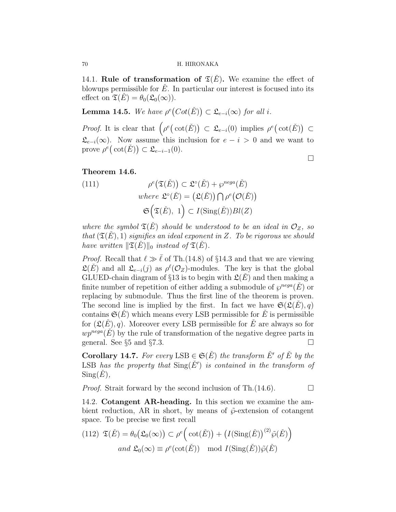14.1. Rule of transformation of  $\mathfrak{T}(E)$ . We examine the effect of blowups permissible for  $\dot{E}$ . In particular our interest is focused into its effect on  $\mathfrak{T}(E) = \theta_0(\mathfrak{L}_0(\infty)).$ 

**Lemma 14.5.** We have  $\rho^e(Cot(\check{E})) \subset \mathfrak{L}_{e-i}(\infty)$  for all i.

*Proof.* It is clear that  $\left(\rho^e(\cot(\check{E}))\right) \subset \mathfrak{L}_{e-i}(0)$  implies  $\rho^e(\cot(\check{E})) \subset$  $\mathfrak{L}_{e-i}(\infty)$ . Now assume this inclusion for  $e-i>0$  and we want to prove  $\rho^e(\cot(\check{E})) \subset \mathfrak{L}_{e-i-1}(0)$ .

 $\Box$ 

# Theorem 14.6.

(111) 
$$
\rho^{e}(\mathfrak{I}(\check{E})) \subset \mathfrak{L}^{\circ}(\check{E}) + \wp^{nega}(\check{E})
$$
  
where  $\mathfrak{L}^{\circ}(\check{E}) = (\mathfrak{L}(\check{E})) \cap \rho^{e}(\mathcal{O}(\check{E}))$   
 $\mathfrak{S}(\mathfrak{I}(\check{E}), 1) \subset I(\mathrm{Sing}(\check{E}))Bl(Z)$ 

where the symbol  $\mathfrak{T}(\check{E})$  should be understood to be an ideal in  $\mathcal{O}_Z$ , so that  $(\mathfrak{T}(E), 1)$  signifies an ideal exponent in Z. To be rigorous we should have written  $\Vert \mathfrak{T}(\dot{E})\Vert_0$  instead of  $\mathfrak{T}(\dot{E})$ .

*Proof.* Recall that  $\ell \gg \overline{\ell}$  of Th.(14.8) of §14.3 and that we are viewing  $\mathfrak{L}(\check{E})$  and all  $\mathfrak{L}_{e-i}(j)$  as  $\rho^{\ell}(\mathcal{O}_Z)$ -modules. The key is that the global GLUED-chain diagram of §13 is to begin with  $\mathfrak{L}(E)$  and then making a finite number of repetition of either adding a submodule of  $\varphi^{neg}(E)$  or replacing by submodule. Thus the first line of the theorem is proven. The second line is implied by the first. In fact we have  $\mathfrak{S}(\mathfrak{L}(E), q)$ contains  $\mathfrak{S}(E)$  which means every LSB permissible for E is permissible for  $(\mathfrak{L}(\check{E}), q)$ . Moreover every LSB permissible for  $\check{E}$  are always so for  $wp^{neg}(E)$  by the rule of transformation of the negative degree parts in general. See  $\S5$  and  $\S7.3$ .

**Corollary 14.7.** For every LSB  $\in \mathfrak{S}(\check{E})$  the transform  $\check{E}'$  of  $\check{E}$  by the LSB has the property that  $\text{Sing}(\check{E}')$  is contained in the transform of  $Sing(E),$ 

*Proof.* Strait forward by the second inclusion of Th.(14.6).  $\Box$ 

14.2. Cotangent AR-heading. In this section we examine the ambient reduction, AR in short, by means of  $\tilde{\varphi}$ -extension of cotangent space. To be precise we first recall

(112) 
$$
\mathfrak{T}(\check{E}) = \theta_0(\mathfrak{L}_0(\infty)) \subset \rho^e \Big( \cot(\check{E}) \Big) + \big( I(\mathrm{Sing}(\check{E}))^{(2)} \tilde{\wp}(\check{E}) \Big)
$$
  
and  $\mathfrak{L}_0(\infty) \equiv \rho^e(\cot(\check{E})) \mod I(\mathrm{Sing}(\check{E})) \tilde{\wp}(\check{E})$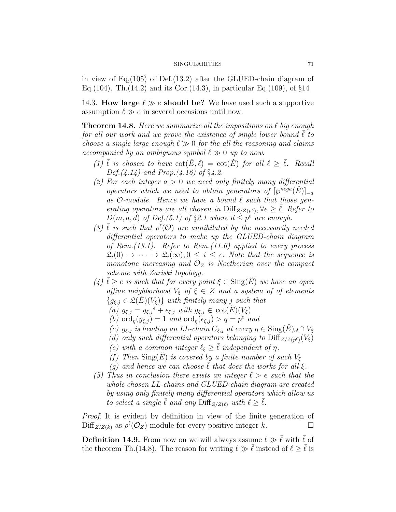in view of Eq,(105) of Def.(13.2) after the GLUED-chain diagram of Eq.(104). Th.(14.2) and its Cor.(14.3), in particular Eq.(109), of  $\S14$ 

14.3. How large  $\ell \gg e$  should be? We have used such a supportive assumption  $\ell \gg e$  in several occasions until now.

**Theorem 14.8.** Here we summarize all the impositions on  $\ell$  big enough for all our work and we prove the existence of single lower bound  $\ell$  to choose a single large enough  $\ell \gg 0$  for the all the reasoning and claims accompanied by an ambiguous symbol  $\ell \gg 0$  up to now.

- (1)  $\overline{\ell}$  is chosen to have  $\cot(\check{E}, \ell) = \cot(\check{E})$  for all  $\ell > \overline{\ell}$ . Recall  $Def. (4.14)$  and Prop.  $(4.16)$  of §4.2.
- (2) For each integer  $a > 0$  we need only finitely many differential operators which we need to obtain generators of  $\left[\wp^{neg\}\left(\check{E}\right)\right]_{-a}$ as  $\mathcal{O}\text{-}module.$  Hence we have a bound  $\ell$  such that those generating operators are all chosen in  $\text{Diff}_{Z/Z(p^e)}, \forall e \geq \overline{\ell}$ . Refer to  $D(m, a, d)$  of  $Def.(5.1)$  of §2.1 where  $d \leq p^e$  are enough.
- (3)  $\bar{\ell}$  is such that  $\rho^{\bar{\ell}}(0)$  are annihilated by the necessarily needed differential operators to make up the GLUED-chain diagram of Rem.(13.1). Refer to Rem.(11.6) applied to every process  $\mathfrak{L}_i(0) \to \cdots \to \mathfrak{L}_i(\infty)$ ,  $0 \leq i \leq e$ . Note that the sequence is monotone increasing and  $\mathcal{O}_Z$  is Noetherian over the compact scheme with Zariski topology.
- (4)  $\ell \ge e$  is such that for every point  $\xi \in \text{Sing}(E)$  we have an open affine neighborhood  $V_{\xi}$  of  $\xi \in Z$  and a system of of elements  ${g_{\xi,j} \in \mathfrak{L}(E)(V_{\xi})}$  with finitely many j such that
	- (a)  $g_{\xi,j} = y_{\xi,j}^{\ e} + \epsilon_{\xi,j}$  with  $g_{\xi,j} \in \cot(\check{E})(V_{\xi})$
	- (b)  $\operatorname{ord}_{\eta}(y_{\xi,j}) = 1$  and  $\operatorname{ord}_{\eta}(\epsilon_{\xi,j}) > q = p^e$  and
	- (c)  $g_{\xi,j}$  is heading an LL-chain  $C_{\xi,j}$  at every  $\eta \in \text{Sing}(\check{E})_{cl} \cap V_{\xi}$
	- (d) only such differential operators belonging to  $\text{Diff}_{Z/Z(p^{\ell})}(V_{\xi})$
	- (e) with a common integer  $\ell_{\xi} \geq \overline{\ell}$  independent of  $\eta$ .
	- (f) Then  $\text{Sing}(E)$  is covered by a finite number of such  $V_{\xi}$
	- (q) and hence we can choose  $\ell$  that does the works for all  $\xi$ .
- (5) Thus in conclusion there exists an integer  $\ell > e$  such that the whole chosen LL-chains and GLUED-chain diagram are created by using only finitely many differential operators which allow us to select a single  $\overline{\ell}$  and any  $\text{Diff}_{Z/Z(\ell)}$  with  $\ell \geq \overline{\ell}$ .

Proof. It is evident by definition in view of the finite generation of  $\text{Diff}_{Z/Z(k)}$  as  $\rho^{\ell}(\mathcal{O}_Z)$ -module for every positive integer k.

**Definition 14.9.** From now on we will always assume  $\ell \gg \bar{\ell}$  with  $\bar{\ell}$  of the theorem Th.(14.8). The reason for writing  $\ell \gg \bar{\ell}$  instead of  $\ell > \bar{\ell}$  is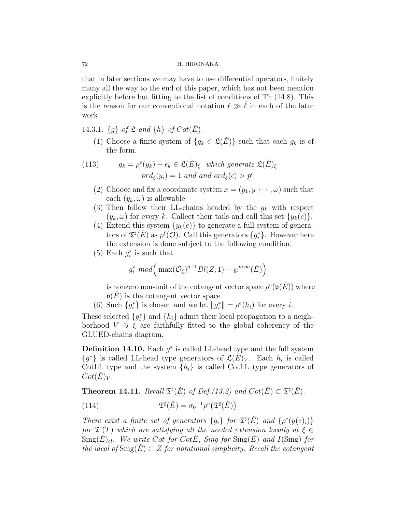that in later sections we may have to use differential operators, finitely many all the way to the end of this paper, which has not been mention explicitly before but fitting to the list of conditions of Th.(14.8). This is the reason for our conventional notation  $\ell \gg \overline{\ell}$  in each of the later work.

- 14.3.1.  $\{g\}$  of  $\mathfrak L$  and  $\{h\}$  of  $Cot(\check E)$ .
	- (1) Choose a finite system of  $\{g_k \in \mathfrak{L}(\check{E})\}$  such that each  $g_k$  is of the form.

(113) 
$$
g_k = \rho^e(y_k) + \epsilon_k \in \mathfrak{L}(\check{E})_{\xi} \text{ which generate } \mathfrak{L}(\check{E})_{\xi}
$$

$$
ord_{\xi}(y_i) = 1 \text{ and and } ord_{\xi}(\epsilon) > p^e
$$

- (2) Chooce and fix a coordinate system  $x = (y_1, y, \dots, \omega)$  such that each  $(y_k, \omega)$  is allowable.
- (3) Then follow their LL-chains headed by the  $g_k$  with respect  $(y_k, \omega)$  for every k. Callect their tails and call this set  $\{y_k(e)\}.$
- (4) Extend this system  $\{y_k(e)\}\)$  to generate a full system of generators of  $\mathfrak{T}^{\sharp}(\check{E})$  as  $\rho^{\ell}(\mathcal{O})$ . Call this generators  $\{g_i^*\}$ . However here the extension is done subject to the following condition.
- (5) Each  $g_i^*$  is such that

$$
g_i^* \mod \left( \max(\mathcal{O}_{\xi})^{q+1} Bl(Z, 1) + \wp^{nega}(\check{E}) \right)
$$

is nonzero non-unit of the cotangent vector space  $\rho^e(\mathfrak{v}(\check{E}))$  where  $\mathfrak{v}(E)$  is the cotangent vector space.

(6) Such  $\{g_i^*\}$  is chosen and we let  $||g_i^*|| = \rho^e(h_i)$  for every *i*.

These selected  ${g_i^*}$  and  ${h_i}$  admit their local propagation to a neighborhood  $V \ni \xi$  are faithfully fitted to the global coherency of the GLUED-chains diagram.

**Definition 14.10.** Each  $g^*$  is called LL-head type and the full system  ${g^*}$  is called LL-head type generators of  $\mathfrak{L}(\check{E})_V$ . Each  $h_i$  is called CotLL type and the system  $\{h_i\}$  is called CotLL type generators of  $Cot(E)<sub>V</sub>$ .

**Theorem 14.11.** Recall  $\mathfrak{T}^{\flat}(\check{E})$  of Def.(13.2) and  $Cot(\check{E}) \subset \mathfrak{T}^{\sharp}(\check{E})$ .

(114) 
$$
\mathfrak{T}^{\sharp}(\check{E}) = \sigma_0^{-1} \rho^e(\mathfrak{T}^{\sharp}(\check{E}))
$$

There exist a finite set of generators  ${g_i}$  for  $\mathfrak{T}^{\sharp}(\check{E})$  and  $\{ \rho^e(y(e)_i) \}$ for  $\mathfrak{T}^{\flat}(T)$  which are satisfying all the needed extension locally at  $\xi \in$  $\text{Sing}(E)_{cl}$ . We write Cot for CotE<sup> $\text{fin}$ </sup>, Sing for  $\text{Sing}(E)$  and I(Sing) for the ideal of  $\text{Sing}(\check{E}) \subset Z$  for notational simplicity. Recall the cotangent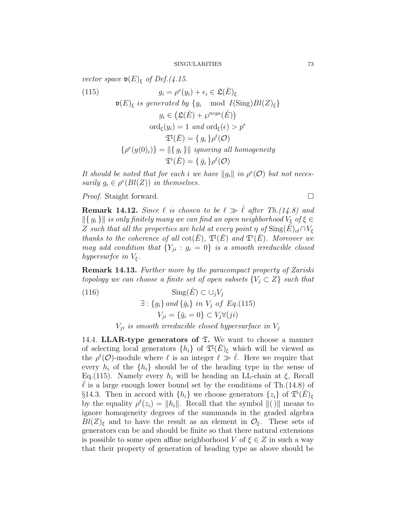vector space  $\mathfrak{v}(E)_{\xi}$  of Def.(4.15.

(115) 
$$
g_i = \rho^e(y_i) + \epsilon_i \in \mathfrak{L}(\check{E})_{\xi}
$$

$$
\mathfrak{v}(E)_{\xi} \text{ is generated by } \{y_i \mod I(\text{Sing})Bl(Z)_{\xi}\}
$$

$$
g_i \in (\mathfrak{L}(\check{E}) + \wp^{nega}(\check{E}))
$$

$$
\text{ord}_{\xi}(y_i) = 1 \text{ and } \text{ord}_{\xi}(\epsilon) > p^e
$$

$$
\mathfrak{T}^{\sharp}(\check{E}) = \{g_i\} \rho^{\ell}(\mathcal{O})
$$

$$
\{\rho^e(y(0)_i)\} = ||\{g_i\}|| \text{ ignoring all homogeneity}
$$

$$
\mathfrak{T}^{\flat}(\check{E}) = \{\bar{g}_i\} \rho^{\ell}(\mathcal{O})
$$

It should be noted that for each i we have  $||g_i||$  in  $\rho^e(\mathcal{O})$  but not necessarily  $g_i \in \rho^e(Bl(Z))$  in themselves.

*Proof.* Staight forward. □

**Remark 14.12.** Since  $\ell$  is chosen to be  $\ell \gg \overline{\ell}$  after Th.(14.8) and  $\left\| \{ g_i \} \right\|$  is only finitely many we can find an open neighborhood  $V_{\xi}$  of  $\xi \in$ Z such that all the properties are held at every point  $\eta$  of  $\text{Sing}(E)_{cl} \cap V_{\xi}$ thanks to the coherence of all  $\cot(\check{E})$ ,  $\mathfrak{T}^{\sharp}(\check{E})$  and  $\mathfrak{T}^{\flat}(\check{E})$ . Moreover we may add condition that  $\{Y_{ji} : g_i = 0\}$  is a smooth irreducible closed hypersurfce in  $V_{\xi}$ .

Remark 14.13. Further more by the paracompact property of Zariski topology we can choose a finite set of open subsets  ${V_i \subset Z}$  such that

(116) 
$$
\text{Sing}(\check{E}) \subset \bigcup_j V_j
$$

$$
\exists : \{g_i\} \text{ and } \{\bar{g}_i\} \text{ in } V_j \text{ of } Eq. (115)
$$

$$
V_{ji} = \{\bar{g}_i = 0\} \subset V_j \forall (ji)
$$

 $V_{ji}$  is smooth irreducible closed hypersurface in  $V_j$ 

14.4. LLAR-type generators of  $\mathfrak T$ . We want to choose a manner of selecting local generators  $\{h_i\}$  of  $\mathfrak{T}^{\sharp}(\check{E})_{\xi}$  which will be viewed as the  $\rho^{\ell}(\mathcal{O})$ -module where  $\ell$  is an integer  $\ell \gg \overline{\ell}$ . Here we require that every  $h_i$  of the  $\{h_i\}$  should be of the heading type in the sense of Eq.(115). Namely every  $h_i$  will be heading an LL-chain at  $\xi$ , Recall  $\ell$  is a large enough lower bound set by the conditions of Th.(14.8) of §14.3. Then in accord with  $\{h_i\}$  we choose generators  $\{z_i\}$  of  $\mathfrak{T}^{\flat}(\check{E})_{\xi}$ by the equality  $\rho^{\ell}(z_i) = ||h_i||$ . Recall that the symbol  $||()||$  means to ignore homogeneity degrees of the summands in the graded algebra  $Bl(Z)_{\xi}$  and to have the result as an element in  $\mathcal{O}_{\xi}$ . These sets of generators can be and should be finite so that there natural extensions is possible to some open affine neighborhood V of  $\xi \in Z$  in such a way that their property of generation of heading type as above should be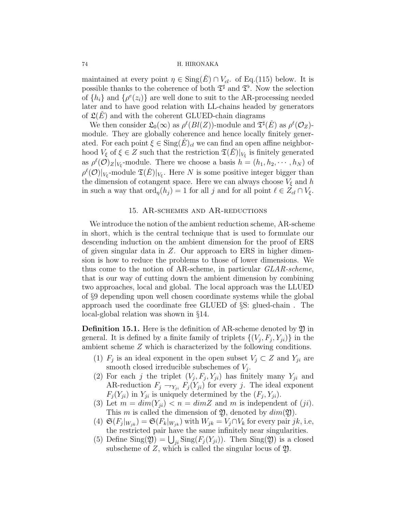maintained at every point  $\eta \in \text{Sing}(E) \cap V_{cl}$ . of Eq.(115) below. It is possible thanks to the coherence of both  $\mathfrak{T}^{\sharp}$  and  $\mathfrak{T}^{\flat}$ . Now the selection of  $\{h_i\}$  and  $\{\rho^e(z_i)\}\)$  are well done to suit to the AR-processing needed later and to have good relation with LL-chains headed by generators of  $\mathfrak{L}(E)$  and with the coherent GLUED-chain diagrams

We then consider  $\mathfrak{L}_0(\infty)$  as  $\rho^{\ell}(Bl(Z))$ -module and  $\mathfrak{T}^{\sharp}(\check{E})$  as  $\rho^{\ell}(\mathcal{O}_Z)$ module. They are globally coherence and hence locally finitely generated. For each point  $\xi \in \text{Sing}(E)_{cl}$  we can find an open affine neighborhood  $V_{\xi}$  of  $\xi \in Z$  such that the restriction  $\mathfrak{T}(\check{E})|_{V_{\xi}}$  is finitely generated as  $\rho^{\ell}(\mathcal{O})_Z|_{V_{\xi}}$ -module. There we choose a basis  $h = (h_1, h_2, \cdots, h_N)$  of  $\rho^{\ell}(\mathcal{O})|_{V_{\xi}}$ -module  $\mathfrak{T}(\check{E})|_{V_{\xi}}$ . Here N is some positive integer bigger than the dimension of cotangent space. Here we can always choose  $V_{\xi}$  and h in such a way that  $\text{ord}_{\eta}(h_j) = 1$  for all j and for all point  $\ell \in Z_{cl} \cap V_{\xi}$ .

# 15. AR-schemes and AR-reductions

We introduce the notion of the ambient reduction scheme, AR-scheme in short, which is the central technique that is used to formulate our descending induction on the ambient dimension for the proof of ERS of given singular data in Z. Our approach to ERS in higher dimension is how to reduce the problems to those of lower dimensions. We thus come to the notion of AR-scheme, in particular GLAR-scheme, that is our way of cutting down the ambient dimension by combining two approaches, local and global. The local approach was the LLUED of §9 depending upon well chosen coordinate systems while the global approach used the coordinate free GLUED of §S: glued-chain . The local-global relation was shown in §14.

**Definition 15.1.** Here is the definition of AR-scheme denoted by  $\mathfrak{Y}$  in general. It is defined by a finite family of triplets  $\{(V_j, F_j, Y_{ji})\}$  in the ambient scheme Z which is characterized by the following conditions.

- (1)  $F_j$  is an ideal exponent in the open subset  $V_j \subset Z$  and  $Y_{ji}$  are smooth closed irreducible subschemes of  $V_j$ .
- (2) For each j the triplet  $(V_j, F_j, Y_{ji})$  has finitely many  $Y_{ji}$  and AR-reduction  $F_j \to_{Y_{ji}} F_j(Y_{ji})$  for every j. The ideal exponent  $F_j(Y_{ji})$  in  $Y_{ji}$  is uniquely determined by the  $(F_j, Y_{ji})$ .
- (3) Let  $m = dim(Y_{ii}) < n = dimZ$  and m is independent of  $(ji)$ . This m is called the dimension of  $\mathfrak{Y}$ , denoted by  $dim(\mathfrak{Y})$ .
- (4)  $\mathfrak{S}(F_j|_{W_{jk}}) = \mathfrak{S}(F_k|_{W_{jk}})$  with  $W_{jk} = V_j \cap V_k$  for every pair jk, i.e, the restricted pair have the same infinitely near singularities.
- (5) Define Sing( $\mathfrak{Y}$ ) =  $\bigcup_{ji}$  Sing( $F_j(Y_{ji})$ ). Then Sing( $\mathfrak{Y}$ ) is a closed subscheme of  $Z$ , which is called the singular locus of  $\mathfrak{Y}$ .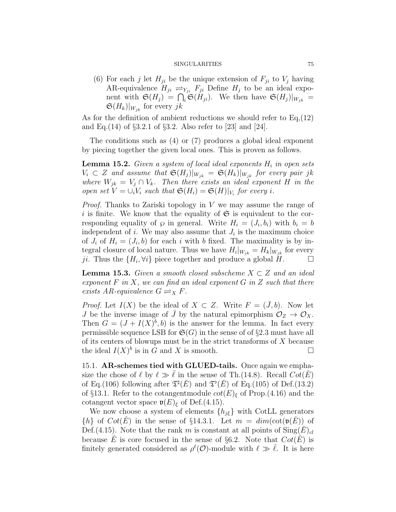(6) For each j let  $H_{ii}$  be the unique extension of  $F_{ii}$  to  $V_i$  having AR-equivalence  $H_{ji} \rightleftharpoons Y_{ji} F_{ji}$  Define  $H_j$  to be an ideal exponent with  $\mathfrak{S}(H_j) = \bigcap_i \mathfrak{S}(H_{ji})$ . We then have  $\mathfrak{S}(H_j)|_{W_{jk}} =$  $\mathfrak{S}(H_k)|_{W_{ik}}$  for every jk

As for the definition of ambient reductions we should refer to  $Eq.(12)$ and Eq.(14) of §3.2.1 of §3.2. Also refer to [23] and [24].

The conditions such as (4) or (7) produces a global ideal exponent by piecing together the given local ones. This is proven as follows.

**Lemma 15.2.** Given a system of local ideal exponents  $H_i$  in open sets  $V_i \subset Z$  and assume that  $\mathfrak{S}(H_j)|_{W_{jk}} = \mathfrak{S}(H_k)|_{W_{jk}}$  for every pair jk where  $W_{jk} = V_j \cap V_k$ . Then there exists an ideal exponent H in the open set  $V = \bigcup_i V_i$  such that  $\mathfrak{S}(H_i) = \mathfrak{S}(H)|_{V_i}$  for every i.

*Proof.* Thanks to Zariski topology in  $V$  we may assume the range of i is finite. We know that the equality of  $\mathfrak S$  is equivalent to the corresponding equality of  $\wp$  in general. Write  $H_i = (J_i, b_i)$  with  $b_i = b$ independent of  $i$ . We may also assume that  $J_i$  is the maximum choice of  $J_i$  of  $H_i = (J_i, b)$  for each i with b fixed. The maximality is by integral closure of local nature. Thus we have  $H_i|_{W_{jk}} = H_k|_{W_{jk}}$  for every ji. Thus the  $\{H_i, \forall i\}$  piece together and produce a global  $H$ .

**Lemma 15.3.** Given a smooth closed subscheme  $X \subset Z$  and an ideal exponent  $F$  in  $X$ , we can find an ideal exponent  $G$  in  $Z$  such that there exists AR-equivalence  $G \rightleftharpoons_X F$ .

*Proof.* Let  $I(X)$  be the ideal of  $X \subset Z$ . Write  $F = (\bar{J}, b)$ . Now let J be the inverse image of  $\bar{J}$  by the natural epimorphism  $\mathcal{O}_Z \to \mathcal{O}_X$ . Then  $G = (J + I(X)^b, b)$  is the answer for the lemma. In fact every permissible sequence LSB for  $\mathfrak{S}(G)$  in the sense of of §2.3 must have all of its centers of blowups must be in the strict transforms of  $X$  because the ideal  $I(X)^b$  is in  $\tilde{G}$  and X is smooth.

15.1. AR-schemes tied with GLUED-tails. Once again we emphasize the chose of  $\ell$  by  $\ell \gg \ell$  in the sense of Th.(14.8). Recall  $Cot(E)$ of Eq.(106) following after  $\mathfrak{T}^{\sharp}(\check{E})$  and  $\mathfrak{T}^{\flat}(\check{E})$  of Eq.(105) of Def.(13.2) of §13.1. Refer to the cotangentmodule  $\cot(E)_{\xi}$  of Prop.(4.16) and the cotangent vector space  $\mathfrak{v}(E)_{\xi}$  of Def.(4.15).

We now choose a system of elements  $\{h_{j\xi}\}\$  with CotLL generators  $\{h\}$  of  $Cot(E)$  in the sense of §14.3.1. Let  $m = dim(\cot(\mathfrak{v}(E)))$  of Def.(4.15). Note that the rank m is constant at all points of  $\text{Sing}(E)_{cl}$ because  $\check{E}$  is core focused in the sense of §6.2. Note that  $Cot(\check{E})$  is finitely generated considered as  $\rho^{\ell}(\mathcal{O})$ -module with  $\ell \gg \overline{\ell}$ . It is here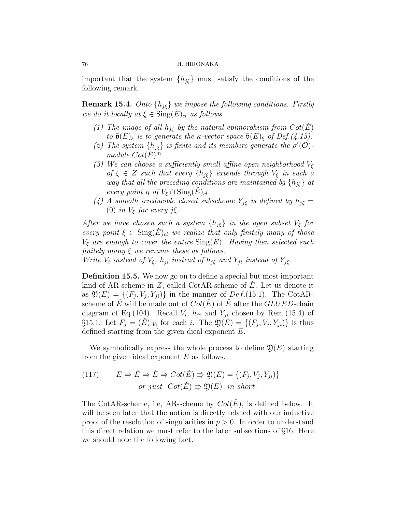important that the system  $\{h_{i\xi}\}\$  must satisfy the conditions of the following remark.

**Remark 15.4.** Onto  $\{h_{j\xi}\}\$  we impose the following conditions. Firstly we do it locally at  $\xi \in \text{Sing}(\check{E})_{cl}$  as follows.

- (1) The image of all  $h_{i\xi}$  by the natural epimorohism from  $\cot(E)$ to  $\bar{\mathfrak{v}}(E)_{\xi}$  is to generate the κ-vector space  $\bar{\mathfrak{v}}(E)_{\xi}$  of Def.(4.15).
- (2) The system  $\{h_{j\xi}\}\$ is finite and its members generate the  $\rho^{\ell}(\mathcal{O})$ module  $Cot(\check{E})^m$ .
- (3) We can choose a sufficiently small affine open neighborhood  $V_{\xi}$ of  $\xi \in Z$  such that every  $\{h_{i\xi}\}\$ extends through  $V_{\xi}$  in such a way that all the preceding conditions are maintained by  $\{h_{j\xi}\}\$ at every point  $\eta$  of  $V_{\xi} \cap \text{Sing}(E)_{cl}$ .
- (4) A smooth irreducible closed subscheme  $Y_{j\xi}$  is defined by  $h_{j\xi} =$ (0) in  $V_{\xi}$  for every j $\xi$ .

After we have chosen such a system  $\{h_{j\xi}\}\$ in the open subset  $V_{\xi}$  for every point  $\xi \in \text{Sing}(E)_{cl}$  we realize that only finitely many of those  $V_{\xi}$  are enough to cover the entire  $\text{Sing}(E)$ . Having then selected such finitely many  $\xi$  we rename these as follows.

Write  $V_i$  instead of  $V_{\xi}$ ,  $h_{ji}$  instead of  $h_{j\xi}$  and  $Y_{ji}$  instead of  $Y_{j\xi}$ .

Definition 15.5. We now go on to define a special but most important kind of AR-scheme in  $Z$ , called CotAR-scheme of  $E$ . Let us denote it as  $\mathfrak{Y}(E) = \{(F_j, V_j, Y_{ji})\}$  in the manner of  $Def.(15.1)$ . The CotARscheme of E<sup> $\dot{E}$ </sup> will be made out of  $Cot(E)$  of E<sup> $\dot{E}$ </sup> after the *GLUED*-chain diagram of Eq.(104). Recall  $V_i$ ,  $h_{ji}$  and  $Y_{ji}$  chosen by Rem.(15.4) of §15.1. Let  $F_j = (E)|_{V_i}$  for each i. The  $\mathfrak{Y}(E) = \{(F_j, V_j, Y_{ji})\}$  is thus defined starting from the given dieal exponent E.

We symbolically express the whole process to define  $\mathfrak{Y}(E)$  starting from the given ideal exponent  $E$  as follows.

(117) 
$$
E \Rightarrow \hat{E} \Rightarrow \check{E} \Rightarrow \text{Cot}(\check{E}) \Rightarrow \mathfrak{Y}(E) = \{ (F_j, V_j, Y_{ji}) \}
$$
  
or just  $\text{Cot}(\check{E}) \Rightarrow \mathfrak{Y}(E)$  in short.

The CotAR-scheme, i.e, AR-scheme by  $Cot(\dot{E})$ , is defined below. It will be seen later that the notion is directly related with our inductive proof of the resolution of singularities in  $p > 0$ . In order to understand this direct relation we must refer to the later subsections of §16. Here we should note the following fact.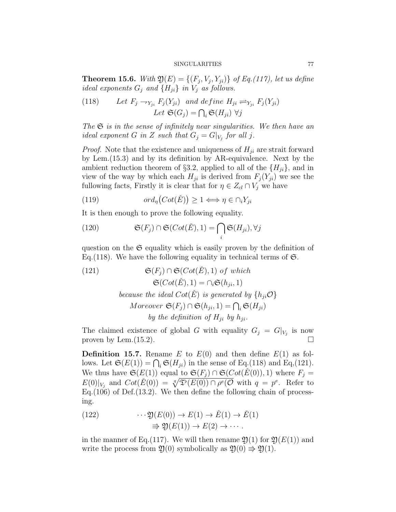**Theorem 15.6.** With  $\mathfrak{Y}(E) = \{(F_j, V_j, Y_{ji})\}$  of Eq.(117), let us define ideal exponents  $G_i$  and  $\{H_{ji}\}\$ in  $V_j$  as follows.

(118) Let 
$$
F_j \to_{Y_{ji}} F_j(Y_{ji})
$$
 and define  $H_{ji} \rightleftharpoons_{Y_{ji}} F_j(Y_{ji})$   
Let  $\mathfrak{S}(G_j) = \bigcap_i \mathfrak{S}(H_{ji}) \ \forall j$ 

The  $\mathfrak S$  is in the sense of infinitely near singularities. We then have an ideal exponent G in Z such that  $G_j = G|_{V_j}$  for all j.

*Proof.* Note that the existence and uniqueness of  $H_{ji}$  are strait forward by Lem.(15.3) and by its definition by AR-equivalence. Next by the ambient reduction theorem of §3.2, applied to all of the  $\{H_{ii}\}\$ , and in view of the way by which each  $H_{ji}$  is derived from  $F_j(Y_{ji})$  we see the fullowing facts, Firstly it is clear that for  $\eta \in Z_{cl} \cap V_j$  we have

(119) 
$$
ord_{\eta}(Cot(\check{E})) \geq 1 \Longleftrightarrow \eta \in \cap_{i} Y_{ji}
$$

It is then enough to prove the following equality.

(120) 
$$
\mathfrak{S}(F_j) \cap \mathfrak{S}(Cot(\check{E}), 1) = \bigcap_i \mathfrak{S}(H_{ji}), \forall j
$$

question on the  $\mathfrak S$  equality which is easily proven by the definition of Eq. (118). We have the following equality in technical terms of  $\mathfrak{S}$ .

(121) 
$$
\mathfrak{S}(F_j) \cap \mathfrak{S}(Cot(\check{E}), 1) \text{ of which}
$$

$$
\mathfrak{S}(Cot(\check{E}), 1) = \cap_i \mathfrak{S}(h_{ji}, 1)
$$
  
because the ideal  $Cot(\check{E})$  is generated by  $\{h_{ji}\mathcal{O}\}$   
Moreover  $\mathfrak{S}(F_j) \cap \mathfrak{S}(h_{ji}, 1) = \bigcap_i \mathfrak{S}(H_{ji})$   
by the definition of  $H_{ji}$  by  $h_{ji}$ .

The claimed existence of global G with equality  $G_j = G|_{V_j}$  is now proven by Lem.  $(15.2)$ .

**Definition 15.7.** Rename E to  $E(0)$  and then define  $E(1)$  as follows. Let  $\mathfrak{S}(E(1)) = \bigcap_i \mathfrak{S}(H_{ji})$  in the sense of Eq.(118) and Eq.(121). We thus have  $\mathfrak{S}(E(1))$  equal to  $\mathfrak{S}(F_j) \cap \mathfrak{S}(Cot(\check{E}(0)), 1)$  where  $F_j =$  $E(0)|_{V_j}$  and  $Cot(\check{E}(0)) = \sqrt[q]{\mathfrak{T}^{\flat}(E(0)) \cap \rho^e(\mathcal{O} \text{ with } q = p^e)}$ . Refer to Eq.(106) of Def.(13.2). We then define the following chain of processing.

(122) 
$$
\cdots \mathfrak{Y}(E(0)) \to E(1) \to \hat{E}(1) \to \check{E}(1)
$$

$$
\Rightarrow \mathfrak{Y}(E(1)) \to E(2) \to \cdots.
$$

in the manner of Eq.(117). We will then rename  $\mathfrak{Y}(1)$  for  $\mathfrak{Y}(E(1))$  and write the process from  $\mathfrak{Y}(0)$  symbolically as  $\mathfrak{Y}(0) \Rightarrow \mathfrak{Y}(1)$ .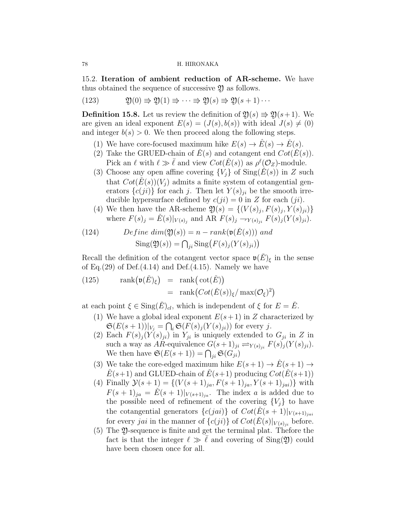15.2. Iteration of ambient reduction of AR-scheme. We have thus obtained the sequence of successive  $\mathfrak{Y}$  as follows.

(123)  $\mathfrak{Y}(0) \Rightarrow \mathfrak{Y}(1) \Rightarrow \cdots \Rightarrow \mathfrak{Y}(s) \Rightarrow \mathfrak{Y}(s+1)\cdots$ 

**Definition 15.8.** Let us review the definition of  $\mathfrak{Y}(s) \Rightarrow \mathfrak{Y}(s+1)$ . We are given an ideal exponent  $E(s) = (J(s), b(s))$  with ideal  $J(s) \neq (0)$ and integer  $b(s) > 0$ . We then proceed along the following steps.

- (1) We have core-focused maximum hike  $E(s) \to E(s) \to E(s)$ .
- (2) Take the GRUED-chain of  $\tilde{E}(s)$  and cotangent end  $\tilde{C}(\tilde{E}(s))$ . Pick an  $\ell$  with  $\ell \gg \overline{\ell}$  and view  $Cot(\check{E}(s))$  as  $\rho^{\ell}(\mathcal{O}_Z)$ -module.
- (3) Choose any open affine covering  ${V_i}$  of  $\text{Sing}(\check{E}(s))$  in Z such that  $Cot(\dot{E}(s))(V_i)$  admits a finite system of cotangential generators  $\{c(ji)\}\$ for each j. Then let  $Y(s)_{ji}$  be the smooth irreducible hypersurface defined by  $c(ji) = 0$  in Z for each  $(ji)$ .
- (4) We then have the AR-scheme  $\mathfrak{Y}(s) = \{ (V(s)_j, F(s)_j, Y(s)_j) \}$ where  $F(s)_j = \tilde{E}(s)|_{V(s)_j}$  and AR  $F(s)_j \to Y(s)_{ji} F(s)_j (Y(s)_{ji}).$

(124) 
$$
Define \dim(\mathfrak{Y}(s)) = n - rank(\mathfrak{v}(\check{E}(s))) \text{ and}
$$

$$
Sing(\mathfrak{Y}(s)) = \bigcap_{j_i} Sing(F(s)_j(Y(s)_{ji}))
$$

Recall the definition of the cotangent vector space  $\mathfrak{v}(\check{E})_{\xi}$  in the sense of Eq.  $(29)$  of Def. $(4.14)$  and Def. $(4.15)$ . Namely we have

(125) 
$$
\operatorname{rank}(\mathfrak{v}(\check{E})_{\xi}) = \operatorname{rank}(\operatorname{cot}(\check{E}))
$$

$$
= \operatorname{rank}(Cot(\check{E}(s))_{\xi}/\operatorname{max}(\mathcal{O}_{\xi})^{2})
$$

at each point  $\xi \in \text{Sing}(\check{E})_{cl}$ , which is independent of  $\xi$  for  $E = \check{E}$ .

- (1) We have a global ideal exponent  $E(s+1)$  in Z characterized by  $\mathfrak{S}(E(s+1))|_{V_j} = \bigcap_i \mathfrak{S}(F(s)_j(Y(s)_{ji}))$  for every j.
- (2) Each  $F(s)_{j} (Y(s)_{ji})$  in  $Y_{ji}$  is uniquely extended to  $G_{ji}$  in Z in such a way as AR-equivalence  $G(s+1)_{ji} \rightleftharpoons_{Y(s)_{ji}} F(s)_j(Y(s)_{ji}).$ We then have  $\mathfrak{S}(E(s+1)) = \bigcap_{ji} \mathfrak{S}(G_{ji})$
- (3) We take the core-edged maximum hike  $E(s+1) \rightarrow \hat{E}(s+1) \rightarrow$  $E(s+1)$  and GLUED-chain of  $E(s+1)$  producing  $Cot(E(s+1))$
- (4) Finally  $\mathcal{Y}(s+1) = \{(V(s+1)_{ja}, F(s+1)_{ja}, V(s+1)_{jai})\}$  with  $F(s+1)_{ja} = \dot{E}(s+1)|_{V(s+1)_{ja}}$ . The index a is added due to the possible need of refinement of the covering  ${V_i}$  to have the cotangential generators  ${c(jai)}$  of  $Cot(E(s + 1)|_{V(s+1)_{jai}})$ for every *jai* in the manner of  ${c(ji)}$  of  $Cot(\check{E}(s)|_{V(s)_{ji}}$  before.
- (5) The Y-sequence is finite and get the terminal plat. Thefore the fact is that the integer  $\ell \gg \ell$  and covering of Sing(2) could have been chosen once for all.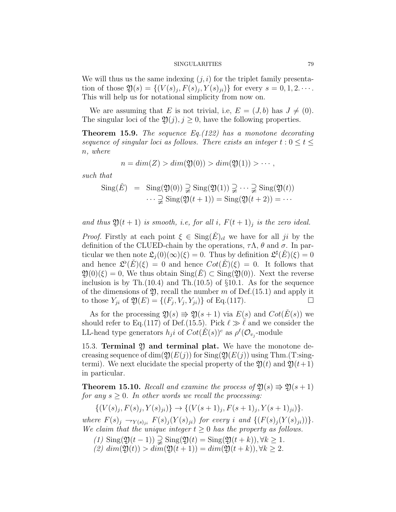We will thus us the same indexing  $(j, i)$  for the triplet family presentation of those  $\mathfrak{Y}(s) = \{(V(s)_j, F(s)_j, Y(s)_j)\}$  for every  $s = 0, 1, 2, \cdots$ . This will help us for notational simplicity from now on.

We are assuming that E is not trivial, i.e,  $E = (J, b)$  has  $J \neq (0)$ . The singular loci of the  $\mathfrak{Y}(j), j \geq 0$ , have the following properties.

**Theorem 15.9.** The sequence  $Eq. (122)$  has a monotone decorating sequence of singular loci as follows. There exists an integer  $t: 0 \le t \le$ n, where

$$
n = dim(Z) > dim(\mathfrak{Y}(0)) > dim(\mathfrak{Y}(1)) > \cdots,
$$

such that

$$
\text{Sing}(\check{E}) = \text{Sing}(\mathfrak{Y}(0)) \supsetneq \text{Sing}(\mathfrak{Y}(1)) \supsetneq \cdots \supsetneq \text{Sing}(\mathfrak{Y}(t))
$$

$$
\cdots \supsetneq \text{Sing}(\mathfrak{Y}(t+1)) = \text{Sing}(\mathfrak{Y}(t+2)) = \cdots
$$

and thus  $\mathfrak{Y}(t+1)$  is smooth, i.e, for all i,  $F(t+1)$  is the zero ideal.

*Proof.* Firstly at each point  $\xi \in Sing(E)_{cl}$  we have for all ji by the definition of the CLUED-chain by the operations,  $\tau \Lambda$ ,  $\theta$  and  $\sigma$ . In particular we then note  $\mathfrak{L}_j(0)(\infty)(\xi) = 0$ . Thus by definition  $\mathfrak{L}^{\sharp}(\check{E})(\xi) = 0$ and hence  $\mathcal{L}^{\flat}(\check{E})(\xi) = 0$  and hence  $Cot(\check{E})(\xi) = 0$ . It follows that  $\mathfrak{Y}(0)(\xi) = 0$ , We thus obtain  $\text{Sing}(\check{E}) \subset \text{Sing}(\mathfrak{Y}(0))$ . Next the reverse inclusion is by Th. $(10.4)$  and Th. $(10.5)$  of §10.1. As for the sequence of the dimensions of  $\mathfrak{Y}$ , recall the number m of Def.(15.1) and apply it to those  $Y_{ji}$  of  $\mathfrak{Y}(E) = \{(F_j, V_j, Y_{ji})\}$  of Eq.(117).

As for the processing  $\mathfrak{Y}(s) \Rightarrow \mathfrak{Y}(s + 1)$  via  $E(s)$  and  $Cot(E(s))$  we should refer to Eq.(117) of Def.(15.5). Pick  $\ell \gg \ell$  and we consider the LL-head type generators  $h_j i$  of  $Cot(\check{E}(s))^c$  as  $\rho^{\ell}(\mathcal{O}_{v_j}$ -module

15.3. Terminal  $\mathfrak Y$  and terminal plat. We have the monotone decreasing sequence of dim( $\mathfrak{Y}(E(j))$  for  $\text{Sing}(\mathfrak{Y}(E(j)))$  using Thm.(T:singtermi). We next elucidate the special property of the  $\mathfrak{Y}(t)$  and  $\mathfrak{Y}(t+1)$ in particular.

**Theorem 15.10.** Recall and examine the process of  $\mathfrak{Y}(s) \Rightarrow \mathfrak{Y}(s+1)$ for any  $s \geq 0$ . In other words we recall the processing:

 $\{(V(s)_j, F(s)_j, Y(s)_{ji})\} \rightarrow \{(V(s+1)_j, F(s+1)_j, Y(s+1)_{ji})\}.$ 

where  $F(s)_j \rightarrow_{Y(s)_j} F(s)_j (Y(s)_j)$  for every i and  $\{(F(s)_j (Y(s)_j))\}.$ We claim that the unique integer  $t \geq 0$  has the property as follows.

(1)  $\text{Sing}(\mathfrak{Y}(t-1)) \supsetneq \text{Sing}(\mathfrak{Y}(t) = \text{Sing}(\mathfrak{Y}(t+k)), \forall k \geq 1.$  $\overline{f(z)} \dim(\mathfrak{Y}(t)) > \overline{dim}(\mathfrak{Y}(t+1)) = \dim(\mathfrak{Y}(t+k)), \forall k > 2.$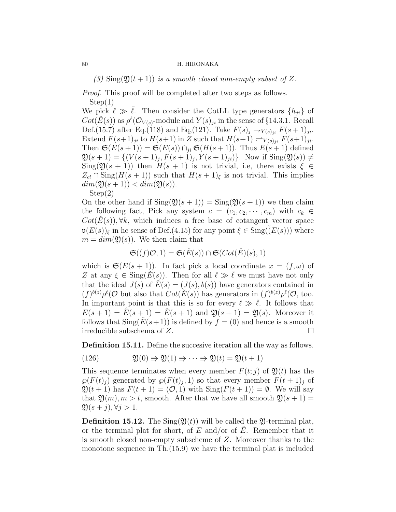(3)  $\text{Sing}(\mathfrak{Y}(t+1))$  is a smooth closed non-empty subset of Z.

Proof. This proof will be completed after two steps as follows. Step(1)

We pick  $\ell \gg \ell$ . Then consider the CotLL type generators  $\{h_{ji}\}\$  of  $Cot(\check{E}(s))$  as  $\rho^{\ell}(\mathcal{O}_{V(s)}\text{-module and }Y(s)_{ji}$  in the sense of §14.3.1. Recall Def.(15.7) after Eq.(118) and Eq.(121). Take  $F(s)_{j} \to_{Y(s)_{ji}} F(s+1)_{ji}$ . Extend  $F(s+1)_{ji}$  to  $H(s+1)$  in Z such that  $H(s+1) \rightleftharpoons_{Y(s)_{ji}} F(s+1)_{ji}$ . Then  $\mathfrak{S}(E(s+1)) = \mathfrak{S}(E(s)) \cap_{ii} \mathfrak{S}(H(s+1))$ . Thus  $E(s+1)$  defined  $\mathfrak{Y}(s+1) = \{ (V(s+1)_j, F(s+1)_j, Y(s+1)_{ji}) \}.$  Now if  $\text{Sing}(\mathfrak{Y}(s)) \neq 0$  $\text{Sing}(\mathfrak{Y}(s+1))$  then  $H(s+1)$  is not trivial, i.e, there exists  $\xi \in \mathfrak{S}$  $Z_{cl} \cap \text{Sing}(H(s+1))$  such that  $H(s+1)_{\xi}$  is not trivial. This implies  $dim(\mathfrak{Y}(s+1)) < dim(\mathfrak{Y}(s)).$ Step(2)

On the other hand if  $\text{Sing}(\mathfrak{Y}(s+1)) = \text{Sing}(\mathfrak{Y}(s+1))$  we then claim the following fact, Pick any system  $c = (c_1, c_2, \dots, c_m)$  with  $c_k \in$  $Cot(E(s)), \forall k$ , which induces a free base of cotangent vector space  $\mathfrak{v}(E(s))_{\xi}$  in he sense of Def.(4.15) for any point  $\xi \in \text{Sing}(\check{(E(s)))}$  where  $m = dim(\mathfrak{Y}(s))$ . We then claim that

$$
\mathfrak{S}((f)\mathcal{O},1) = \mathfrak{S}(\check{E}(s)) \cap \mathfrak{S}(Cot(\check{E})(s),1)
$$

which is  $\mathfrak{S}(E(s+1))$ . In fact pick a local coordinate  $x = (f, \omega)$  of Z at any  $\xi \in \text{Sing}(\dot{E}(s))$ . Then for all  $\ell \gg \overline{\ell}$  we must have not only that the ideal  $J(s)$  of  $\check{E}(s) = (J(s), b(s))$  have generators contained in  $(f)^{b(z)}\rho^{\ell}(\mathcal{O} \text{ but also that } \dot{\text{Cot}}(\check{E}(s)) \text{ has generators in } (f)^{b(z)}\rho^{\ell}(\mathcal{O},\text{ too.})$ In important point is that this is so for every  $\ell \gg \overline{\ell}$ . It follows that  $E(s+1) = \hat{E}(s+1) = \check{E}(s+1)$  and  $\mathfrak{Y}(s+1) = \mathfrak{Y}(s)$ . Moreover it follows that  $\text{Sing}(\check{E}(s+1))$  is defined by  $f = (0)$  and hence is a smooth irreducible subschema of  $Z$ .

Definition 15.11. Define the succesive iteration all the way as follows.

(126) 
$$
\mathfrak{Y}(0) \Rightarrow \mathfrak{Y}(1) \Rightarrow \cdots \Rightarrow \mathfrak{Y}(t) = \mathfrak{Y}(t+1)
$$

This sequence terminates when every member  $F(t; j)$  of  $\mathfrak{Y}(t)$  has the  $\wp(F(t)_j)$  generated by  $\wp(F(t)_j, 1)$  so that every member  $F(t + 1)_j$  of  $\mathfrak{Y}(t+1)$  has  $F(t+1) = (0,1)$  with  $\text{Sing}(F(t+1)) = \emptyset$ . We will say that  $\mathfrak{Y}(m)$ ,  $m > t$ , smooth. After that we have all smooth  $\mathfrak{Y}(s + 1) =$  $\mathfrak{Y}(s+j), \forall j > 1.$ 

**Definition 15.12.** The  $\text{Sing}(\mathfrak{Y}(t))$  will be called the  $\mathfrak{Y}$ -terminal plat, or the terminal plat for short, of  $E$  and/or of  $\check{E}$ . Remember that it is smooth closed non-empty subscheme of Z. Moreover thanks to the monotone sequence in Th.(15.9) we have the terminal plat is included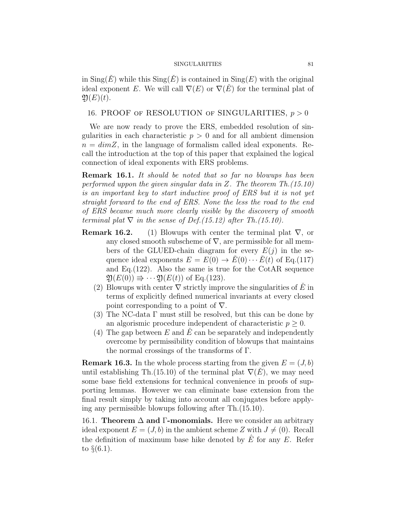in  $\text{Sing}(\check{E})$  while this  $\text{Sing}(\check{E})$  is contained in  $\text{Sing}(E)$  with the original ideal exponent E. We will call  $\nabla(E)$  or  $\nabla(E)$  for the terminal plat of  $\mathfrak{Y}(E)(t)$ .

# 16. PROOF OF RESOLUTION OF SINGULARITIES,  $p > 0$

We are now ready to prove the ERS, embedded resolution of singularities in each characteristic  $p > 0$  and for all ambient dimension  $n = dimZ$ , in the language of formalism called ideal exponents. Recall the introduction at the top of this paper that explained the logical connection of ideal exponents with ERS problems.

Remark 16.1. It should be noted that so far no blowups has been performed uppon the given singular data in Z. The theorem Th.(15.10) is an important key to start inductive proof of ERS but it is not yet straight forward to the end of ERS. None the less the road to the end of ERS became much more clearly visible by the discovery of smooth terminal plat  $\nabla$  in the sense of Def.(15.12) after Th.(15.10).

- **Remark 16.2.** (1) Blowups with center the terminal plat  $\nabla$ , or any closed smooth subscheme of  $\nabla$ , are permissible for all members of the GLUED-chain diagram for every  $E(j)$  in the sequence ideal exponents  $E = E(0) \rightarrow \check{E}(0) \cdots \check{E}(t)$  of Eq.(117) and Eq.(122). Also the same is true for the CotAR sequence  $\mathfrak{Y}(E(0)) \Rightarrow \cdots \mathfrak{Y}(E(t))$  of Eq.(123).
	- (2) Blowups with center  $\nabla$  strictly improve the singularities of  $\dot{E}$  in terms of explicitly defined numerical invariants at every closed point corresponding to a point of  $\nabla$ .
	- (3) The NC-data  $\Gamma$  must still be resolved, but this can be done by an algorismic procedure independent of characteristic  $p \geq 0$ .
	- (4) The gap between E and E can be separately and independently overcome by permissibility condition of blowups that maintains the normal crossings of the transforms of Γ.

**Remark 16.3.** In the whole process starting from the given  $E = (J, b)$ until establishing Th.(15.10) of the terminal plat  $\nabla(E)$ , we may need some base field extensions for technical convenience in proofs of supporting lemmas. However we can eliminate base extension from the final result simply by taking into account all conjugates before applying any permissible blowups following after Th.(15.10).

16.1. Theorem  $\Delta$  and Γ-monomials. Here we consider an arbitrary ideal exponent  $E = (J, b)$  in the ambient scheme Z with  $J \neq (0)$ . Recall the definition of maximum base hike denoted by  $\overline{E}$  for any  $E$ . Refer to  $\S(6.1)$ .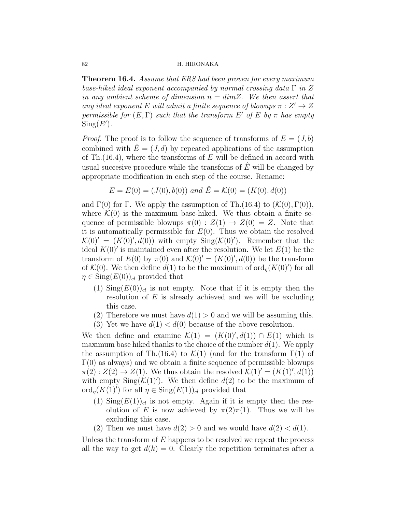**Theorem 16.4.** Assume that ERS had been proven for every maximum base-hiked ideal exponent accompanied by normal crossing data  $\Gamma$  in Z in any ambient scheme of dimension  $n = dimZ$ . We then assert that any ideal exponent E will admit a finite sequence of blowups  $\pi : Z' \to Z$ permissible for  $(E, \Gamma)$  such that the transform E' of E by  $\pi$  has empty  $Sing(E')$ .

*Proof.* The proof is to follow the sequence of transforms of  $E = (J, b)$ combined with  $\hat{E} = (J, d)$  by repeated applications of the assumption of Th.(16.4), where the transforms of  $E$  will be defined in accord with usual succesive procedure while the transfoms of  $\hat{E}$  will be changed by appropriate modification in each step of the course. Rename:

$$
E = E(0) = (J(0), b(0))
$$
 and  $\hat{E} = \mathcal{K}(0) = (K(0), d(0))$ 

and  $\Gamma(0)$  for  $\Gamma$ . We apply the assumption of Th.(16.4) to  $(\mathcal{K}(0), \Gamma(0)),$ where  $\mathcal{K}(0)$  is the maximum base-hiked. We thus obtain a finite sequence of permissible blowups  $\pi(0) : Z(1) \to Z(0) = Z$ . Note that it is automatically permissible for  $E(0)$ . Thus we obtain the resolved  $\mathcal{K}(0)' = (K(0)', d(0))$  with empty Sing( $\mathcal{K}(0)'$ ). Remember that the ideal  $K(0)$  is maintained even after the resolution. We let  $E(1)$  be the transform of  $E(0)$  by  $\pi(0)$  and  $\mathcal{K}(0)' = (K(0)', d(0))$  be the transform of  $\mathcal{K}(0)$ . We then define  $d(1)$  to be the maximum of  $\text{ord}_{\eta}(K(0)')$  for all  $\eta \in \text{Sing}(E(0))_{cl}$  provided that

- (1)  $\text{Sing}(E(0))_{cl}$  is not empty. Note that if it is empty then the resolution of  $E$  is already achieved and we will be excluding this case.
- (2) Therefore we must have  $d(1) > 0$  and we will be assuming this.
- (3) Yet we have  $d(1) < d(0)$  because of the above resolution.

We then define and examine  $\mathcal{K}(1) = (K(0), d(1)) \cap E(1)$  which is maximum base hiked thanks to the choice of the number  $d(1)$ . We apply the assumption of Th.(16.4) to  $\mathcal{K}(1)$  (and for the transform  $\Gamma(1)$  of  $\Gamma(0)$  as always) and we obtain a finite sequence of permissible blowups  $\pi(2): Z(2) \to Z(1)$ . We thus obtain the resolved  $\mathcal{K}(1)' = (K(1)', d(1))$ with empty  $\text{Sing}(\mathcal{K}(1)')$ . We then define  $d(2)$  to be the maximum of ord<sub> $\eta$ </sub> $(K(1)')$  for all  $\eta \in \text{Sing}(E(1))_{cl}$  provided that

- (1)  $\text{Sing}(E(1))_{cl}$  is not empty. Again if it is empty then the resolution of E is now achieved by  $\pi(2)\pi(1)$ . Thus we will be excluding this case.
- (2) Then we must have  $d(2) > 0$  and we would have  $d(2) < d(1)$ .

Unless the transform of  $E$  happens to be resolved we repeat the process all the way to get  $d(k) = 0$ . Clearly the repetition terminates after a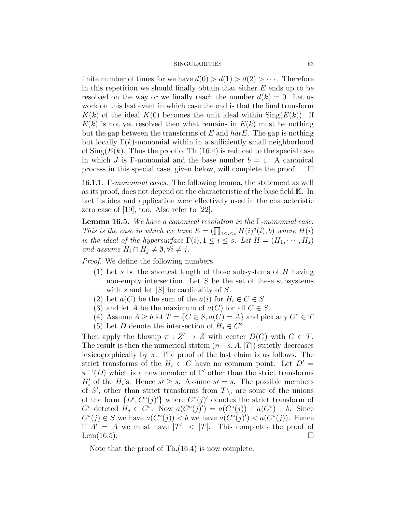finite number of times for we have  $d(0) > d(1) > d(2) > \cdots$ . Therefore in this repetition we should finally obtain that either  $E$  ends up to be resolved on the way or we finally reach the number  $d(k) = 0$ . Let us work on this last event in which case the end is that the final transform  $K(k)$  of the ideal  $K(0)$  becomes the unit ideal within  $\text{Sing}(E(k))$ . If  $E(k)$  is not yet resolved then what remains in  $E(k)$  must be nothing but the gap between the transforms of  $E$  and  $hatE$ . The gap is nothing but locally  $\Gamma(k)$ -monomial within in a sufficiently small neighborhood of  $\text{Sing}(E(k))$ . Thus the proof of Th.(16.4) is reduced to the special case in which J is Γ-monomial and the base number  $b = 1$ . A canonical process in this special case, given below, will complete the proof.  $\Box$ 

16.1.1. Γ-monomial cases. The following lemma, the statement as well as its proof, does not depend on the characteristic of the base field K. In fact its idea and application were effectively used in the characteristic zero case of [19], too. Also refer to [22].

Lemma 16.5. We have a canonical resolution in the Γ-monomial case. This is the case in which we have  $E = \prod_{1 \leq i \leq s} H(i)^a(i)$ , b) where  $H(i)$ is the ideal of the hypersurface  $\Gamma(i)$ ,  $1 \leq i \leq s$ . Let  $H = (H_1, \dots, H_s)$ and assume  $H_i \cap H_j \neq \emptyset, \forall i \neq j$ .

Proof. We define the following numbers.

- (1) Let s be the shortest length of those subsystems of  $H$  having non-empty intersection. Let  $S$  be the set of these subsystems with s and let  $|S|$  be cardinality of S.
- (2) Let  $a(C)$  be the sum of the  $a(i)$  for  $H_i \in C \in S$
- (3) and let A be the maximum of  $a(C)$  for all  $C \in S$ .
- (4) Assume  $A \geq b$  let  $T = \{C \in S, a(C) = A\}$  and pick any  $C^{\circ} \in T$
- (5) Let D denote the intersection of  $H_j \in C^{\circ}$ .

Then apply the blowup  $\pi : Z' \to Z$  with center  $D(C)$  with  $C \in T$ . The result is then the numerical ststem  $(n-s, A, |T|)$  strictly decreases lexicographically by  $\pi$ . The proof of the last claim is as follows. The strict transforms of the  $H_i \in C$  have no common point. Let  $D' =$  $\pi^{-1}(D)$  which is a new member of Γ' other than the strict transforms  $H'_{i}$  of the  $H_{i}$ 's. Hence  $s' \geq s$ . Assume  $s' = s$ . The possible members of S', other than strict transforms from  $T\setminus$ , are some of the unions of the form  $\{D', C^{\circ}(j)'\}$  where  $C^{\circ}(j)'$  denotes the strict transform of  $C^{\circ}$  deteted  $H_j \in C^{\circ}$ . Now  $a(C^{\circ}(j)') = a(C^{\circ}(j)) + a(C^{\circ}) - b$ . Since  $C^{\circ}(j) \notin S$  we have  $a(C^{\circ}(j)) < b$  we have  $a(C^{\circ}(j)) < a(C^{\circ}(j))$ . Hence if  $A' = A$  we must have  $|T'| < |T|$ . This completes the proof of Lem $(16.5)$ .

Note that the proof of Th.(16.4) is now complete.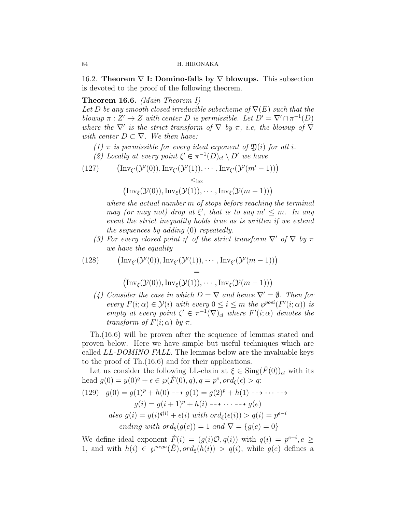16.2. Theorem  $\nabla$  I: Domino-falls by  $\nabla$  blowups. This subsection is devoted to the proof of the following theorem.

# Theorem 16.6. (Main Theorem I)

Let D be any smooth closed irreducible subscheme of  $\nabla(E)$  such that the blowup  $\pi : Z' \to Z$  with center D is permissible. Let  $D' = \nabla' \cap \pi^{-1}(D)$ where the  $\nabla'$  is the strict transform of  $\nabla$  by  $\pi$ , i.e, the blowup of  $\nabla$ with center  $D \subset \nabla$ . We then have:

(1)  $\pi$  is permissible for every ideal exponent of  $\mathfrak{Y}(i)$  for all i.

(2) Locally at every point  $\xi' \in \pi^{-1}(D)_{cl} \setminus D'$  we have

(127) 
$$
\left(\text{Inv}_{\xi'}(\mathcal{Y}'(0)), \text{Inv}_{\xi'}(\mathcal{Y}'(1)), \cdots, \text{Inv}_{\xi'}(\mathcal{Y}'(m'-1))\right) \n\leq_{\text{lex}}
$$

 $\left(\text{Inv}_{\xi}(\mathcal{Y}(0)),\text{Inv}_{\xi}(\mathcal{Y}(1)),\cdots,\text{Inv}_{\xi}(\mathcal{Y}(m-1))\right)$ 

where the actual number m of stops before reaching the terminal may (or may not) drop at  $\xi'$ , that is to say  $m' \leq m$ . In any event the strict inequality holds true as is written if we extend the sequences by adding (0) repeatedly.

(3) For every closed point  $\eta'$  of the strict transform  $\nabla'$  of  $\nabla$  by  $\pi$ we have the equality

(128) 
$$
\begin{array}{ll}\n\text{(Inv}_{\xi'}(\mathcal{Y}'(0)), \text{Inv}_{\xi'}(\mathcal{Y}'(1)), \cdots, \text{Inv}_{\xi'}(\mathcal{Y}'(m-1))\n\end{array}\n=\n\begin{array}{ll}\n\text{(Inv}_{\xi}(\mathcal{Y}(0)), \text{Inv}_{\xi}(\mathcal{Y}(1)), \cdots, \text{Inv}_{\xi}(\mathcal{Y}(m-1))\n\end{array}
$$

(4) Consider the case in which  $D = \nabla$  and hence  $\nabla' = \emptyset$ . Then for every  $F(i; \alpha) \in \mathcal{Y}(i)$  with every  $0 \leq i \leq m$  the  $\varphi^{posi}(F'(i; \alpha))$  is empty at every point  $\zeta' \in \pi^{-1}(\nabla)_{cl}$  where  $F'(i;\alpha)$  denotes the transform of  $F(i; \alpha)$  by  $\pi$ .

Th.(16.6) will be proven after the sequence of lemmas stated and proven below. Here we have simple but useful techniques which are called LL-DOMINO FALL. The lemmas below are the invaluable keys to the proof of Th.(16.6) and for their applications.

Let us consider the following LL-chain at  $\xi \in \text{Sing}(\check{F}(0))_{cl}$  with its head  $g(0) = y(0)^q + \epsilon \in \wp(\check{F}(0), q), q = p^e, ord_\xi(\epsilon) > q$ .

(129) 
$$
g(0) = g(1)^p + h(0) \longrightarrow g(1) = g(2)^p + h(1) \longrightarrow \cdots \longrightarrow
$$

$$
g(i) = g(i+1)^p + h(i) \longrightarrow \cdots \longrightarrow g(e)
$$
  
also 
$$
g(i) = y(i)^{q(i)} + \epsilon(i)
$$
 with 
$$
ord_{\xi}(\epsilon(i)) > q(i) = p^{e-i}
$$
  
ending with 
$$
ord_{\xi}(g(e)) = 1
$$
 and 
$$
\nabla = \{g(e) = 0\}
$$

We define ideal exponent  $\check{F}(i) = (g(i)O, q(i))$  with  $q(i) = p^{e-i}, e \geq 0$ 1, and with  $h(i) \in \mathcal{S}^{nega}(\check{E}), ord_{\xi}(h(i)) > q(i)$ , while  $g(e)$  defines a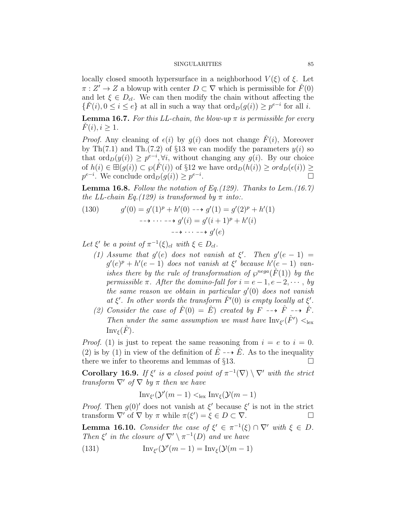locally closed smooth hypersurface in a neighborhood  $V(\xi)$  of  $\xi$ . Let  $\pi: Z' \to Z$  a blowup with center  $D \subset \nabla$  which is permissible for  $\check{F}(0)$ and let  $\xi \in D_{d}$ . We can then modify the chain without affecting the  $\{\check{F}(i), 0 \leq i \leq e\}$  at all in such a way that  $\text{ord}_D(g(i)) \geq p^{e-i}$  for all i.

**Lemma 16.7.** For this LL-chain, the blow-up  $\pi$  is permissible for every  $\dot{F}(i), i \geq 1.$ 

*Proof.* Any cleaning of  $\epsilon(i)$  by  $q(i)$  does not change  $\check{F}(i)$ , Moreover by Th(7.1) and Th.(7.2) of §13 we can modify the parameters  $y(i)$  so that  $\text{ord}_D(y(i)) \geq p^{e-i}, \forall i$ , without changing any  $g(i)$ . By our choice of  $h(i) \in \mathbb{H}(g(i)) \subset \varphi(\check{F}(i))$  of §12 we have  $\text{ord}_D(h(i)) \geq \text{ord}_D(\epsilon(i)) \geq$  $p^{e-i}$ . We conclude  $\operatorname{ord}_D(g(i)) \geq p^{e-i}$ .

**Lemma 16.8.** Follow the notation of Eq.(129). Thanks to Lem.(16.7) the LL-chain Eq.(129) is transformed by  $\pi$  into:.

(130) 
$$
g'(0) = g'(1)^p + h'(0) \longrightarrow g'(1) = g'(2)^p + h'(1)
$$

$$
\longrightarrow \cdots \longrightarrow g'(i) = g'(i+1)^p + h'(i)
$$

$$
\longrightarrow \cdots \longrightarrow g'(e)
$$

Let  $\xi'$  be a point of  $\pi^{-1}(\xi)_{cl}$  with  $\xi \in D_{cl}$ .

- (1) Assume that  $g'(e)$  does not vanish at  $\xi'$ . Then  $g'(e-1)$  =  $g'(e)^p + h'(e-1)$  does not vanish at  $\xi'$  because  $h'(e-1)$  vanishes there by the rule of transformation of  $\varphi^{nega}(\check{F}(1))$  by the permissible  $\pi$ . After the domino-fall for  $i = e - 1, e - 2, \cdots$ , by the same reason we obtain in particular  $g'(0)$  does not vanish at  $\xi'$ . In other words the transform  $\check{F}'(0)$  is empty locally at  $\xi'$ .
- (2) Consider the case of  $\check{F}(0) = \check{E}$ ) created by  $\check{F} \dashrightarrow \check{F} \dashrightarrow \check{F}$ . Then under the same assumption we must have  $\text{Inv}_{\xi'}(\hat{F}') <_{\text{lex}}$  $\text{Inv}_{\mathcal{E}}(\hat{F})$ .

*Proof.* (1) is just to repeat the same reasoning from  $i = e$  to  $i = 0$ . (2) is by (1) in view of the definition of  $\hat{E} \dashrightarrow \check{E}$ . As to the inequality there we infer to theorems and lemmas of  $\S 13$ .

**Corollary 16.9.** If  $\xi'$  is a closed point of  $\pi^{-1}(\nabla) \setminus \nabla'$  with the strict transform  $\nabla$ ' of  $\nabla$  by  $\pi$  then we have

$$
\mathrm{Inv}_{\xi'}(\mathcal{Y}'(m-1) <_{\mathrm{lex}} \mathrm{Inv}_{\xi}(\mathcal{Y}(m-1))
$$

*Proof.* Then  $g(0)'$  does not vanish at  $\xi'$  because  $\xi'$  is not in the strict transform  $\nabla'$  of  $\nabla$  by  $\pi$  while  $\pi(\xi') = \xi \in D \subset \nabla$ .

**Lemma 16.10.** Consider the case of  $\xi' \in \pi^{-1}(\xi) \cap \nabla'$  with  $\xi \in D$ . Then  $\xi'$  in the closure of  $\nabla' \setminus \pi^{-1}(D)$  and we have

(131) 
$$
Inv_{\xi'}(\mathcal{Y}'(m-1)) = Inv_{\xi}(\mathcal{Y}(m-1))
$$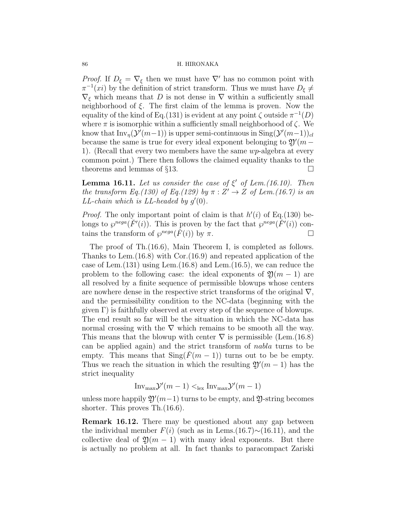*Proof.* If  $D_{\xi} = \nabla_{\xi}$  then we must have  $\nabla'$  has no common point with  $\pi^{-1}(xi)$  by the definition of strict transform. Thus we must have  $D_{\xi} \neq$  $\nabla_{\xi}$  which means that D is not dense in  $\nabla$  within a sufficiently small neighborhood of  $\xi$ . The first claim of the lemma is proven. Now the equality of the kind of Eq.(131) is evident at any point  $\zeta$  outside  $\pi^{-1}(D)$ where  $\pi$  is isomorphic within a sufficiently small neighborhood of  $\zeta$ . We know that  $\text{Inv}_{\eta}(\mathcal{Y}'(m-1))$  is upper semi-continuous in  $\text{Sing}(\mathcal{Y}'(m-1))_{cl}$ because the same is true for every ideal exponent belonging to  $\mathfrak{Y}'(m -$ 1). (Recall that every two members have the same  $wp$ -algebra at every common point.) There then follows the claimed equality thanks to the theorems and lemmas of  $\S13$ .

**Lemma 16.11.** Let us consider the case of  $\xi'$  of Lem.(16.10). Then the transform Eq.(130) of Eq.(129) by  $\pi : Z' \to Z$  of Lem.(16.7) is an  $LL$ -chain which is  $LL$ -headed by  $g'(0)$ .

*Proof.* The only important point of claim is that  $h'(i)$  of Eq.(130) belongs to  $\wp^{neg}(F'(i))$ . This is proven by the fact that  $\wp^{neg}(\tilde{F}'(i))$  contains the transform of  $\wp^{neg}(F(i))$  by  $\pi$ .

The proof of Th.(16.6), Main Theorem I, is completed as follows. Thanks to Lem.(16.8) with Cor.(16.9) and repeated application of the case of Lem.(131) using Lem.(16.8) and Lem.(16.5), we can reduce the problem to the following case: the ideal exponents of  $\mathfrak{D}(m-1)$  are all resolved by a finite sequence of permissible blowups whose centers are nowhere dense in the respective strict transforms of the original  $\nabla$ , and the permissibility condition to the NC-data (beginning with the given  $\Gamma$ ) is faithfully observed at every step of the sequence of blowups. The end result so far will be the situation in which the NC-data has normal crossing with the  $\nabla$  which remains to be smooth all the way. This means that the blowup with center  $\nabla$  is permissible (Lem.(16.8) can be applied again) and the strict transform of nabla turns to be empty. This means that  $\text{Sing}(\tilde{F}(m-1))$  turns out to be be empty. Thus we reach the situation in which the resulting  $\mathfrak{Y}'(m-1)$  has the strict inequality

 $Inv_{\text{max}}\mathcal{Y}'(m-1) \leq_{\text{lex}} Inv_{\text{max}}\mathcal{Y}'(m-1)$ 

unless more happily  $\mathfrak{Y}'(m-1)$  turns to be empty, and  $\mathfrak{Y}$ -string becomes shorter. This proves Th.(16.6).

Remark 16.12. There may be questioned about any gap between the individual member  $F(i)$  (such as in Lems.(16.7)∼(16.11), and the collective deal of  $\mathfrak{Y}(m-1)$  with many ideal exponents. But there is actually no problem at all. In fact thanks to paracompact Zariski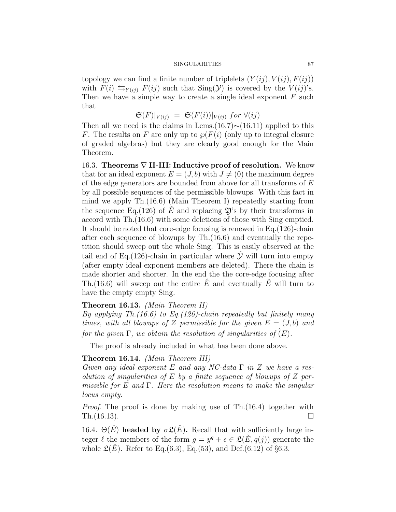topology we can find a finite number of triplelets  $(Y(ij), V(ij), F(ij))$ with  $F(i) \leftrightharpoons_{Y(ij)} F(ij)$  such that  $Sing(Y)$  is covered by the  $V(ij)$ 's. Then we have a simple way to create a single ideal exponent  $F$  such that

$$
\mathfrak{S}(F)|_{V(ij)} = \mathfrak{S}(F(i))|_{V(ij)} \text{ for } \forall (ij)
$$

Then all we need is the claims in Lems.(16.7)∼(16.11) applied to this F. The results on F are only up to  $\wp(F(i))$  (only up to integral closure of graded algebras) but they are clearly good enough for the Main Theorem.

16.3. Theorems  $\nabla$  II-III: Inductive proof of resolution. We know that for an ideal exponent  $E = (J, b)$  with  $J \neq (0)$  the maximum degree of the edge generators are bounded from above for all transforms of  $E$ by all possible sequences of the permissible blowups. With this fact in mind we apply Th.(16.6) (Main Theorem I) repeatedly starting from the sequence Eq.(126) of E and replacing  $\mathfrak{Y}$ 's by their transforms in accord with Th.(16.6) with some deletions of those with Sing emptied. It should be noted that core-edge focusing is renewed in Eq.(126)-chain after each sequence of blowups by Th.(16.6) and eventually the repetition should sweep out the whole Sing. This is easily observed at the tail end of Eq.(126)-chain in particular where  $\hat{y}$  will turn into empty (after empty ideal exponent members are deleted). There the chain is made shorter and shorter. In the end the the core-edge focusing after Th.(16.6) will sweep out the entire  $\hat{E}$  and eventually  $\hat{E}$  will turn to have the empty empty Sing.

# Theorem 16.13. (Main Theorem II)

By applying Th.  $(16.6)$  to Eq.  $(126)$ -chain repeatedly but finitely many times, with all blowups of Z permissible for the given  $E = (J, b)$  and for the given  $\Gamma$ , we obtain the resolution of singularities of  $(E)$ .

The proof is already included in what has been done above.

# Theorem 16.14. (Main Theorem III)

Given any ideal exponent E and any NC-data  $\Gamma$  in Z we have a resolution of singularities of  $E$  by a finite sequence of blowups of  $Z$  permissible for E and  $\Gamma$ . Here the resolution means to make the singular locus empty.

Proof. The proof is done by making use of Th.(16.4) together with Th.(16.13).  $\Box$ 

16.4.  $\Theta(E)$  headed by  $\sigma \mathfrak{L}(E)$ . Recall that with sufficiently large integer  $\ell$  the members of the form  $g = y^q + \epsilon \in \mathfrak{L}(\check{E}, q(j))$  generate the whole  $\mathfrak{L}(\check{E})$ . Refer to Eq.(6.3), Eq.(53), and Def.(6.12) of §6.3.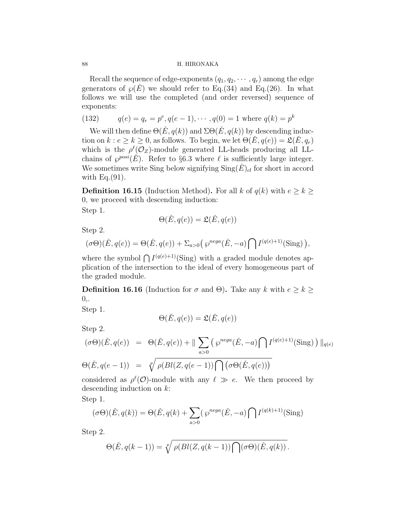Recall the sequence of edge-exponents  $(q_1, q_2, \dots, q_r)$  among the edge generators of  $\wp(E)$  we should refer to Eq.(34) and Eq.(26). In what follows we will use the completed (and order reversed) sequence of exponents:

(132) 
$$
q(e) = q_r = p^e, q(e-1), \cdots, q(0) = 1 \text{ where } q(k) = p^k
$$

We will then define  $\Theta(\check{E}, q(k))$  and  $\Sigma\Theta(\check{E}, q(k))$  by descending induction on  $k : e \geq k \geq 0$ , as follows. To begin, we let  $\Theta(\check{E}, q(e)) = \mathfrak{L}(\check{E}, q_r)$ which is the  $\rho^{\ell}(\mathcal{O}_Z)$ -module generated LL-heads producing all LLchains of  $\wp^{posi}(\check{E})$ . Refer to §6.3 where  $\ell$  is sufficiently large integer. We sometimes write Sing below signifying  $\text{Sing}(E)_{cl}$  for short in accord with  $Eq.(91)$ .

**Definition 16.15** (Induction Method). For all k of  $q(k)$  with  $e \geq k \geq$ 0, we proceed with descending induction:

Step 1.

$$
\Theta(\check{E}, q(e)) = \mathfrak{L}(\check{E}, q(e))
$$

Step 2.

$$
(\sigma\Theta)(\check{E},q(e)) = \Theta(\check{E},q(e)) + \Sigma_{a>0} \left(\wp^{neg}(\check{E},-a)\bigcap I^{(q(e)+1)}(\text{Sing})\right),\,
$$

where the symbol  $\bigcap I^{(q(e)+1)}(\text{Sing})$  with a graded module denotes application of the intersection to the ideal of every homogeneous part of the graded module.

**Definition 16.16** (Induction for  $\sigma$  and  $\Theta$ ). Take any k with  $e \geq k \geq$  $0,$ .

Step 1.

$$
\Theta(\check{E},q(e)) = \mathfrak{L}(\check{E},q(e))
$$

Step 2.

$$
(\sigma\Theta)(\check{E}, q(e)) = \Theta(\check{E}, q(e)) + \|\sum_{a>0} (\wp^{neg}( \check{E}, -a) \cap I^{(q(e)+1)}(\text{Sing})) \|_{q(e)}
$$
  

$$
\Theta(\check{E}, q(e-1)) = \sqrt[p]{\rho(Bl(Z, q(e-1)) \cap (\sigma\Theta(\check{E}, q(e)))}
$$

considered as  $\rho^{\ell}(\mathcal{O})$ -module with any  $\ell \gg e$ . We then proceed by descending induction on k:

Step 1.

$$
(\sigma\Theta)(\check{E}, q(k)) = \Theta(\check{E}, q(k) + \sum_{a>0} (\wp^{nega}(\check{E}, -a) \bigcap I^{(q(k)+1)}(\text{Sing})
$$

Step 2.

$$
\Theta(\check{E}, q(k-1)) = \sqrt[p]{\rho(Bl(Z, q(k-1)) \bigcap (\sigma \Theta)(\check{E}, q(k))}.
$$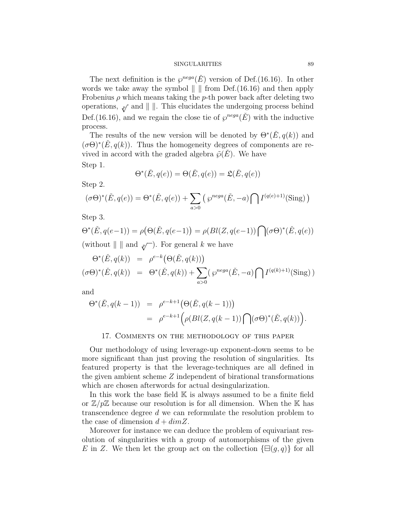The next definition is the  $\varphi^{neg}(E)$  version of Def.(16.16). In other words we take away the symbol  $\| \cdot \|$  from Def.(16.16) and then apply Frobenius  $\rho$  which means taking the p-th power back after deleting two operations,  $\psi$  and  $\|$ . This elucidates the undergoing process behind Def.(16.16), and we regain the close tie of  $\varphi^{neg}(E)$  with the inductive process.

The results of the new version will be denoted by  $\Theta^*(\check{E}, q(k))$  and  $(\sigma\Theta)^*(E, q(k))$ . Thus the homogeneity degrees of components are revived in accord with the graded algebra  $\tilde{\varphi}(E)$ . We have Step 1.

$$
\Theta^*(\check{E}, q(e)) = \Theta(\check{E}, q(e)) = \mathfrak{L}(\check{E}, q(e))
$$

Step 2.

$$
(\sigma\Theta)^*(\check{E}, q(e)) = \Theta^*(\check{E}, q(e)) + \sum_{a>0} (\wp^{nega}(\check{E}, -a) \bigcap I^{(q(e)+1)}(\text{Sing}))
$$

Step 3.

$$
\Theta^*(\check{E}, q(e-1)) = \rho(\Theta(\check{E}, q(e-1)) = \rho(\text{Bl}(Z, q(e-1)) \bigcap (\sigma \Theta)^*(\check{E}, q(e))
$$
  
(without  $|| \cdot ||$  and  $\mathcal{P}(\sigma)$ ). For general  $k$  we have

$$
\Theta^*(\check{E}, q(k)) = \rho^{e-k}(\Theta(\check{E}, q(k)))
$$
  

$$
(\sigma\Theta)^*(\check{E}, q(k)) = \Theta^*(\check{E}, q(k)) + \sum_{a>0} (\wp^{neg}(\check{E}, -a) \bigcap I^{(q(k)+1)}(\text{Sing}))
$$

and

$$
\Theta^*(\check{E}, q(k-1)) = \rho^{e-k+1}(\Theta(\check{E}, q(k-1)))
$$
  
= 
$$
\rho^{e-k+1}(\rho(Bl(Z, q(k-1))) \bigcap (\sigma\Theta)^*(\check{E}, q(k))).
$$

## 17. Comments on the methodology of this paper

Our methodology of using leverage-up exponent-down seems to be more significant than just proving the resolution of singularities. Its featured property is that the leverage-techniques are all defined in the given ambient scheme Z independent of birational transformations which are chosen afterwords for actual desingularization.

In this work the base field  $K$  is always assumed to be a finite field or  $\mathbb{Z}/p\mathbb{Z}$  because our resolution is for all dimension. When the K has transcendence degree d we can reformulate the resolution problem to the case of dimension  $d + dimZ$ .

Moreover for instance we can deduce the problem of equivariant resolution of singularities with a group of automorphisms of the given E in Z. We then let the group act on the collection  $\{\Xi(q, q)\}\$ for all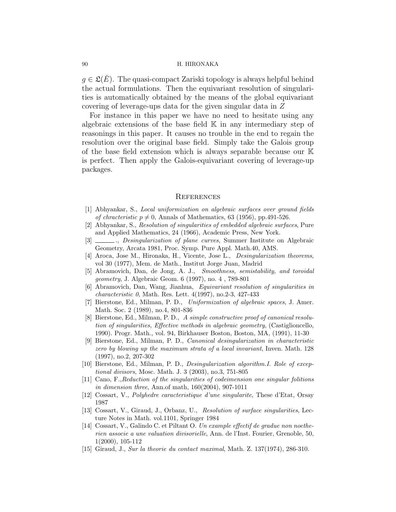$g \in \mathfrak{L}(E)$ . The quasi-compact Zariski topology is always helpful behind the actual formulations. Then the equivariant resolution of singularities is automatically obtained by the means of the global equivariant covering of leverage-ups data for the given singular data in Z

For instance in this paper we have no need to hesitate using any algebraic extensions of the base field  $\mathbb K$  in any intermediary step of reasonings in this paper. It causes no trouble in the end to regain the resolution over the original base field. Simply take the Galois group of the base field extension which is always separable because our K is perfect. Then apply the Galois-equivariant covering of leverage-up packages.

## **REFERENCES**

- [1] Abhyankar, S., Local uniformization on algebraic surfaces over ground fields of chracteristic  $p \neq 0$ , Annals of Mathematics, 63 (1956), pp.491-526.
- [2] Abhyankar, S., Resolution of singularities of embedded algebraic surfaces, Pure and Applied Mathematics, 24 (1966), Academic Press, New York.
- [3] ., Desingularization of plane curves, Summer Institute on Algebraic Geometry, Arcata 1981, Proc. Symp. Pure Appl. Math.40, AMS.
- [4] Aroca, Jose M., Hironaka, H., Vicente, Jose L., Desingularization theorems, vol 30 (1977), Mem. de Math., Institut Jorge Juan, Madrid
- [5] Abramovich, Dan, de Jong, A. J., Smoothness, semistability, and toroidal geometry, J. Algebraic Geom. 6 (1997), no. 4 , 789-801
- [6] Abramovich, Dan, Wang, Jianhua, Equivariant resolution of singularities in characteristic 0, Math. Res. Lett. 4(1997), no.2-3, 427-433
- [7] Bierstone, Ed., Milman, P. D., Uniformization of algebraic spaces, J. Amer. Math. Soc. 2 (1989), no.4, 801-836
- [8] Bierstone, Ed., Milman, P. D., A simple constructive proof of canonical resolution of singularities, Effective methods in algebraic geometry, (Castiglioncello, 1990). Progr. Math., vol. 94, Birkhauser Boston, Boston, MA, (1991), 11-30
- [9] Bierstone, Ed., Milman, P. D., Canonical desingularization in characteristic zero by blowing up the maximum strata of a local invariant, Inven. Math. 128 (1997), no.2, 207-302
- [10] Bierstone, Ed., Milman, P. D., Desingularization algorithm.I. Role of exceptional divisors, Mosc. Math. J. 3 (2003), no.3, 751-805
- [11] Cano, F.,Reduction of the singularities of codeimension one singular folitions in dimension three, Ann.of math, 160(2004), 907-1011
- [12] Cossart, V., Polyhedre caracteristique d'une singularite, These d'Etat, Orsay 1987
- [13] Cossart, V., Giraud, J., Orbanz, U., Resolution of surface singularities, Lecture Notes in Math. vol.1101, Springer 1984
- [14] Cossart, V., Galindo C. et Piltant O. Un example effectif de gradue non noetherien associe a une valuation divisorielle, Ann. de l'Inst. Fourier, Grenoble, 50, 1(2000), 105-112
- [15] Giraud, J., Sur la theorie du contact maximal, Math. Z. 137(1974), 286-310.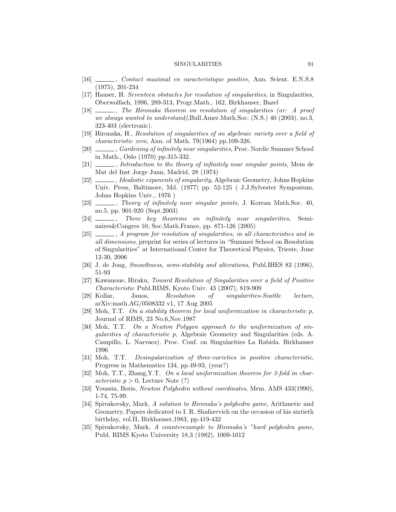- [16] , Contact maximal en caracteristique positive, Ann. Scient. E.N.S.8 (1975), 201-234
- [17] Hauser, H. Seventeen obstacles for resolution of singularities, in Singularities, Oberwolfach, 1996, 289-313, Progr.Math., 162, Birkhauser, Bazel
- [18] , The Hironaka theorem on resolution of singularities (or: A proof we always wanted to understand),Bull.Amer.Math.Soc. (N.S.) 40 (2003), no.3, 323-403 (electronic).
- [19] Hironaka, H., Resolution of singularities of an algebraic variety over a field of characteristic zero, Ann. of Math. 79(1964) pp.109-326.
- [20] , Gardening of infinitely near singularities, Proc. Nordic Summer School in Math., Oslo (1970) pp.315-332.
- [21]  $\_\_\_\_\$ , Introduction to the theory of infinitely near singular points, Mem de Mat del Inst Jorge Juan, Madrid, 28 (1974)
- [22]  $\_\_\_\$ , *Idealistic exponents of singularity*, Algebraic Geometry, Johns Hopkins Univ. Press, Baltimore, Md. (1977) pp. 52-125 ( J.J.Sylvester Symposium, Johns Hopkins Univ., 1976 )
- [23]  $\_\_\_\_\$ , Theory of infinitely near singular points, J. Korean Math.Soc. 40, no.5, pp. 901-920 (Sept.2003)
- [24]  $\frac{1}{\sqrt{24}}$ , Three key theorems on infinitely near singularities, Seminaires&Congres 10, Soc.Math.France, pp. 871-126 (2005)
- [25]  $\_\_\_\_\_$ , A program for resolution of singularities, in all characteristics and in all dimensions, preprint for series of lectures in "Summer School on Resolution of Singularities" at Internatioanl Center for Theoretical Physics, Trieste, June 12-30, 2006
- [26] J. de Jong, Smoothness, semi-stability and alterations, Publ.IHES 83 (1996), 51-93
- [27] Kawanoue, Hiraku, Toward Resolution of Singularities over a field of Positive Characteristic Publ.RIMS, Kyoto Univ. 43 (2007), 819-909
- [28] Kollar, Janos, Resolution of singularities-Seattle lecture, arXiv:math.AG/0508332 v1, 17 Aug 2005
- [29] Moh, T.T. On a stability theorem for local uniformization in characteristic  $p$ , Journal of RIMS, 23 No.6,Nov.1987
- [30] Moh, T.T. On a Newton Polygon approach to the uniformization of singularities of characteristic p, Algebraic Geometry and Singularities (eds. A. Campillo, L. Narvaez). Proc. Conf. on Singularities La Rabida. Birkhauser 1996
- [31] Moh, T.T. Desingularization of three-varieties in positive characteristic, Progress in Mathematics 134, pp.49-93, (year?)
- [32] Moh, T.T., Zhang,Y.T. On a local uniformization theorem for 3-fold in char*acteristic*  $p > 0$ , Lecture Note (?)
- [33] Youssin, Boris, Newton Polyhedra without coordinates, Mem. AMS 433(1990), 1-74, 75-99.
- [34] Spivakovsky, Mark, A solution to Hironaka's polyhedra game, Arithmetic and Geometry, Papers dedicated to I. R. Shafarevich on the occasion of his sixtieth birthday, vol.II, Birkhauser,1983, pp.419-432
- [35] Spivakovsky, Mark, A counterexample to Hironaka's "hard polyhedra game, Publ. RIMS Kyoto University 18,3 (1982), 1009-1012